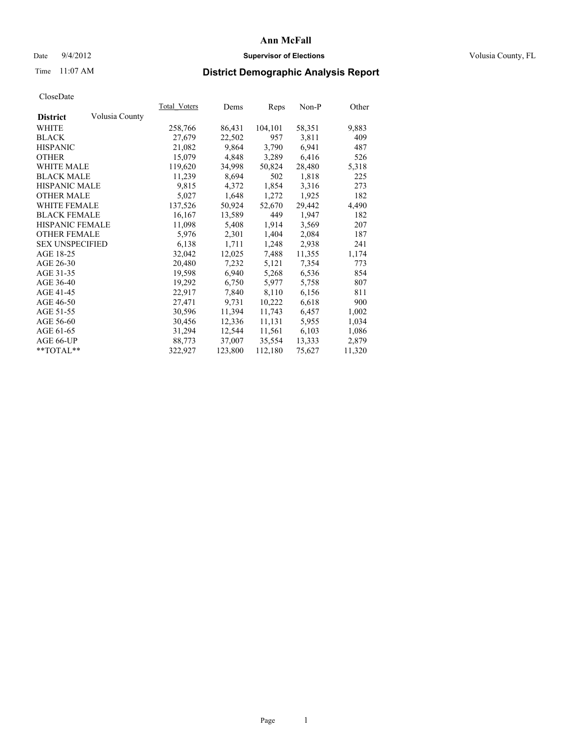### Date 9/4/2012 **Supervisor of Elections Supervisor of Elections** Volusia County, FL

# Time 11:07 AM **District Demographic Analysis Report**

|                        |                | Total Voters | Dems    | <b>Reps</b> | Non-P  | Other  |
|------------------------|----------------|--------------|---------|-------------|--------|--------|
| <b>District</b>        | Volusia County |              |         |             |        |        |
| WHITE                  |                | 258,766      | 86,431  | 104,101     | 58,351 | 9,883  |
| <b>BLACK</b>           |                | 27,679       | 22,502  | 957         | 3,811  | 409    |
| <b>HISPANIC</b>        |                | 21,082       | 9,864   | 3,790       | 6,941  | 487    |
| <b>OTHER</b>           |                | 15,079       | 4,848   | 3,289       | 6,416  | 526    |
| <b>WHITE MALE</b>      |                | 119,620      | 34,998  | 50,824      | 28,480 | 5,318  |
| <b>BLACK MALE</b>      |                | 11,239       | 8,694   | 502         | 1,818  | 225    |
| <b>HISPANIC MALE</b>   |                | 9,815        | 4,372   | 1,854       | 3,316  | 273    |
| <b>OTHER MALE</b>      |                | 5,027        | 1,648   | 1,272       | 1,925  | 182    |
| <b>WHITE FEMALE</b>    |                | 137,526      | 50,924  | 52,670      | 29,442 | 4,490  |
| <b>BLACK FEMALE</b>    |                | 16,167       | 13,589  | 449         | 1,947  | 182    |
| HISPANIC FEMALE        |                | 11,098       | 5,408   | 1,914       | 3,569  | 207    |
| <b>OTHER FEMALE</b>    |                | 5,976        | 2,301   | 1,404       | 2,084  | 187    |
| <b>SEX UNSPECIFIED</b> |                | 6,138        | 1,711   | 1,248       | 2,938  | 241    |
| AGE 18-25              |                | 32,042       | 12,025  | 7,488       | 11,355 | 1,174  |
| AGE 26-30              |                | 20,480       | 7,232   | 5,121       | 7,354  | 773    |
| AGE 31-35              |                | 19,598       | 6,940   | 5,268       | 6,536  | 854    |
| AGE 36-40              |                | 19,292       | 6,750   | 5,977       | 5,758  | 807    |
| AGE 41-45              |                | 22,917       | 7,840   | 8,110       | 6,156  | 811    |
| AGE 46-50              |                | 27,471       | 9,731   | 10,222      | 6,618  | 900    |
| AGE 51-55              |                | 30,596       | 11,394  | 11,743      | 6,457  | 1,002  |
| AGE 56-60              |                | 30,456       | 12,336  | 11,131      | 5,955  | 1,034  |
| AGE 61-65              |                | 31,294       | 12,544  | 11,561      | 6,103  | 1,086  |
| AGE 66-UP              |                | 88,773       | 37,007  | 35,554      | 13,333 | 2,879  |
| $*$ TOTAL $*$          |                | 322,927      | 123,800 | 112,180     | 75,627 | 11,320 |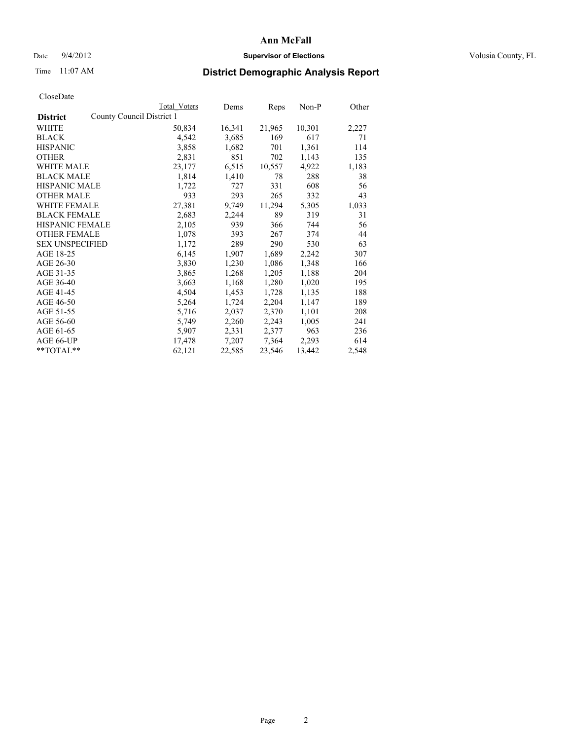### Date 9/4/2012 **Supervisor of Elections Supervisor of Elections** Volusia County, FL

# Time 11:07 AM **District Demographic Analysis Report**

|                        |                           | <b>Total Voters</b> | Dems   | <b>Reps</b> | Non-P  | Other |
|------------------------|---------------------------|---------------------|--------|-------------|--------|-------|
| <b>District</b>        | County Council District 1 |                     |        |             |        |       |
| <b>WHITE</b>           |                           | 50,834              | 16,341 | 21,965      | 10,301 | 2,227 |
| <b>BLACK</b>           |                           | 4,542               | 3,685  | 169         | 617    | 71    |
| <b>HISPANIC</b>        |                           | 3,858               | 1,682  | 701         | 1,361  | 114   |
| <b>OTHER</b>           |                           | 2,831               | 851    | 702         | 1,143  | 135   |
| <b>WHITE MALE</b>      |                           | 23,177              | 6,515  | 10,557      | 4,922  | 1,183 |
| <b>BLACK MALE</b>      |                           | 1,814               | 1,410  | 78          | 288    | 38    |
| <b>HISPANIC MALE</b>   |                           | 1,722               | 727    | 331         | 608    | 56    |
| <b>OTHER MALE</b>      |                           | 933                 | 293    | 265         | 332    | 43    |
| <b>WHITE FEMALE</b>    |                           | 27,381              | 9,749  | 11,294      | 5,305  | 1,033 |
| <b>BLACK FEMALE</b>    |                           | 2,683               | 2,244  | 89          | 319    | 31    |
| <b>HISPANIC FEMALE</b> |                           | 2,105               | 939    | 366         | 744    | 56    |
| <b>OTHER FEMALE</b>    |                           | 1,078               | 393    | 267         | 374    | 44    |
| <b>SEX UNSPECIFIED</b> |                           | 1,172               | 289    | 290         | 530    | 63    |
| AGE 18-25              |                           | 6,145               | 1,907  | 1,689       | 2,242  | 307   |
| AGE 26-30              |                           | 3,830               | 1,230  | 1,086       | 1,348  | 166   |
| AGE 31-35              |                           | 3,865               | 1,268  | 1,205       | 1,188  | 204   |
| AGE 36-40              |                           | 3,663               | 1,168  | 1,280       | 1,020  | 195   |
| AGE 41-45              |                           | 4,504               | 1,453  | 1,728       | 1,135  | 188   |
| AGE 46-50              |                           | 5,264               | 1,724  | 2,204       | 1,147  | 189   |
| AGE 51-55              |                           | 5,716               | 2,037  | 2,370       | 1,101  | 208   |
| AGE 56-60              |                           | 5,749               | 2,260  | 2,243       | 1,005  | 241   |
| AGE 61-65              |                           | 5,907               | 2,331  | 2,377       | 963    | 236   |
| AGE 66-UP              |                           | 17,478              | 7,207  | 7.364       | 2,293  | 614   |
| $*$ $TOTAL**$          |                           | 62,121              | 22,585 | 23,546      | 13,442 | 2,548 |
|                        |                           |                     |        |             |        |       |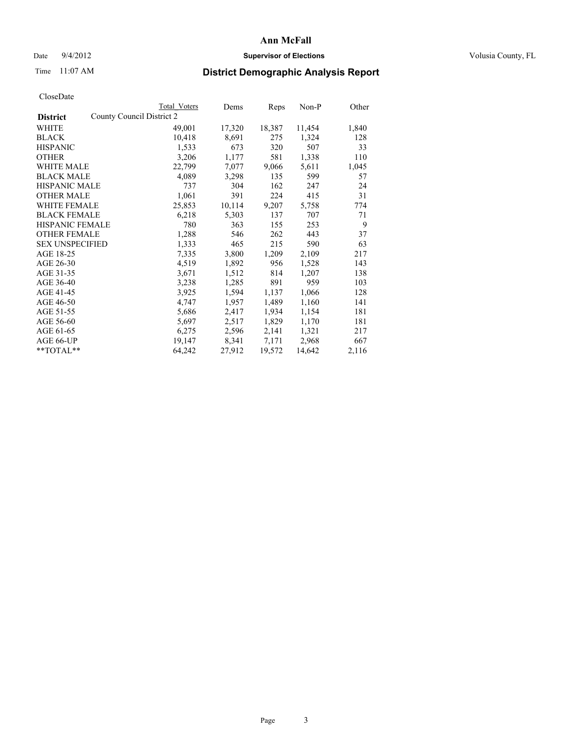### Date  $9/4/2012$  **Supervisor of Elections** Volusia County, FL

## Time 11:07 AM **District Demographic Analysis Report**

|                        |                           | <b>Total Voters</b> | Dems   | Reps   | Non-P  | Other |
|------------------------|---------------------------|---------------------|--------|--------|--------|-------|
| <b>District</b>        | County Council District 2 |                     |        |        |        |       |
| WHITE                  |                           | 49,001              | 17,320 | 18,387 | 11,454 | 1,840 |
| <b>BLACK</b>           |                           | 10,418              | 8,691  | 275    | 1,324  | 128   |
| <b>HISPANIC</b>        |                           | 1,533               | 673    | 320    | 507    | 33    |
| <b>OTHER</b>           |                           | 3,206               | 1,177  | 581    | 1,338  | 110   |
| WHITE MALE             |                           | 22,799              | 7,077  | 9,066  | 5,611  | 1,045 |
| <b>BLACK MALE</b>      |                           | 4,089               | 3,298  | 135    | 599    | 57    |
| <b>HISPANIC MALE</b>   |                           | 737                 | 304    | 162    | 247    | 24    |
| <b>OTHER MALE</b>      |                           | 1,061               | 391    | 224    | 415    | 31    |
| <b>WHITE FEMALE</b>    |                           | 25,853              | 10,114 | 9,207  | 5,758  | 774   |
| <b>BLACK FEMALE</b>    |                           | 6,218               | 5,303  | 137    | 707    | 71    |
| <b>HISPANIC FEMALE</b> |                           | 780                 | 363    | 155    | 253    | 9     |
| <b>OTHER FEMALE</b>    |                           | 1,288               | 546    | 262    | 443    | 37    |
| <b>SEX UNSPECIFIED</b> |                           | 1,333               | 465    | 215    | 590    | 63    |
| AGE 18-25              |                           | 7,335               | 3,800  | 1,209  | 2,109  | 217   |
| AGE 26-30              |                           | 4,519               | 1,892  | 956    | 1,528  | 143   |
| AGE 31-35              |                           | 3,671               | 1,512  | 814    | 1,207  | 138   |
| AGE 36-40              |                           | 3,238               | 1,285  | 891    | 959    | 103   |
| AGE 41-45              |                           | 3,925               | 1,594  | 1,137  | 1,066  | 128   |
| AGE 46-50              |                           | 4,747               | 1,957  | 1,489  | 1,160  | 141   |
| AGE 51-55              |                           | 5,686               | 2,417  | 1,934  | 1,154  | 181   |
| AGE 56-60              |                           | 5,697               | 2,517  | 1,829  | 1,170  | 181   |
| AGE 61-65              |                           | 6,275               | 2,596  | 2,141  | 1,321  | 217   |
| AGE 66-UP              |                           | 19,147              | 8,341  | 7,171  | 2,968  | 667   |
| **TOTAL**              |                           | 64,242              | 27,912 | 19,572 | 14,642 | 2,116 |
|                        |                           |                     |        |        |        |       |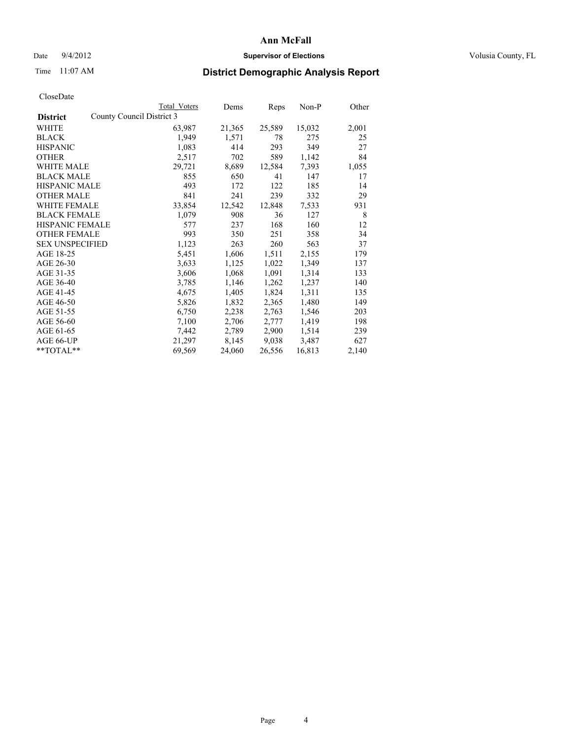### Date 9/4/2012 **Supervisor of Elections Supervisor of Elections** Volusia County, FL

## Time 11:07 AM **District Demographic Analysis Report**

| Total Voters              | Dems   | Reps   | $Non-P$ | Other |
|---------------------------|--------|--------|---------|-------|
| County Council District 3 |        |        |         |       |
| 63,987                    | 21,365 | 25,589 | 15,032  | 2,001 |
| 1,949                     | 1,571  | 78     | 275     | 25    |
| 1,083                     | 414    | 293    | 349     | 27    |
| 2,517                     | 702    | 589    | 1,142   | 84    |
| 29,721                    | 8,689  | 12,584 | 7,393   | 1,055 |
| 855                       | 650    | 41     | 147     | 17    |
| 493                       | 172    | 122    | 185     | 14    |
| 841                       | 241    | 239    | 332     | 29    |
| 33,854                    | 12,542 | 12,848 | 7,533   | 931   |
| 1,079                     | 908    | 36     | 127     | 8     |
| 577                       | 237    | 168    | 160     | 12    |
| 993                       | 350    | 251    | 358     | 34    |
| 1,123                     | 263    | 260    | 563     | 37    |
| 5,451                     | 1,606  | 1,511  | 2,155   | 179   |
| 3,633                     | 1,125  | 1,022  | 1,349   | 137   |
| 3,606                     | 1,068  | 1,091  | 1,314   | 133   |
| 3,785                     | 1,146  | 1,262  | 1,237   | 140   |
| 4,675                     | 1,405  | 1,824  | 1,311   | 135   |
| 5,826                     | 1,832  | 2,365  | 1,480   | 149   |
| 6,750                     | 2,238  | 2,763  | 1,546   | 203   |
| 7,100                     | 2,706  | 2,777  | 1,419   | 198   |
| 7,442                     | 2,789  | 2,900  | 1,514   | 239   |
| 21,297                    | 8,145  | 9,038  | 3,487   | 627   |
| 69,569                    | 24,060 | 26,556 | 16,813  | 2,140 |
|                           |        |        |         |       |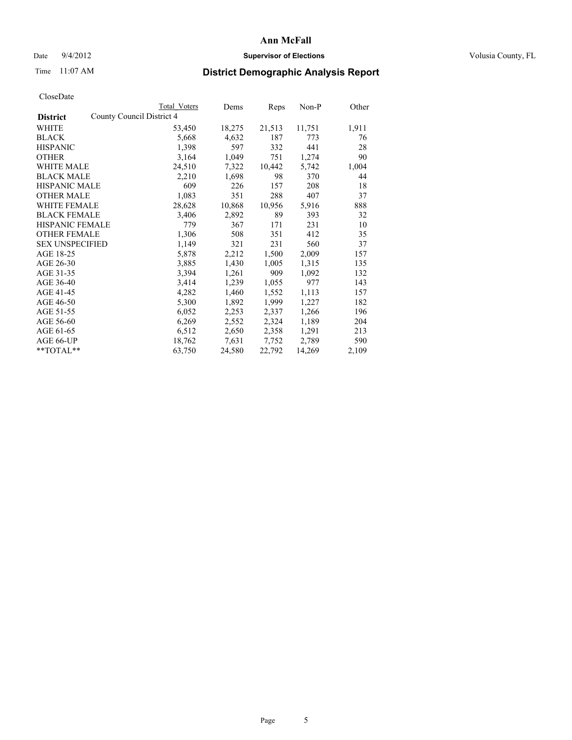### Date 9/4/2012 **Supervisor of Elections Supervisor of Elections** Volusia County, FL

# Time 11:07 AM **District Demographic Analysis Report**

|                                              |        |        |        |        | Other |
|----------------------------------------------|--------|--------|--------|--------|-------|
| County Council District 4<br><b>District</b> |        |        |        |        |       |
| <b>WHITE</b>                                 | 53,450 | 18,275 | 21,513 | 11,751 | 1,911 |
| <b>BLACK</b>                                 | 5,668  | 4,632  | 187    | 773    | 76    |
| <b>HISPANIC</b>                              | 1,398  | 597    | 332    | 441    | 28    |
| <b>OTHER</b>                                 | 3,164  | 1,049  | 751    | 1,274  | 90    |
| <b>WHITE MALE</b>                            | 24,510 | 7,322  | 10,442 | 5,742  | 1,004 |
| <b>BLACK MALE</b>                            | 2,210  | 1,698  | 98     | 370    | 44    |
| <b>HISPANIC MALE</b>                         | 609    | 226    | 157    | 208    | 18    |
| <b>OTHER MALE</b>                            | 1,083  | 351    | 288    | 407    | 37    |
| <b>WHITE FEMALE</b>                          | 28,628 | 10,868 | 10,956 | 5,916  | 888   |
| <b>BLACK FEMALE</b>                          | 3,406  | 2,892  | 89     | 393    | 32    |
| <b>HISPANIC FEMALE</b>                       | 779    | 367    | 171    | 231    | 10    |
| <b>OTHER FEMALE</b>                          | 1,306  | 508    | 351    | 412    | 35    |
| <b>SEX UNSPECIFIED</b>                       | 1,149  | 321    | 231    | 560    | 37    |
| AGE 18-25                                    | 5,878  | 2,212  | 1,500  | 2,009  | 157   |
| AGE 26-30                                    | 3,885  | 1,430  | 1,005  | 1,315  | 135   |
| AGE 31-35                                    | 3,394  | 1,261  | 909    | 1,092  | 132   |
| AGE 36-40                                    | 3,414  | 1,239  | 1,055  | 977    | 143   |
| AGE 41-45                                    | 4,282  | 1,460  | 1,552  | 1,113  | 157   |
| AGE 46-50                                    | 5,300  | 1,892  | 1,999  | 1,227  | 182   |
| AGE 51-55                                    | 6,052  | 2,253  | 2,337  | 1,266  | 196   |
| AGE 56-60                                    | 6,269  | 2,552  | 2,324  | 1,189  | 204   |
| AGE 61-65                                    | 6,512  | 2,650  | 2,358  | 1,291  | 213   |
| AGE 66-UP                                    | 18,762 | 7,631  | 7,752  | 2,789  | 590   |
| $*$ $TOTAL**$                                | 63,750 | 24,580 | 22,792 | 14,269 | 2,109 |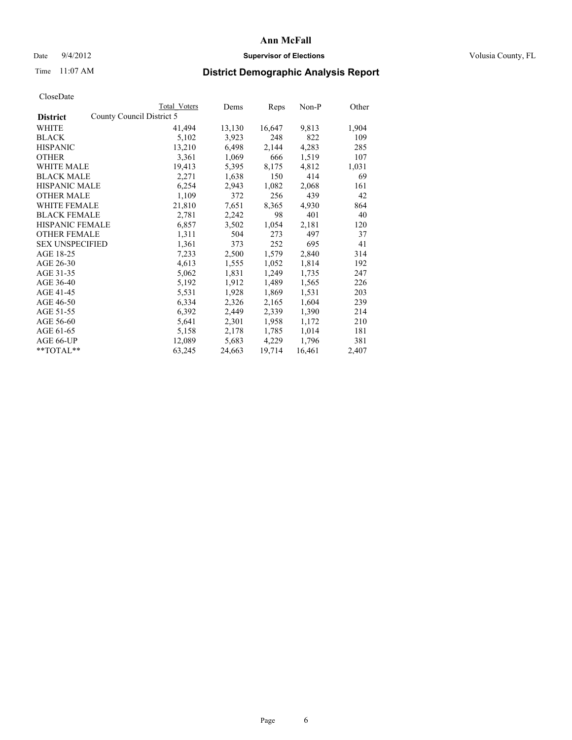### Date 9/4/2012 **Supervisor of Elections Supervisor of Elections** Volusia County, FL

## Time 11:07 AM **District Demographic Analysis Report**

|                        |                           | Total Voters | Dems   | <b>Reps</b> | Non-P  | Other |
|------------------------|---------------------------|--------------|--------|-------------|--------|-------|
| <b>District</b>        | County Council District 5 |              |        |             |        |       |
| <b>WHITE</b>           |                           | 41,494       | 13,130 | 16,647      | 9,813  | 1,904 |
| <b>BLACK</b>           |                           | 5,102        | 3,923  | 248         | 822    | 109   |
| <b>HISPANIC</b>        |                           | 13,210       | 6,498  | 2,144       | 4,283  | 285   |
| <b>OTHER</b>           |                           | 3,361        | 1,069  | 666         | 1,519  | 107   |
| <b>WHITE MALE</b>      |                           | 19,413       | 5,395  | 8,175       | 4,812  | 1,031 |
| <b>BLACK MALE</b>      |                           | 2,271        | 1,638  | 150         | 414    | 69    |
| <b>HISPANIC MALE</b>   |                           | 6,254        | 2,943  | 1,082       | 2,068  | 161   |
| <b>OTHER MALE</b>      |                           | 1,109        | 372    | 256         | 439    | 42    |
| <b>WHITE FEMALE</b>    |                           | 21,810       | 7,651  | 8,365       | 4,930  | 864   |
| <b>BLACK FEMALE</b>    |                           | 2,781        | 2,242  | 98          | 401    | 40    |
| <b>HISPANIC FEMALE</b> |                           | 6,857        | 3,502  | 1,054       | 2,181  | 120   |
| <b>OTHER FEMALE</b>    |                           | 1,311        | 504    | 273         | 497    | 37    |
| <b>SEX UNSPECIFIED</b> |                           | 1,361        | 373    | 252         | 695    | 41    |
| AGE 18-25              |                           | 7,233        | 2,500  | 1,579       | 2,840  | 314   |
| AGE 26-30              |                           | 4,613        | 1,555  | 1,052       | 1,814  | 192   |
| AGE 31-35              |                           | 5,062        | 1,831  | 1,249       | 1,735  | 247   |
| AGE 36-40              |                           | 5,192        | 1,912  | 1,489       | 1,565  | 226   |
| AGE 41-45              |                           | 5,531        | 1,928  | 1,869       | 1,531  | 203   |
| AGE 46-50              |                           | 6,334        | 2,326  | 2,165       | 1,604  | 239   |
| AGE 51-55              |                           | 6,392        | 2,449  | 2,339       | 1,390  | 214   |
| AGE 56-60              |                           | 5,641        | 2,301  | 1,958       | 1,172  | 210   |
| AGE 61-65              |                           | 5,158        | 2,178  | 1,785       | 1,014  | 181   |
| AGE 66-UP              |                           | 12,089       | 5,683  | 4,229       | 1,796  | 381   |
| $*$ $TOTAL**$          |                           | 63,245       | 24,663 | 19,714      | 16,461 | 2,407 |
|                        |                           |              |        |             |        |       |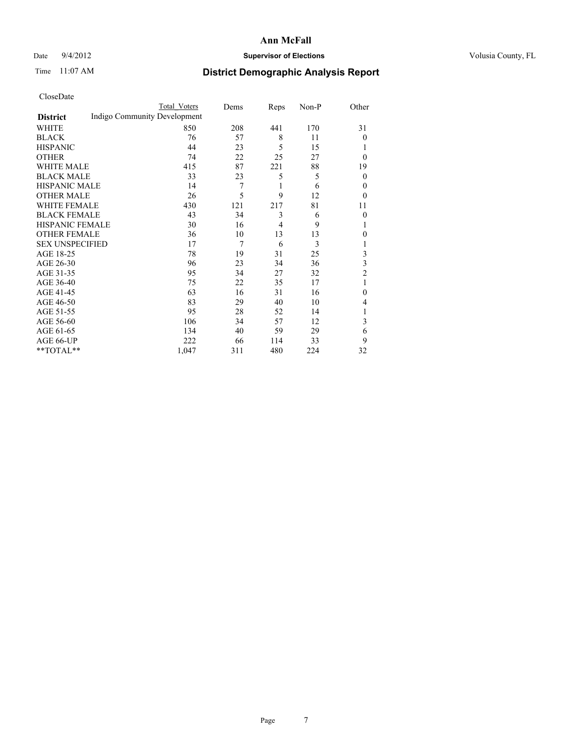### Date 9/4/2012 **Supervisor of Elections Supervisor of Elections** Volusia County, FL

# Time 11:07 AM **District Demographic Analysis Report**

|                        |                              | Total Voters | Dems | Reps           | Non-P | Other          |
|------------------------|------------------------------|--------------|------|----------------|-------|----------------|
| <b>District</b>        | Indigo Community Development |              |      |                |       |                |
| WHITE                  |                              | 850          | 208  | 441            | 170   | 31             |
| <b>BLACK</b>           |                              | 76           | 57   | 8              | 11    | $\Omega$       |
| <b>HISPANIC</b>        |                              | 44           | 23   | 5              | 15    | 1              |
| <b>OTHER</b>           |                              | 74           | 22   | 25             | 27    | $\theta$       |
| WHITE MALE             |                              | 415          | 87   | 221            | 88    | 19             |
| <b>BLACK MALE</b>      |                              | 33           | 23   | 5              | 5     | $\overline{0}$ |
| <b>HISPANIC MALE</b>   |                              | 14           | 7    | 1              | 6     | $\overline{0}$ |
| <b>OTHER MALE</b>      |                              | 26           | 5    | 9              | 12    | $\Omega$       |
| WHITE FEMALE           |                              | 430          | 121  | 217            | 81    | 11             |
| <b>BLACK FEMALE</b>    |                              | 43           | 34   | 3              | 6     | $\overline{0}$ |
| <b>HISPANIC FEMALE</b> |                              | 30           | 16   | $\overline{4}$ | 9     | 1              |
| <b>OTHER FEMALE</b>    |                              | 36           | 10   | 13             | 13    | $\theta$       |
| <b>SEX UNSPECIFIED</b> |                              | 17           | 7    | 6              | 3     | 1              |
| AGE 18-25              |                              | 78           | 19   | 31             | 25    | 3              |
| AGE 26-30              |                              | 96           | 23   | 34             | 36    | 3              |
| AGE 31-35              |                              | 95           | 34   | 27             | 32    | $\overline{2}$ |
| AGE 36-40              |                              | 75           | 22   | 35             | 17    | 1              |
| AGE 41-45              |                              | 63           | 16   | 31             | 16    | $\theta$       |
| AGE 46-50              |                              | 83           | 29   | 40             | 10    | 4              |
| AGE 51-55              |                              | 95           | 28   | 52             | 14    | 1              |
| AGE 56-60              |                              | 106          | 34   | 57             | 12    | 3              |
| AGE 61-65              |                              | 134          | 40   | 59             | 29    | 6              |
| AGE 66-UP              |                              | 222          | 66   | 114            | 33    | 9              |
| $*$ TOTAL $**$         |                              | 1,047        | 311  | 480            | 224   | 32             |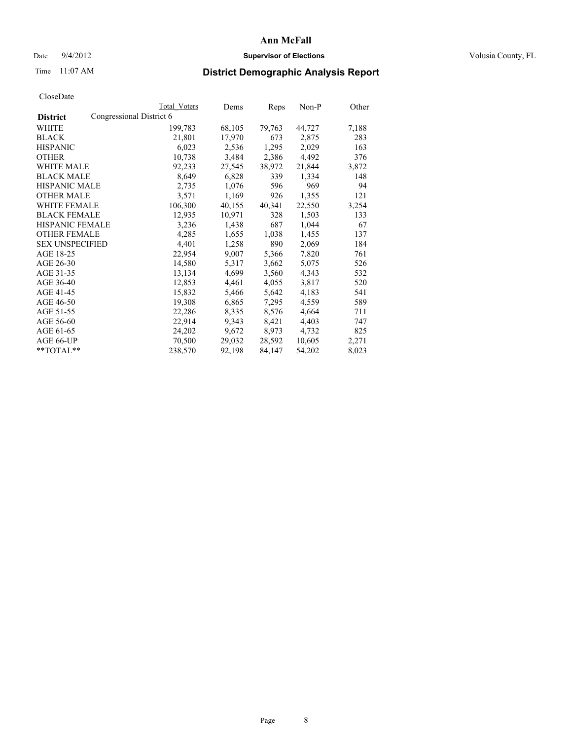### Date 9/4/2012 **Supervisor of Elections Supervisor of Elections** Volusia County, FL

## Time 11:07 AM **District Demographic Analysis Report**

|                        |                          | Total Voters | Dems   | <b>Reps</b> | Non-P  | Other |
|------------------------|--------------------------|--------------|--------|-------------|--------|-------|
| <b>District</b>        | Congressional District 6 |              |        |             |        |       |
| WHITE                  |                          | 199,783      | 68,105 | 79,763      | 44,727 | 7,188 |
| <b>BLACK</b>           |                          | 21,801       | 17,970 | 673         | 2,875  | 283   |
| <b>HISPANIC</b>        |                          | 6,023        | 2,536  | 1,295       | 2,029  | 163   |
| <b>OTHER</b>           |                          | 10,738       | 3,484  | 2,386       | 4,492  | 376   |
| <b>WHITE MALE</b>      |                          | 92,233       | 27,545 | 38,972      | 21,844 | 3,872 |
| <b>BLACK MALE</b>      |                          | 8,649        | 6,828  | 339         | 1,334  | 148   |
| <b>HISPANIC MALE</b>   |                          | 2,735        | 1,076  | 596         | 969    | 94    |
| <b>OTHER MALE</b>      |                          | 3,571        | 1,169  | 926         | 1,355  | 121   |
| <b>WHITE FEMALE</b>    |                          | 106,300      | 40,155 | 40,341      | 22,550 | 3,254 |
| <b>BLACK FEMALE</b>    |                          | 12,935       | 10,971 | 328         | 1,503  | 133   |
| HISPANIC FEMALE        |                          | 3,236        | 1,438  | 687         | 1,044  | 67    |
| <b>OTHER FEMALE</b>    |                          | 4,285        | 1,655  | 1,038       | 1,455  | 137   |
| <b>SEX UNSPECIFIED</b> |                          | 4,401        | 1,258  | 890         | 2,069  | 184   |
| AGE 18-25              |                          | 22,954       | 9,007  | 5,366       | 7,820  | 761   |
| AGE 26-30              |                          | 14,580       | 5,317  | 3,662       | 5,075  | 526   |
| AGE 31-35              |                          | 13,134       | 4,699  | 3,560       | 4,343  | 532   |
| AGE 36-40              |                          | 12,853       | 4,461  | 4,055       | 3,817  | 520   |
| AGE 41-45              |                          | 15,832       | 5,466  | 5,642       | 4,183  | 541   |
| AGE 46-50              |                          | 19,308       | 6,865  | 7,295       | 4,559  | 589   |
| AGE 51-55              |                          | 22,286       | 8,335  | 8,576       | 4,664  | 711   |
| AGE 56-60              |                          | 22,914       | 9,343  | 8,421       | 4,403  | 747   |
| AGE 61-65              |                          | 24,202       | 9,672  | 8,973       | 4,732  | 825   |
| AGE 66-UP              |                          | 70,500       | 29,032 | 28,592      | 10,605 | 2,271 |
| $*$ $TOTAL**$          |                          | 238,570      | 92,198 | 84,147      | 54,202 | 8,023 |
|                        |                          |              |        |             |        |       |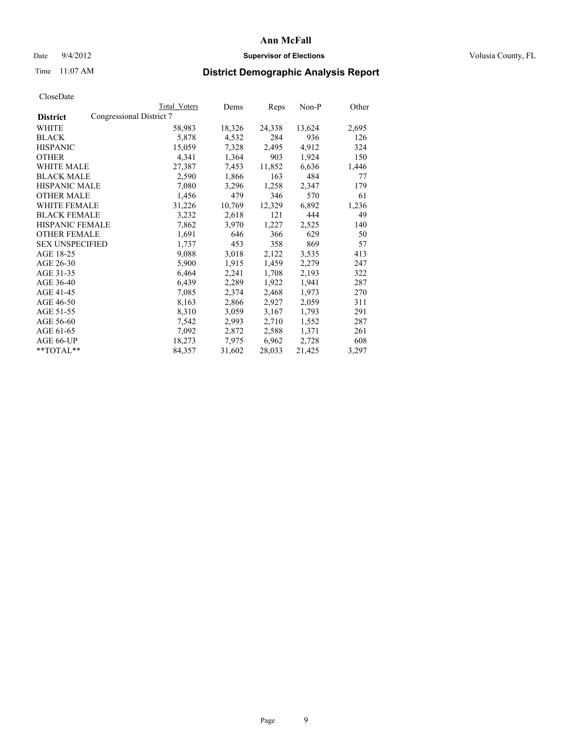### Date 9/4/2012 **Supervisor of Elections Supervisor of Elections** Volusia County, FL

## Time 11:07 AM **District Demographic Analysis Report**

| Congressional District 7<br>58,983 | 18,326 |        |        |       |
|------------------------------------|--------|--------|--------|-------|
|                                    |        |        |        |       |
|                                    |        | 24,338 | 13,624 | 2,695 |
|                                    | 4,532  | 284    | 936    | 126   |
| 15,059                             | 7,328  | 2,495  | 4,912  | 324   |
| 4,341                              | 1,364  | 903    | 1,924  | 150   |
| 27,387                             | 7,453  | 11,852 | 6,636  | 1,446 |
| 2,590                              | 1,866  | 163    | 484    | 77    |
| 7,080                              | 3,296  | 1,258  | 2,347  | 179   |
| 1,456                              | 479    | 346    | 570    | 61    |
| 31,226                             | 10,769 | 12,329 | 6,892  | 1,236 |
| 3,232                              | 2,618  | 121    | 444    | 49    |
| 7,862                              | 3,970  | 1,227  | 2,525  | 140   |
| 1,691                              | 646    | 366    | 629    | 50    |
| 1,737                              | 453    | 358    | 869    | 57    |
| 9,088                              | 3,018  | 2,122  | 3,535  | 413   |
| 5,900                              | 1,915  | 1,459  | 2,279  | 247   |
| 6,464                              | 2,241  | 1,708  | 2,193  | 322   |
| 6,439                              | 2,289  | 1,922  | 1,941  | 287   |
| 7,085                              | 2,374  | 2,468  | 1,973  | 270   |
| 8,163                              | 2,866  | 2,927  | 2,059  | 311   |
| 8,310                              | 3,059  | 3,167  | 1,793  | 291   |
| 7,542                              | 2,993  | 2,710  | 1,552  | 287   |
| 7,092                              | 2,872  | 2,588  | 1,371  | 261   |
| 18,273                             | 7,975  | 6,962  | 2,728  | 608   |
| 84,357                             | 31,602 | 28,033 | 21,425 | 3,297 |
|                                    | 5,878  |        |        |       |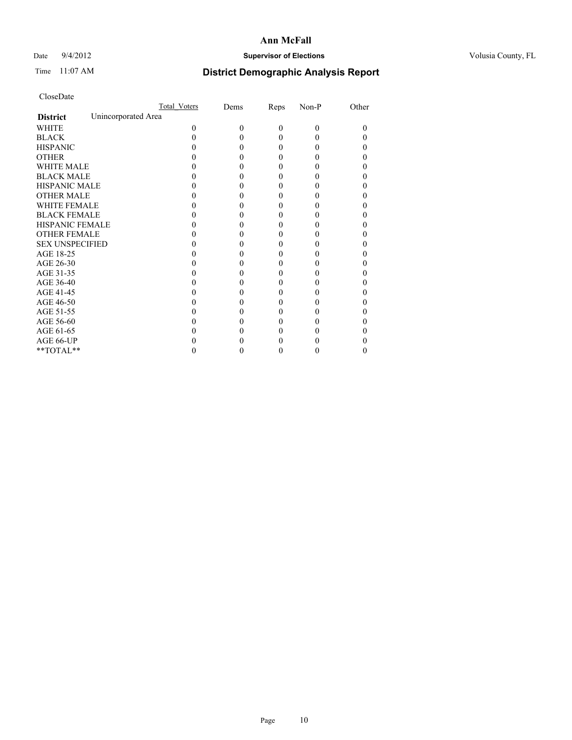## Date 9/4/2012 **Supervisor of Elections Supervisor of Elections** Volusia County, FL

## Time 11:07 AM **District Demographic Analysis Report**

|                                        | Total Voters | Dems     | Reps     | Non-P    | Other |
|----------------------------------------|--------------|----------|----------|----------|-------|
| Unincorporated Area<br><b>District</b> |              |          |          |          |       |
| <b>WHITE</b>                           | 0            | $\theta$ | $\theta$ | $\theta$ | 0     |
| <b>BLACK</b>                           |              |          | 0        | 0        |       |
| <b>HISPANIC</b>                        |              |          | 0        | 0        |       |
| <b>OTHER</b>                           |              |          | 0        |          |       |
| <b>WHITE MALE</b>                      |              |          | 0        |          |       |
| <b>BLACK MALE</b>                      |              |          | 0        |          |       |
| <b>HISPANIC MALE</b>                   |              |          | 0        |          |       |
| <b>OTHER MALE</b>                      |              |          | 0        |          |       |
| <b>WHITE FEMALE</b>                    |              |          | 0        |          |       |
| <b>BLACK FEMALE</b>                    |              |          | 0        | 0        |       |
| HISPANIC FEMALE                        |              |          |          |          |       |
| <b>OTHER FEMALE</b>                    |              |          | 0        |          |       |
| <b>SEX UNSPECIFIED</b>                 |              |          | 0        |          |       |
| AGE 18-25                              |              |          | 0        |          |       |
| AGE 26-30                              |              |          | 0        |          |       |
| AGE 31-35                              |              |          | 0        |          |       |
| AGE 36-40                              |              |          | 0        | 0        |       |
| AGE 41-45                              |              |          | 0        |          |       |
| AGE 46-50                              |              |          | 0        |          |       |
| AGE 51-55                              |              |          |          |          |       |
| AGE 56-60                              |              |          | 0        |          |       |
| AGE 61-65                              |              |          | 0        |          |       |
| AGE 66-UP                              |              |          |          |          |       |
| $**TOTAL**$                            |              |          | 0        | 0        | 0     |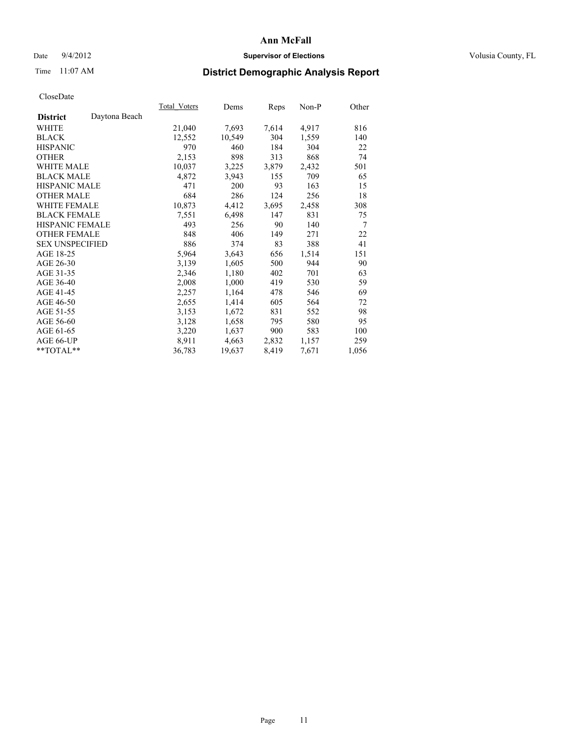### Date 9/4/2012 **Supervisor of Elections Supervisor of Elections** Volusia County, FL

# Time 11:07 AM **District Demographic Analysis Report**

|                        |               | Total Voters | Dems   | Reps  | Non-P | Other |
|------------------------|---------------|--------------|--------|-------|-------|-------|
| <b>District</b>        | Daytona Beach |              |        |       |       |       |
| <b>WHITE</b>           |               | 21,040       | 7,693  | 7,614 | 4,917 | 816   |
| <b>BLACK</b>           |               | 12,552       | 10,549 | 304   | 1,559 | 140   |
| <b>HISPANIC</b>        |               | 970          | 460    | 184   | 304   | 22    |
| <b>OTHER</b>           |               | 2,153        | 898    | 313   | 868   | 74    |
| <b>WHITE MALE</b>      |               | 10,037       | 3,225  | 3,879 | 2,432 | 501   |
| <b>BLACK MALE</b>      |               | 4,872        | 3,943  | 155   | 709   | 65    |
| <b>HISPANIC MALE</b>   |               | 471          | 200    | 93    | 163   | 15    |
| <b>OTHER MALE</b>      |               | 684          | 286    | 124   | 256   | 18    |
| <b>WHITE FEMALE</b>    |               | 10,873       | 4,412  | 3,695 | 2,458 | 308   |
| <b>BLACK FEMALE</b>    |               | 7,551        | 6,498  | 147   | 831   | 75    |
| HISPANIC FEMALE        |               | 493          | 256    | 90    | 140   | 7     |
| <b>OTHER FEMALE</b>    |               | 848          | 406    | 149   | 271   | 22    |
| <b>SEX UNSPECIFIED</b> |               | 886          | 374    | 83    | 388   | 41    |
| AGE 18-25              |               | 5,964        | 3,643  | 656   | 1,514 | 151   |
| AGE 26-30              |               | 3,139        | 1,605  | 500   | 944   | 90    |
| AGE 31-35              |               | 2,346        | 1,180  | 402   | 701   | 63    |
| AGE 36-40              |               | 2,008        | 1,000  | 419   | 530   | 59    |
| AGE 41-45              |               | 2,257        | 1,164  | 478   | 546   | 69    |
| AGE 46-50              |               | 2,655        | 1,414  | 605   | 564   | 72    |
| AGE 51-55              |               | 3,153        | 1,672  | 831   | 552   | 98    |
| AGE 56-60              |               | 3,128        | 1,658  | 795   | 580   | 95    |
| AGE 61-65              |               | 3,220        | 1,637  | 900   | 583   | 100   |
| AGE 66-UP              |               | 8,911        | 4,663  | 2,832 | 1,157 | 259   |
| $*$ $TOTAL**$          |               | 36,783       | 19,637 | 8,419 | 7,671 | 1,056 |
|                        |               |              |        |       |       |       |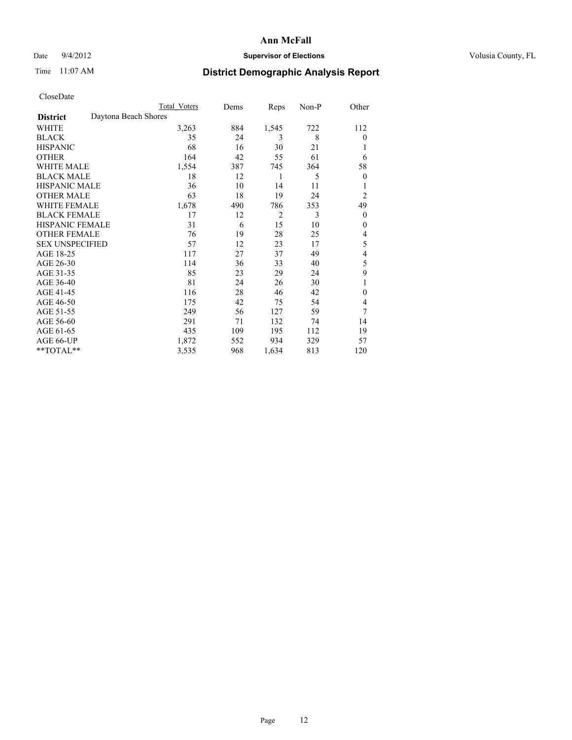## Date 9/4/2012 **Supervisor of Elections Supervisor of Elections** Volusia County, FL

# Time 11:07 AM **District Demographic Analysis Report**

|                        | Total Voters         | Dems | Reps           | Non-P | Other            |
|------------------------|----------------------|------|----------------|-------|------------------|
| <b>District</b>        | Daytona Beach Shores |      |                |       |                  |
| WHITE                  | 3,263                | 884  | 1,545          | 722   | 112              |
| <b>BLACK</b>           | 35                   | 24   | 3              | 8     | $\theta$         |
| <b>HISPANIC</b>        | 68                   | 16   | 30             | 21    |                  |
| <b>OTHER</b>           | 164                  | 42   | 55             | 61    | 6                |
| <b>WHITE MALE</b>      | 1,554                | 387  | 745            | 364   | 58               |
| <b>BLACK MALE</b>      | 18                   | 12   | 1              | 5     | $\boldsymbol{0}$ |
| <b>HISPANIC MALE</b>   | 36                   | 10   | 14             | 11    |                  |
| <b>OTHER MALE</b>      | 63                   | 18   | 19             | 24    | $\overline{c}$   |
| <b>WHITE FEMALE</b>    | 1,678                | 490  | 786            | 353   | 49               |
| <b>BLACK FEMALE</b>    | 17                   | 12   | $\overline{2}$ | 3     | $\overline{0}$   |
| <b>HISPANIC FEMALE</b> | 31                   | 6    | 15             | 10    | $\theta$         |
| <b>OTHER FEMALE</b>    | 76                   | 19   | 28             | 25    | 4                |
| <b>SEX UNSPECIFIED</b> | 57                   | 12   | 23             | 17    | 5                |
| AGE 18-25              | 117                  | 27   | 37             | 49    | 4                |
| AGE 26-30              | 114                  | 36   | 33             | 40    | 5                |
| AGE 31-35              | 85                   | 23   | 29             | 24    | 9                |
| AGE 36-40              | 81                   | 24   | 26             | 30    |                  |
| AGE 41-45              | 116                  | 28   | 46             | 42    | $\theta$         |
| AGE 46-50              | 175                  | 42   | 75             | 54    | 4                |
| AGE 51-55              | 249                  | 56   | 127            | 59    | 7                |
| AGE 56-60              | 291                  | 71   | 132            | 74    | 14               |
| AGE 61-65              | 435                  | 109  | 195            | 112   | 19               |
| AGE 66-UP              | 1,872                | 552  | 934            | 329   | 57               |
| $*$ TOTAL $*$          | 3,535                | 968  | 1,634          | 813   | 120              |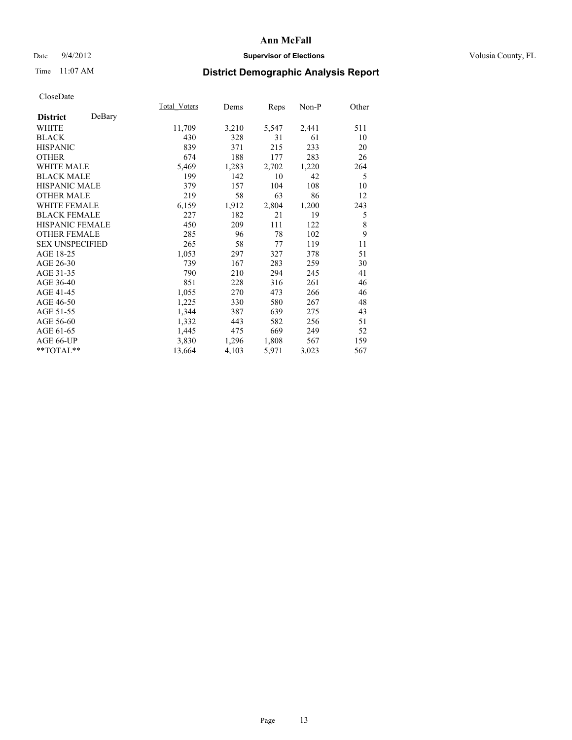## Date 9/4/2012 **Supervisor of Elections Supervisor of Elections** Volusia County, FL

# Time 11:07 AM **District Demographic Analysis Report**

| Total Voters | Dems  | <b>Reps</b> | Non-P | Other |
|--------------|-------|-------------|-------|-------|
|              |       |             |       |       |
| 11,709       | 3,210 | 5,547       | 2,441 | 511   |
| 430          | 328   | 31          | 61    | 10    |
| 839          | 371   | 215         | 233   | 20    |
| 674          | 188   | 177         | 283   | 26    |
| 5,469        | 1,283 | 2,702       | 1,220 | 264   |
| 199          | 142   | 10          | 42    | 5     |
| 379          | 157   | 104         | 108   | 10    |
| 219          | 58    | 63          | 86    | 12    |
| 6,159        | 1,912 | 2,804       | 1,200 | 243   |
| 227          | 182   | 21          | 19    | 5     |
| 450          | 209   | 111         | 122   | 8     |
| 285          | 96    | 78          | 102   | 9     |
| 265          | 58    | 77          | 119   | 11    |
| 1,053        | 297   | 327         | 378   | 51    |
| 739          | 167   | 283         | 259   | 30    |
| 790          | 210   | 294         | 245   | 41    |
| 851          | 228   | 316         | 261   | 46    |
| 1,055        | 270   | 473         | 266   | 46    |
| 1,225        | 330   | 580         | 267   | 48    |
| 1,344        | 387   | 639         | 275   | 43    |
| 1,332        | 443   | 582         | 256   | 51    |
| 1,445        | 475   | 669         | 249   | 52    |
| 3,830        | 1,296 | 1,808       | 567   | 159   |
| 13,664       | 4,103 | 5,971       | 3,023 | 567   |
|              |       |             |       |       |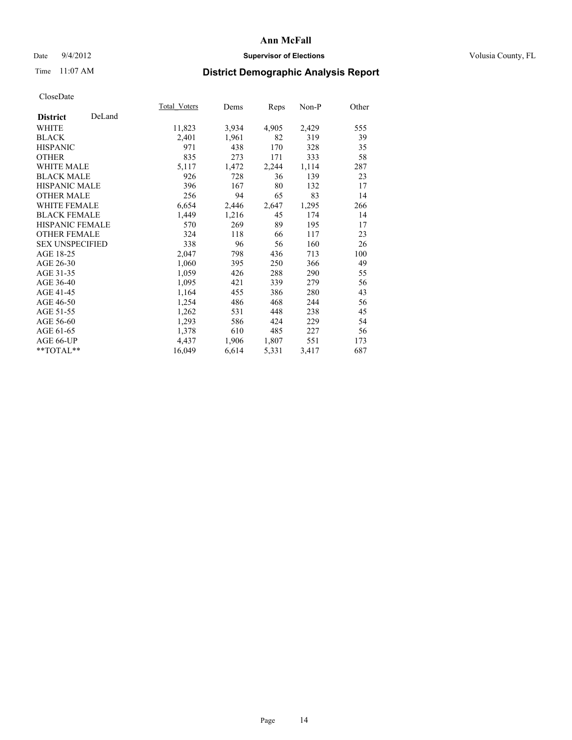## Date 9/4/2012 **Supervisor of Elections Supervisor of Elections** Volusia County, FL

# Time 11:07 AM **District Demographic Analysis Report**

|                           | Total Voters | Dems  | <b>Reps</b> | Non-P | Other |
|---------------------------|--------------|-------|-------------|-------|-------|
| DeLand<br><b>District</b> |              |       |             |       |       |
| <b>WHITE</b>              | 11,823       | 3,934 | 4,905       | 2,429 | 555   |
| <b>BLACK</b>              | 2,401        | 1,961 | 82          | 319   | 39    |
| <b>HISPANIC</b>           | 971          | 438   | 170         | 328   | 35    |
| <b>OTHER</b>              | 835          | 273   | 171         | 333   | 58    |
| <b>WHITE MALE</b>         | 5,117        | 1,472 | 2,244       | 1,114 | 287   |
| <b>BLACK MALE</b>         | 926          | 728   | 36          | 139   | 23    |
| HISPANIC MALE             | 396          | 167   | 80          | 132   | 17    |
| <b>OTHER MALE</b>         | 256          | 94    | 65          | 83    | 14    |
| <b>WHITE FEMALE</b>       | 6,654        | 2,446 | 2,647       | 1,295 | 266   |
| <b>BLACK FEMALE</b>       | 1,449        | 1,216 | 45          | 174   | 14    |
| <b>HISPANIC FEMALE</b>    | 570          | 269   | 89          | 195   | 17    |
| <b>OTHER FEMALE</b>       | 324          | 118   | 66          | 117   | 23    |
| <b>SEX UNSPECIFIED</b>    | 338          | 96    | 56          | 160   | 26    |
| AGE 18-25                 | 2,047        | 798   | 436         | 713   | 100   |
| AGE 26-30                 | 1,060        | 395   | 250         | 366   | 49    |
| AGE 31-35                 | 1,059        | 426   | 288         | 290   | 55    |
| AGE 36-40                 | 1,095        | 421   | 339         | 279   | 56    |
| AGE 41-45                 | 1,164        | 455   | 386         | 280   | 43    |
| AGE 46-50                 | 1,254        | 486   | 468         | 244   | 56    |
| AGE 51-55                 | 1,262        | 531   | 448         | 238   | 45    |
| AGE 56-60                 | 1,293        | 586   | 424         | 229   | 54    |
| AGE 61-65                 | 1,378        | 610   | 485         | 227   | 56    |
| AGE 66-UP                 | 4,437        | 1,906 | 1,807       | 551   | 173   |
| **TOTAL**                 | 16,049       | 6,614 | 5,331       | 3,417 | 687   |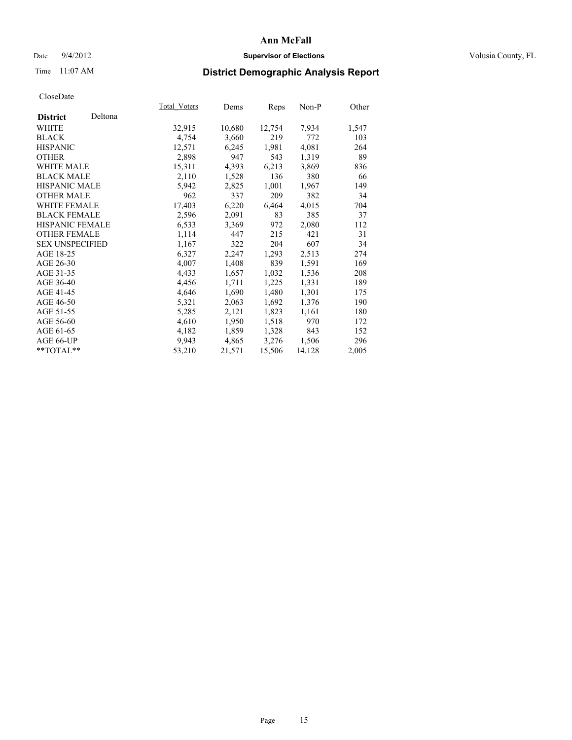## Date 9/4/2012 **Supervisor of Elections Supervisor of Elections** Volusia County, FL

# Time 11:07 AM **District Demographic Analysis Report**

| <b>Total Voters</b> | Dems   |        | Non-P  | Other |
|---------------------|--------|--------|--------|-------|
|                     |        |        |        |       |
| 32,915              | 10,680 | 12,754 | 7,934  | 1,547 |
| 4,754               | 3,660  | 219    | 772    | 103   |
| 12,571              | 6,245  | 1,981  | 4,081  | 264   |
| 2,898               | 947    | 543    | 1,319  | 89    |
| 15,311              | 4,393  | 6,213  | 3,869  | 836   |
| 2,110               | 1,528  | 136    | 380    | 66    |
| 5,942               | 2,825  | 1,001  | 1,967  | 149   |
| 962                 | 337    | 209    | 382    | 34    |
| 17,403              | 6,220  | 6,464  | 4,015  | 704   |
| 2,596               | 2,091  | 83     | 385    | 37    |
| 6,533               | 3,369  | 972    | 2,080  | 112   |
| 1,114               | 447    | 215    | 421    | 31    |
| 1,167               | 322    | 204    | 607    | 34    |
| 6,327               | 2,247  | 1,293  | 2,513  | 274   |
| 4,007               | 1,408  | 839    | 1,591  | 169   |
| 4,433               | 1,657  | 1,032  | 1,536  | 208   |
| 4,456               | 1,711  | 1,225  | 1,331  | 189   |
| 4,646               | 1,690  | 1,480  | 1,301  | 175   |
| 5,321               | 2,063  | 1,692  | 1,376  | 190   |
| 5,285               | 2,121  | 1,823  | 1,161  | 180   |
| 4,610               | 1,950  | 1,518  | 970    | 172   |
| 4,182               | 1,859  | 1,328  | 843    | 152   |
| 9,943               | 4,865  | 3,276  | 1,506  | 296   |
| 53,210              | 21,571 | 15,506 | 14,128 | 2,005 |
|                     |        |        | Reps   |       |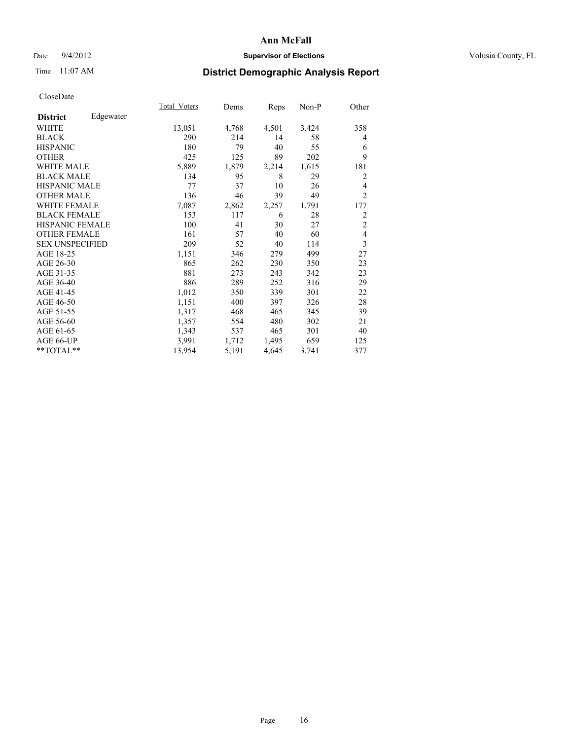## Date 9/4/2012 **Supervisor of Elections Supervisor of Elections** Volusia County, FL

# Time 11:07 AM **District Demographic Analysis Report**

|                        |           | Total Voters | Dems  | Reps  | Non-P | Other          |
|------------------------|-----------|--------------|-------|-------|-------|----------------|
| <b>District</b>        | Edgewater |              |       |       |       |                |
| WHITE                  |           | 13,051       | 4,768 | 4,501 | 3,424 | 358            |
| <b>BLACK</b>           |           | 290          | 214   | 14    | 58    | 4              |
| <b>HISPANIC</b>        |           | 180          | 79    | 40    | 55    | 6              |
| <b>OTHER</b>           |           | 425          | 125   | 89    | 202   | 9              |
| WHITE MALE             |           | 5,889        | 1,879 | 2,214 | 1,615 | 181            |
| <b>BLACK MALE</b>      |           | 134          | 95    | 8     | 29    | $\overline{2}$ |
| <b>HISPANIC MALE</b>   |           | 77           | 37    | 10    | 26    | 4              |
| <b>OTHER MALE</b>      |           | 136          | 46    | 39    | 49    | $\overline{2}$ |
| <b>WHITE FEMALE</b>    |           | 7,087        | 2,862 | 2,257 | 1,791 | 177            |
| <b>BLACK FEMALE</b>    |           | 153          | 117   | 6     | 28    | 2              |
| <b>HISPANIC FEMALE</b> |           | 100          | 41    | 30    | 27    | $\overline{2}$ |
| <b>OTHER FEMALE</b>    |           | 161          | 57    | 40    | 60    | $\overline{4}$ |
| <b>SEX UNSPECIFIED</b> |           | 209          | 52    | 40    | 114   | 3              |
| AGE 18-25              |           | 1,151        | 346   | 279   | 499   | 27             |
| AGE 26-30              |           | 865          | 262   | 230   | 350   | 23             |
| AGE 31-35              |           | 881          | 273   | 243   | 342   | 23             |
| AGE 36-40              |           | 886          | 289   | 252   | 316   | 29             |
| AGE 41-45              |           | 1,012        | 350   | 339   | 301   | 22             |
| AGE 46-50              |           | 1,151        | 400   | 397   | 326   | 28             |
| AGE 51-55              |           | 1,317        | 468   | 465   | 345   | 39             |
| AGE 56-60              |           | 1,357        | 554   | 480   | 302   | 21             |
| AGE 61-65              |           | 1,343        | 537   | 465   | 301   | 40             |
| AGE 66-UP              |           | 3,991        | 1,712 | 1,495 | 659   | 125            |
| **TOTAL**              |           | 13,954       | 5,191 | 4,645 | 3,741 | 377            |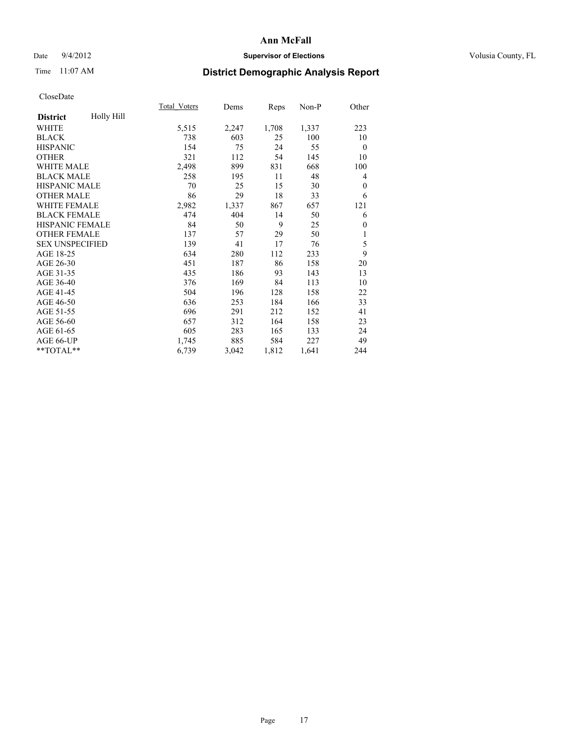## Date 9/4/2012 **Supervisor of Elections Supervisor of Elections** Volusia County, FL

# Time 11:07 AM **District Demographic Analysis Report**

|                        |            | Total Voters | Dems  | <b>Reps</b> | $Non-P$ | Other        |
|------------------------|------------|--------------|-------|-------------|---------|--------------|
| <b>District</b>        | Holly Hill |              |       |             |         |              |
| WHITE                  |            | 5,515        | 2,247 | 1,708       | 1,337   | 223          |
| <b>BLACK</b>           |            | 738          | 603   | 25          | 100     | 10           |
| <b>HISPANIC</b>        |            | 154          | 75    | 24          | 55      | $\theta$     |
| <b>OTHER</b>           |            | 321          | 112   | 54          | 145     | 10           |
| <b>WHITE MALE</b>      |            | 2,498        | 899   | 831         | 668     | 100          |
| <b>BLACK MALE</b>      |            | 258          | 195   | 11          | 48      | 4            |
| <b>HISPANIC MALE</b>   |            | 70           | 25    | 15          | 30      | $\theta$     |
| <b>OTHER MALE</b>      |            | 86           | 29    | 18          | 33      | 6            |
| <b>WHITE FEMALE</b>    |            | 2,982        | 1,337 | 867         | 657     | 121          |
| <b>BLACK FEMALE</b>    |            | 474          | 404   | 14          | 50      | 6            |
| HISPANIC FEMALE        |            | 84           | 50    | 9           | 25      | $\mathbf{0}$ |
| <b>OTHER FEMALE</b>    |            | 137          | 57    | 29          | 50      | 1            |
| <b>SEX UNSPECIFIED</b> |            | 139          | 41    | 17          | 76      | 5            |
| AGE 18-25              |            | 634          | 280   | 112         | 233     | 9            |
| AGE 26-30              |            | 451          | 187   | 86          | 158     | 20           |
| AGE 31-35              |            | 435          | 186   | 93          | 143     | 13           |
| AGE 36-40              |            | 376          | 169   | 84          | 113     | 10           |
| AGE 41-45              |            | 504          | 196   | 128         | 158     | 22           |
| AGE 46-50              |            | 636          | 253   | 184         | 166     | 33           |
| AGE 51-55              |            | 696          | 291   | 212         | 152     | 41           |
| AGE 56-60              |            | 657          | 312   | 164         | 158     | 23           |
| AGE 61-65              |            | 605          | 283   | 165         | 133     | 24           |
| AGE 66-UP              |            | 1,745        | 885   | 584         | 227     | 49           |
| **TOTAL**              |            | 6,739        | 3,042 | 1,812       | 1,641   | 244          |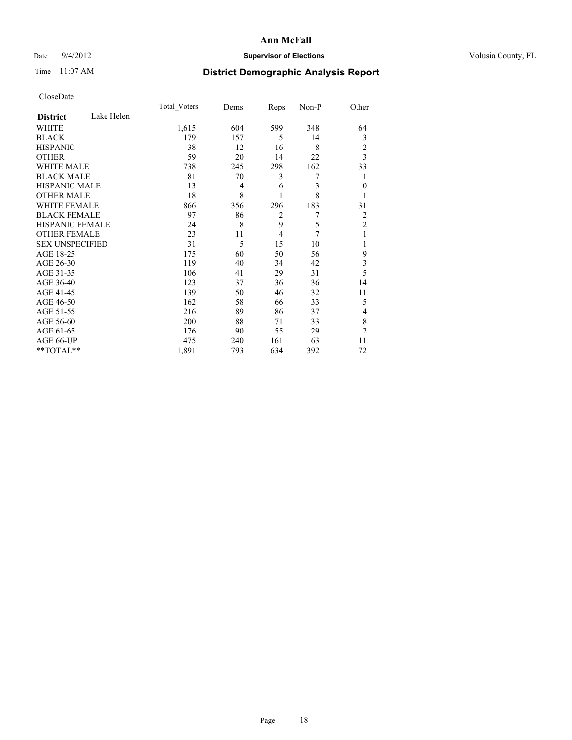## Date 9/4/2012 **Supervisor of Elections Supervisor of Elections** Volusia County, FL

# Time 11:07 AM **District Demographic Analysis Report**

|                        |            | Total Voters | Dems | Reps           | Non-P | Other          |
|------------------------|------------|--------------|------|----------------|-------|----------------|
| <b>District</b>        | Lake Helen |              |      |                |       |                |
| WHITE                  |            | 1,615        | 604  | 599            | 348   | 64             |
| <b>BLACK</b>           |            | 179          | 157  | 5              | 14    | 3              |
| <b>HISPANIC</b>        |            | 38           | 12   | 16             | 8     | $\overline{2}$ |
| <b>OTHER</b>           |            | 59           | 20   | 14             | 22    | 3              |
| <b>WHITE MALE</b>      |            | 738          | 245  | 298            | 162   | 33             |
| <b>BLACK MALE</b>      |            | 81           | 70   | 3              | 7     | 1              |
| <b>HISPANIC MALE</b>   |            | 13           | 4    | 6              | 3     | $\mathbf{0}$   |
| <b>OTHER MALE</b>      |            | 18           | 8    | 1              | 8     |                |
| <b>WHITE FEMALE</b>    |            | 866          | 356  | 296            | 183   | 31             |
| <b>BLACK FEMALE</b>    |            | 97           | 86   | $\overline{c}$ | 7     | 2              |
| HISPANIC FEMALE        |            | 24           | 8    | 9              | 5     | $\overline{2}$ |
| <b>OTHER FEMALE</b>    |            | 23           | 11   | $\overline{4}$ | 7     |                |
| <b>SEX UNSPECIFIED</b> |            | 31           | 5    | 15             | 10    |                |
| AGE 18-25              |            | 175          | 60   | 50             | 56    | 9              |
| AGE 26-30              |            | 119          | 40   | 34             | 42    | 3              |
| AGE 31-35              |            | 106          | 41   | 29             | 31    | 5              |
| AGE 36-40              |            | 123          | 37   | 36             | 36    | 14             |
| AGE 41-45              |            | 139          | 50   | 46             | 32    | 11             |
| AGE 46-50              |            | 162          | 58   | 66             | 33    | 5              |
| AGE 51-55              |            | 216          | 89   | 86             | 37    | 4              |
| AGE 56-60              |            | 200          | 88   | 71             | 33    | 8              |
| AGE 61-65              |            | 176          | 90   | 55             | 29    | $\overline{2}$ |
| AGE 66-UP              |            | 475          | 240  | 161            | 63    | 11             |
| **TOTAL**              |            | 1,891        | 793  | 634            | 392   | 72             |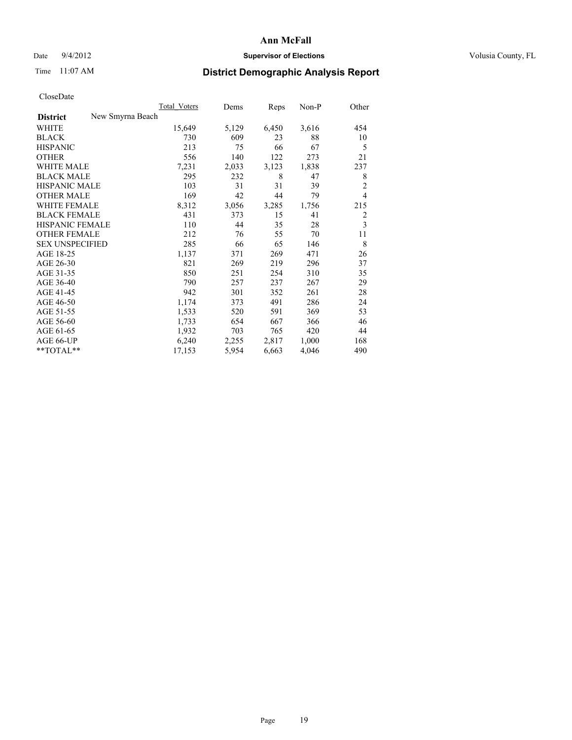### Date 9/4/2012 **Supervisor of Elections Supervisor of Elections** Volusia County, FL

# Time 11:07 AM **District Demographic Analysis Report**

|                                     | <b>Total Voters</b> | Dems  | Reps  | Non-P | Other          |
|-------------------------------------|---------------------|-------|-------|-------|----------------|
| New Smyrna Beach<br><b>District</b> |                     |       |       |       |                |
| WHITE                               | 15,649              | 5,129 | 6,450 | 3,616 | 454            |
| <b>BLACK</b>                        | 730                 | 609   | 23    | 88    | 10             |
| <b>HISPANIC</b>                     | 213                 | 75    | 66    | 67    | 5              |
| <b>OTHER</b>                        | 556                 | 140   | 122   | 273   | 21             |
| <b>WHITE MALE</b>                   | 7,231               | 2,033 | 3,123 | 1,838 | 237            |
| <b>BLACK MALE</b>                   | 295                 | 232   | 8     | 47    | 8              |
| <b>HISPANIC MALE</b>                | 103                 | 31    | 31    | 39    | $\overline{c}$ |
| <b>OTHER MALE</b>                   | 169                 | 42    | 44    | 79    | $\overline{4}$ |
| <b>WHITE FEMALE</b>                 | 8,312               | 3,056 | 3,285 | 1,756 | 215            |
| <b>BLACK FEMALE</b>                 | 431                 | 373   | 15    | 41    | $\overline{2}$ |
| HISPANIC FEMALE                     | 110                 | 44    | 35    | 28    | 3              |
| <b>OTHER FEMALE</b>                 | 212                 | 76    | 55    | 70    | 11             |
| <b>SEX UNSPECIFIED</b>              | 285                 | 66    | 65    | 146   | 8              |
| AGE 18-25                           | 1,137               | 371   | 269   | 471   | 26             |
| AGE 26-30                           | 821                 | 269   | 219   | 296   | 37             |
| AGE 31-35                           | 850                 | 251   | 254   | 310   | 35             |
| AGE 36-40                           | 790                 | 257   | 237   | 267   | 29             |
| AGE 41-45                           | 942                 | 301   | 352   | 261   | 28             |
| AGE 46-50                           | 1,174               | 373   | 491   | 286   | 24             |
| AGE 51-55                           | 1,533               | 520   | 591   | 369   | 53             |
| AGE 56-60                           | 1,733               | 654   | 667   | 366   | 46             |
| AGE 61-65                           | 1,932               | 703   | 765   | 420   | 44             |
| AGE 66-UP                           | 6,240               | 2,255 | 2,817 | 1,000 | 168            |
| $*$ $TOTAL**$                       | 17,153              | 5,954 | 6,663 | 4,046 | 490            |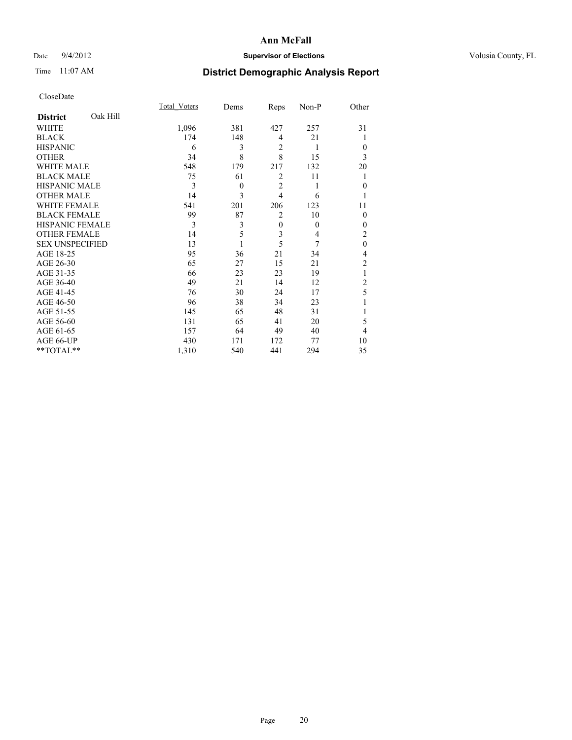## Date 9/4/2012 **Supervisor of Elections Supervisor of Elections** Volusia County, FL

# Time 11:07 AM **District Demographic Analysis Report**

|                        |          | <b>Total Voters</b> | Dems     | Reps           | Non-P    | Other          |
|------------------------|----------|---------------------|----------|----------------|----------|----------------|
| <b>District</b>        | Oak Hill |                     |          |                |          |                |
| <b>WHITE</b>           |          | 1,096               | 381      | 427            | 257      | 31             |
| <b>BLACK</b>           |          | 174                 | 148      | 4              | 21       |                |
| <b>HISPANIC</b>        |          | 6                   | 3        | 2              | 1        | $\Omega$       |
| <b>OTHER</b>           |          | 34                  | 8        | 8              | 15       | 3              |
| WHITE MALE             |          | 548                 | 179      | 217            | 132      | 20             |
| <b>BLACK MALE</b>      |          | 75                  | 61       | $\overline{2}$ | 11       | 1              |
| <b>HISPANIC MALE</b>   |          | 3                   | $\theta$ | $\overline{2}$ | 1        | $\Omega$       |
| <b>OTHER MALE</b>      |          | 14                  | 3        | $\overline{4}$ | 6        |                |
| <b>WHITE FEMALE</b>    |          | 541                 | 201      | 206            | 123      | 11             |
| <b>BLACK FEMALE</b>    |          | 99                  | 87       | $\overline{2}$ | 10       | $\Omega$       |
| <b>HISPANIC FEMALE</b> |          | 3                   | 3        | $\mathbf{0}$   | $\theta$ | $\Omega$       |
| <b>OTHER FEMALE</b>    |          | 14                  | 5        | 3              | 4        | 2              |
| <b>SEX UNSPECIFIED</b> |          | 13                  |          | 5              | 7        | $\mathbf{0}$   |
| AGE 18-25              |          | 95                  | 36       | 21             | 34       | 4              |
| AGE 26-30              |          | 65                  | 27       | 15             | 21       | $\overline{2}$ |
| AGE 31-35              |          | 66                  | 23       | 23             | 19       | 1              |
| AGE 36-40              |          | 49                  | 21       | 14             | 12       | $\overline{c}$ |
| AGE 41-45              |          | 76                  | 30       | 24             | 17       | 5              |
| AGE 46-50              |          | 96                  | 38       | 34             | 23       |                |
| AGE 51-55              |          | 145                 | 65       | 48             | 31       |                |
| AGE 56-60              |          | 131                 | 65       | 41             | 20       | 5              |
| AGE 61-65              |          | 157                 | 64       | 49             | 40       | 4              |
| AGE 66-UP              |          | 430                 | 171      | 172            | 77       | 10             |
| **TOTAL**              |          | 1,310               | 540      | 441            | 294      | 35             |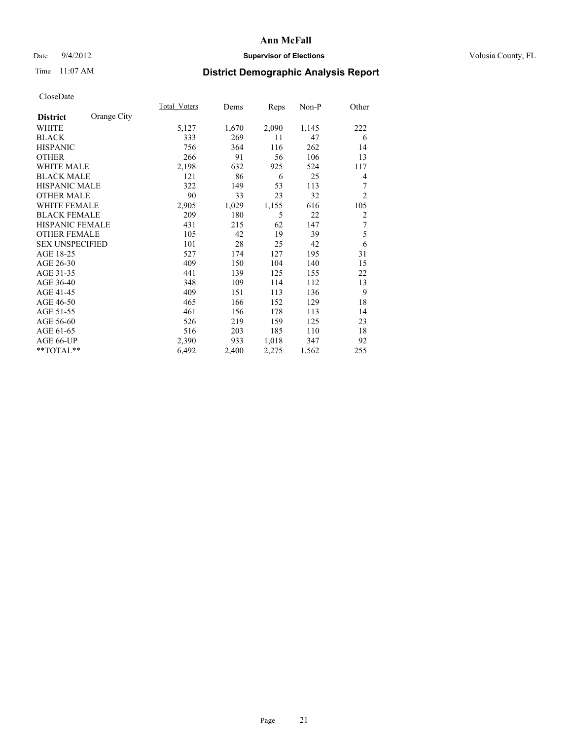## Date 9/4/2012 **Supervisor of Elections Supervisor of Elections** Volusia County, FL

# Time 11:07 AM **District Demographic Analysis Report**

|                        |             | Total Voters | Dems  | <b>Reps</b> | $Non-P$ | Other          |
|------------------------|-------------|--------------|-------|-------------|---------|----------------|
| <b>District</b>        | Orange City |              |       |             |         |                |
| WHITE                  |             | 5,127        | 1,670 | 2,090       | 1,145   | 222            |
| <b>BLACK</b>           |             | 333          | 269   | 11          | 47      | 6              |
| <b>HISPANIC</b>        |             | 756          | 364   | 116         | 262     | 14             |
| <b>OTHER</b>           |             | 266          | 91    | 56          | 106     | 13             |
| <b>WHITE MALE</b>      |             | 2,198        | 632   | 925         | 524     | 117            |
| <b>BLACK MALE</b>      |             | 121          | 86    | 6           | 25      | 4              |
| <b>HISPANIC MALE</b>   |             | 322          | 149   | 53          | 113     | 7              |
| <b>OTHER MALE</b>      |             | 90           | 33    | 23          | 32      | $\overline{2}$ |
| <b>WHITE FEMALE</b>    |             | 2,905        | 1,029 | 1,155       | 616     | 105            |
| <b>BLACK FEMALE</b>    |             | 209          | 180   | 5           | 22      | 2              |
| <b>HISPANIC FEMALE</b> |             | 431          | 215   | 62          | 147     | 7              |
| <b>OTHER FEMALE</b>    |             | 105          | 42    | 19          | 39      | 5              |
| <b>SEX UNSPECIFIED</b> |             | 101          | 28    | 25          | 42      | 6              |
| AGE 18-25              |             | 527          | 174   | 127         | 195     | 31             |
| AGE 26-30              |             | 409          | 150   | 104         | 140     | 15             |
| AGE 31-35              |             | 441          | 139   | 125         | 155     | 22             |
| AGE 36-40              |             | 348          | 109   | 114         | 112     | 13             |
| AGE 41-45              |             | 409          | 151   | 113         | 136     | 9              |
| AGE 46-50              |             | 465          | 166   | 152         | 129     | 18             |
| AGE 51-55              |             | 461          | 156   | 178         | 113     | 14             |
| AGE 56-60              |             | 526          | 219   | 159         | 125     | 23             |
| AGE 61-65              |             | 516          | 203   | 185         | 110     | 18             |
| AGE 66-UP              |             | 2,390        | 933   | 1,018       | 347     | 92             |
| **TOTAL**              |             | 6,492        | 2,400 | 2,275       | 1,562   | 255            |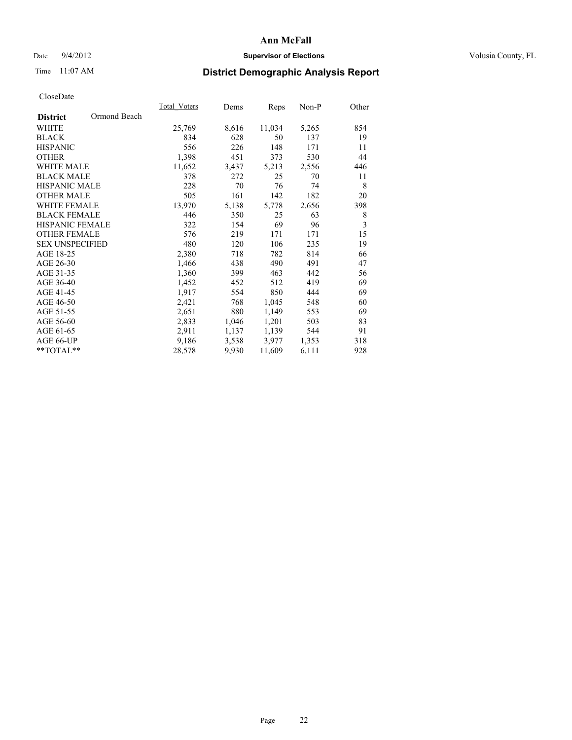## Date 9/4/2012 **Supervisor of Elections Supervisor of Elections** Volusia County, FL

# Time 11:07 AM **District Demographic Analysis Report**

| Total Voters | Dems  | <b>Reps</b> | Non-P | Other |
|--------------|-------|-------------|-------|-------|
|              |       |             |       |       |
| 25,769       | 8,616 | 11,034      | 5,265 | 854   |
| 834          | 628   | 50          | 137   | 19    |
| 556          | 226   | 148         | 171   | 11    |
| 1,398        | 451   | 373         | 530   | 44    |
| 11,652       | 3,437 | 5,213       | 2,556 | 446   |
| 378          | 272   | 25          | 70    | 11    |
| 228          | 70    | 76          | 74    | 8     |
| 505          | 161   | 142         | 182   | 20    |
| 13,970       | 5,138 | 5,778       | 2,656 | 398   |
| 446          | 350   | 25          | 63    | 8     |
| 322          | 154   | 69          | 96    | 3     |
| 576          | 219   | 171         | 171   | 15    |
| 480          | 120   | 106         | 235   | 19    |
| 2,380        | 718   | 782         | 814   | 66    |
| 1,466        | 438   | 490         | 491   | 47    |
| 1,360        | 399   | 463         | 442   | 56    |
| 1,452        | 452   | 512         | 419   | 69    |
| 1,917        | 554   | 850         | 444   | 69    |
| 2,421        | 768   | 1,045       | 548   | 60    |
| 2,651        | 880   | 1,149       | 553   | 69    |
| 2,833        | 1,046 | 1,201       | 503   | 83    |
| 2,911        | 1,137 | 1,139       | 544   | 91    |
| 9,186        | 3,538 | 3,977       | 1,353 | 318   |
| 28,578       | 9,930 | 11,609      | 6,111 | 928   |
|              |       |             |       |       |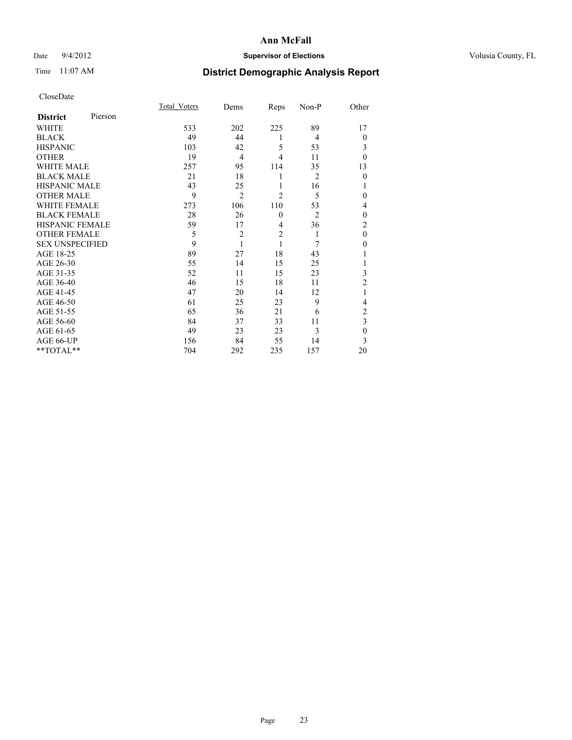## Date 9/4/2012 **Supervisor of Elections Supervisor of Elections** Volusia County, FL

# Time 11:07 AM **District Demographic Analysis Report**

|                        |         | Total Voters | Dems           | Reps           | Non-P          | Other          |
|------------------------|---------|--------------|----------------|----------------|----------------|----------------|
| <b>District</b>        | Pierson |              |                |                |                |                |
| WHITE                  |         | 533          | 202            | 225            | 89             | 17             |
| <b>BLACK</b>           |         | 49           | 44             | 1              | 4              | $\theta$       |
| <b>HISPANIC</b>        |         | 103          | 42             | 5              | 53             | 3              |
| <b>OTHER</b>           |         | 19           | $\overline{4}$ | 4              | 11             | $\theta$       |
| WHITE MALE             |         | 257          | 95             | 114            | 35             | 13             |
| <b>BLACK MALE</b>      |         | 21           | 18             | 1              | 2              | $\mathbf{0}$   |
| <b>HISPANIC MALE</b>   |         | 43           | 25             | 1              | 16             |                |
| <b>OTHER MALE</b>      |         | 9            | $\overline{2}$ | $\overline{2}$ | 5              | 0              |
| WHITE FEMALE           |         | 273          | 106            | 110            | 53             | 4              |
| <b>BLACK FEMALE</b>    |         | 28           | 26             | $\mathbf{0}$   | $\overline{2}$ | $\theta$       |
| <b>HISPANIC FEMALE</b> |         | 59           | 17             | $\overline{4}$ | 36             | $\overline{c}$ |
| <b>OTHER FEMALE</b>    |         | 5            | $\overline{c}$ | $\overline{c}$ | 1              | $\theta$       |
| <b>SEX UNSPECIFIED</b> |         | 9            | 1              | 1              | 7              | $\theta$       |
| AGE 18-25              |         | 89           | 27             | 18             | 43             |                |
| AGE 26-30              |         | 55           | 14             | 15             | 25             | 1              |
| AGE 31-35              |         | 52           | 11             | 15             | 23             | 3              |
| AGE 36-40              |         | 46           | 15             | 18             | 11             | $\overline{2}$ |
| AGE 41-45              |         | 47           | 20             | 14             | 12             |                |
| AGE 46-50              |         | 61           | 25             | 23             | 9              | 4              |
| AGE 51-55              |         | 65           | 36             | 21             | 6              | $\overline{c}$ |
| AGE 56-60              |         | 84           | 37             | 33             | 11             | 3              |
| AGE 61-65              |         | 49           | 23             | 23             | 3              | $\mathbf{0}$   |
| AGE 66-UP              |         | 156          | 84             | 55             | 14             | 3              |
| **TOTAL**              |         | 704          | 292            | 235            | 157            | 20             |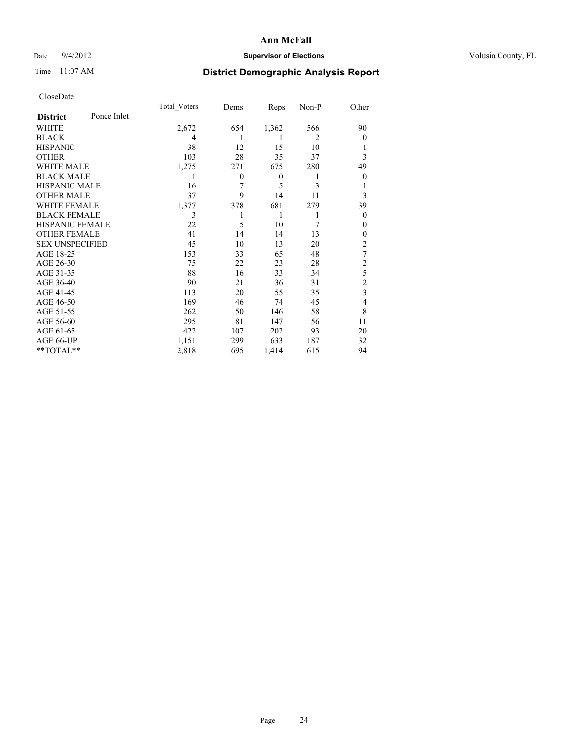## Date 9/4/2012 **Supervisor of Elections Supervisor of Elections** Volusia County, FL

# Time 11:07 AM **District Demographic Analysis Report**

|                        |             | <b>Total Voters</b> | Dems         | Reps             | Non-P          | Other                   |
|------------------------|-------------|---------------------|--------------|------------------|----------------|-------------------------|
| <b>District</b>        | Ponce Inlet |                     |              |                  |                |                         |
| WHITE                  |             | 2,672               | 654          | 1,362            | 566            | 90                      |
| <b>BLACK</b>           |             | 4                   | 1            | 1                | $\overline{2}$ | $\theta$                |
| <b>HISPANIC</b>        |             | 38                  | 12           | 15               | 10             | 1                       |
| <b>OTHER</b>           |             | 103                 | 28           | 35               | 37             | 3                       |
| WHITE MALE             |             | 1,275               | 271          | 675              | 280            | 49                      |
| <b>BLACK MALE</b>      |             | 1                   | $\mathbf{0}$ | $\boldsymbol{0}$ | 1              | $\overline{0}$          |
| <b>HISPANIC MALE</b>   |             | 16                  | 7            | 5                | 3              | 1                       |
| <b>OTHER MALE</b>      |             | 37                  | 9            | 14               | 11             | 3                       |
| WHITE FEMALE           |             | 1,377               | 378          | 681              | 279            | 39                      |
| <b>BLACK FEMALE</b>    |             | 3                   |              | 1                | 1              | $\theta$                |
| <b>HISPANIC FEMALE</b> |             | 22                  | 5            | 10               | 7              | $\theta$                |
| <b>OTHER FEMALE</b>    |             | 41                  | 14           | 14               | 13             | $\theta$                |
| <b>SEX UNSPECIFIED</b> |             | 45                  | 10           | 13               | 20             | $\overline{c}$          |
| AGE 18-25              |             | 153                 | 33           | 65               | 48             | 7                       |
| AGE 26-30              |             | 75                  | 22           | 23               | 28             | $\overline{c}$          |
| AGE 31-35              |             | 88                  | 16           | 33               | 34             | 5                       |
| AGE 36-40              |             | 90                  | 21           | 36               | 31             | $\overline{c}$          |
| AGE 41-45              |             | 113                 | 20           | 55               | 35             | $\overline{\mathbf{3}}$ |
| AGE 46-50              |             | 169                 | 46           | 74               | 45             | 4                       |
| AGE 51-55              |             | 262                 | 50           | 146              | 58             | 8                       |
| AGE 56-60              |             | 295                 | 81           | 147              | 56             | 11                      |
| AGE 61-65              |             | 422                 | 107          | 202              | 93             | 20                      |
| AGE 66-UP              |             | 1,151               | 299          | 633              | 187            | 32                      |
| **TOTAL**              |             | 2,818               | 695          | 1,414            | 615            | 94                      |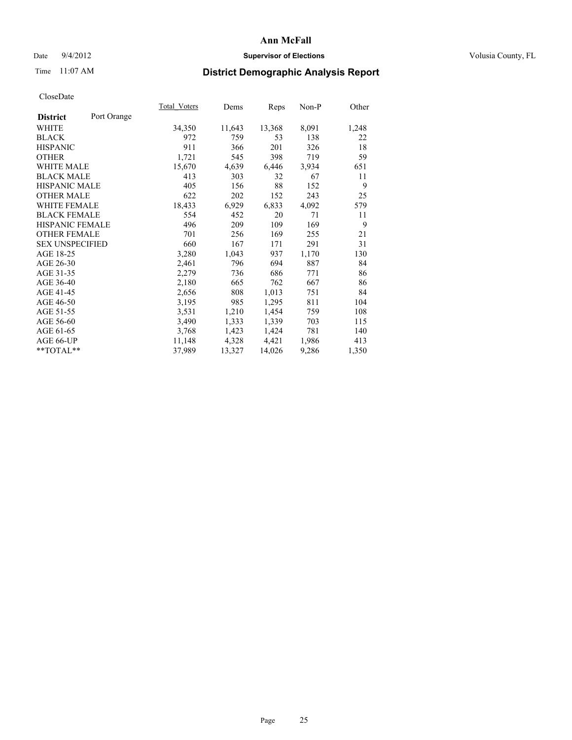### Date 9/4/2012 **Supervisor of Elections Supervisor of Elections** Volusia County, FL

# Time 11:07 AM **District Demographic Analysis Report**

|                        |             | Total Voters | Dems   | <b>Reps</b> | Non-P | Other |
|------------------------|-------------|--------------|--------|-------------|-------|-------|
| <b>District</b>        | Port Orange |              |        |             |       |       |
| WHITE                  |             | 34,350       | 11,643 | 13,368      | 8,091 | 1,248 |
| <b>BLACK</b>           |             | 972          | 759    | 53          | 138   | 22    |
| <b>HISPANIC</b>        |             | 911          | 366    | 201         | 326   | 18    |
| <b>OTHER</b>           |             | 1,721        | 545    | 398         | 719   | 59    |
| WHITE MALE             |             | 15,670       | 4,639  | 6,446       | 3,934 | 651   |
| <b>BLACK MALE</b>      |             | 413          | 303    | 32          | 67    | 11    |
| <b>HISPANIC MALE</b>   |             | 405          | 156    | 88          | 152   | 9     |
| <b>OTHER MALE</b>      |             | 622          | 202    | 152         | 243   | 25    |
| <b>WHITE FEMALE</b>    |             | 18,433       | 6,929  | 6,833       | 4,092 | 579   |
| <b>BLACK FEMALE</b>    |             | 554          | 452    | 20          | 71    | 11    |
| <b>HISPANIC FEMALE</b> |             | 496          | 209    | 109         | 169   | 9     |
| <b>OTHER FEMALE</b>    |             | 701          | 256    | 169         | 255   | 21    |
| <b>SEX UNSPECIFIED</b> |             | 660          | 167    | 171         | 291   | 31    |
| AGE 18-25              |             | 3,280        | 1,043  | 937         | 1,170 | 130   |
| AGE 26-30              |             | 2,461        | 796    | 694         | 887   | 84    |
| AGE 31-35              |             | 2,279        | 736    | 686         | 771   | 86    |
| AGE 36-40              |             | 2,180        | 665    | 762         | 667   | 86    |
| AGE 41-45              |             | 2,656        | 808    | 1,013       | 751   | 84    |
| AGE 46-50              |             | 3,195        | 985    | 1,295       | 811   | 104   |
| AGE 51-55              |             | 3,531        | 1,210  | 1,454       | 759   | 108   |
| AGE 56-60              |             | 3,490        | 1,333  | 1,339       | 703   | 115   |
| AGE 61-65              |             | 3,768        | 1,423  | 1,424       | 781   | 140   |
| AGE 66-UP              |             | 11,148       | 4,328  | 4,421       | 1,986 | 413   |
| $*$ TOTAL $*$          |             | 37,989       | 13,327 | 14,026      | 9,286 | 1,350 |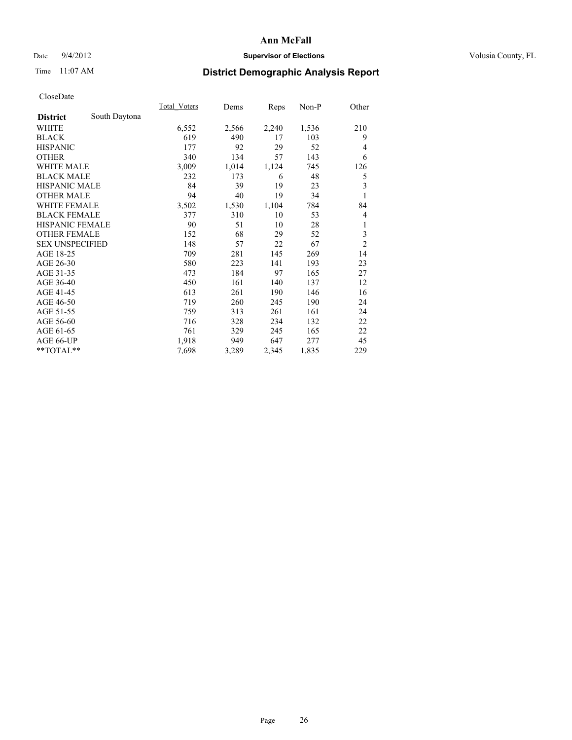### Date  $9/4/2012$  **Supervisor of Elections** Volusia County, FL

# Time 11:07 AM **District Demographic Analysis Report**

|                        |               | Total Voters | Dems  | Reps  | Non-P | Other          |
|------------------------|---------------|--------------|-------|-------|-------|----------------|
| <b>District</b>        | South Daytona |              |       |       |       |                |
| <b>WHITE</b>           |               | 6,552        | 2,566 | 2,240 | 1,536 | 210            |
| <b>BLACK</b>           |               | 619          | 490   | 17    | 103   | 9              |
| <b>HISPANIC</b>        |               | 177          | 92    | 29    | 52    | 4              |
| <b>OTHER</b>           |               | 340          | 134   | 57    | 143   | 6              |
| <b>WHITE MALE</b>      |               | 3,009        | 1,014 | 1,124 | 745   | 126            |
| <b>BLACK MALE</b>      |               | 232          | 173   | 6     | 48    | 5              |
| HISPANIC MALE          |               | 84           | 39    | 19    | 23    | 3              |
| <b>OTHER MALE</b>      |               | 94           | 40    | 19    | 34    | 1              |
| <b>WHITE FEMALE</b>    |               | 3,502        | 1,530 | 1,104 | 784   | 84             |
| <b>BLACK FEMALE</b>    |               | 377          | 310   | 10    | 53    | 4              |
| <b>HISPANIC FEMALE</b> |               | 90           | 51    | 10    | 28    | 1              |
| <b>OTHER FEMALE</b>    |               | 152          | 68    | 29    | 52    | 3              |
| <b>SEX UNSPECIFIED</b> |               | 148          | 57    | 22    | 67    | $\overline{c}$ |
| AGE 18-25              |               | 709          | 281   | 145   | 269   | 14             |
| AGE 26-30              |               | 580          | 223   | 141   | 193   | 23             |
| AGE 31-35              |               | 473          | 184   | 97    | 165   | 27             |
| AGE 36-40              |               | 450          | 161   | 140   | 137   | 12             |
| AGE 41-45              |               | 613          | 261   | 190   | 146   | 16             |
| AGE 46-50              |               | 719          | 260   | 245   | 190   | 24             |
| AGE 51-55              |               | 759          | 313   | 261   | 161   | 24             |
| AGE 56-60              |               | 716          | 328   | 234   | 132   | 22             |
| AGE 61-65              |               | 761          | 329   | 245   | 165   | 22             |
| AGE 66-UP              |               | 1,918        | 949   | 647   | 277   | 45             |
| **TOTAL**              |               | 7,698        | 3,289 | 2,345 | 1,835 | 229            |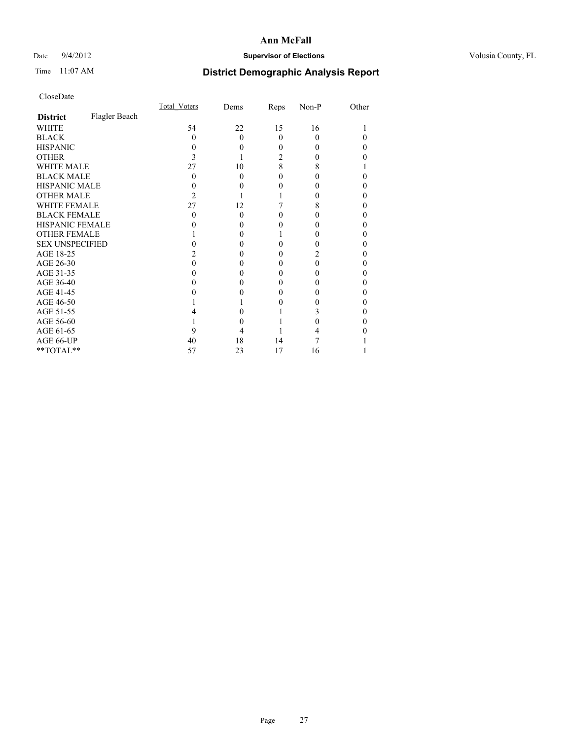### Date  $9/4/2012$  **Supervisor of Elections** Volusia County, FL

## Time 11:07 AM **District Demographic Analysis Report**

| <b>UIUSUDUI</b> U      |               |              |          |          |       |       |
|------------------------|---------------|--------------|----------|----------|-------|-------|
|                        |               | Total Voters | Dems     | Reps     | Non-P | Other |
| <b>District</b>        | Flagler Beach |              |          |          |       |       |
| <b>WHITE</b>           |               | 54           | 22       | 15       | 16    |       |
| <b>BLACK</b>           |               | 0            | $\Omega$ | $\theta$ | 0     | 0     |
| <b>HISPANIC</b>        |               |              | 0        | $\theta$ | 0     |       |
| <b>OTHER</b>           |               | 3            |          | 2        | 0     | 0     |
| WHITE MALE             |               | 27           | 10       | 8        | 8     |       |
| <b>BLACK MALE</b>      |               | 0            | $\theta$ | $\theta$ | 0     | 0     |
| <b>HISPANIC MALE</b>   |               |              | 0        | 0        | 0     | 0     |
| <b>OTHER MALE</b>      |               | 2            |          |          | 0     |       |
| WHITE FEMALE           |               | 27           | 12       |          | 8     | 0     |
| <b>BLACK FEMALE</b>    |               | 0            | $\Omega$ | 0        | 0     | 0     |
| <b>HISPANIC FEMALE</b> |               |              | 0        | 0        | 0     | 0     |
| <b>OTHER FEMALE</b>    |               |              | 0        |          | 0     | 0     |
| <b>SEX UNSPECIFIED</b> |               |              |          | 0        | 0     | 0     |
| AGE 18-25              |               |              | 0        | $\theta$ | 2     | 0     |
| AGE 26-30              |               |              |          | 0        | 0     | 0     |
| AGE 31-35              |               |              | 0        | 0        | 0     | 0     |
| AGE 36-40              |               |              | 0        | 0        | 0     | 0     |
| AGE 41-45              |               |              |          | 0        | 0     | 0     |
| AGE 46-50              |               |              |          | 0        | 0     | 0     |
| AGE 51-55              |               |              |          |          | 3     | 0     |
| AGE 56-60              |               |              | 0        |          | 0     | 0     |
| AGE 61-65              |               | 9            |          |          |       |       |
| AGE 66-UP              |               | 40           | 18       | 14       |       |       |
| **TOTAL**              |               | 57           | 23       | 17       | 16    |       |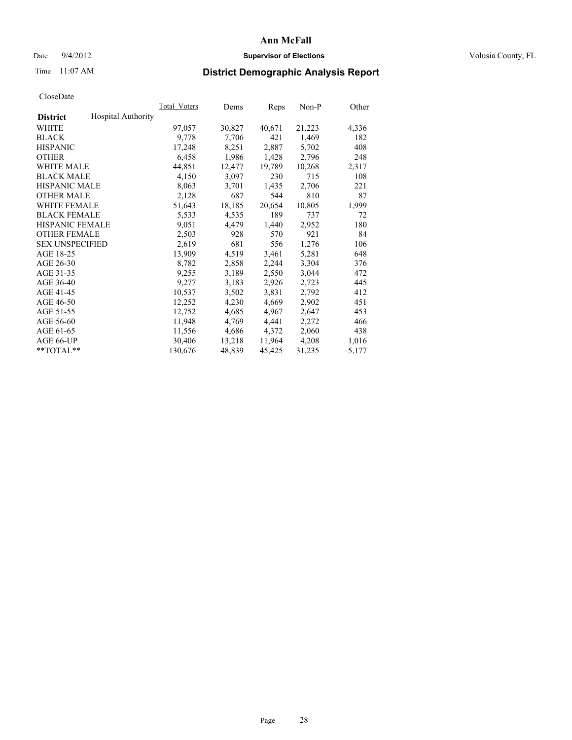## Date 9/4/2012 **Supervisor of Elections Supervisor of Elections** Volusia County, FL

# Time 11:07 AM **District Demographic Analysis Report**

|                        |                           | <b>Total Voters</b> | Dems   | <b>Reps</b> | Non-P  | Other |
|------------------------|---------------------------|---------------------|--------|-------------|--------|-------|
| <b>District</b>        | <b>Hospital Authority</b> |                     |        |             |        |       |
| WHITE                  |                           | 97,057              | 30,827 | 40,671      | 21,223 | 4,336 |
| <b>BLACK</b>           |                           | 9,778               | 7,706  | 421         | 1,469  | 182   |
| <b>HISPANIC</b>        |                           | 17,248              | 8,251  | 2,887       | 5,702  | 408   |
| <b>OTHER</b>           |                           | 6,458               | 1,986  | 1,428       | 2,796  | 248   |
| <b>WHITE MALE</b>      |                           | 44,851              | 12,477 | 19,789      | 10,268 | 2,317 |
| <b>BLACK MALE</b>      |                           | 4,150               | 3,097  | 230         | 715    | 108   |
| <b>HISPANIC MALE</b>   |                           | 8,063               | 3,701  | 1,435       | 2,706  | 221   |
| <b>OTHER MALE</b>      |                           | 2,128               | 687    | 544         | 810    | 87    |
| <b>WHITE FEMALE</b>    |                           | 51,643              | 18,185 | 20,654      | 10,805 | 1,999 |
| <b>BLACK FEMALE</b>    |                           | 5,533               | 4,535  | 189         | 737    | 72    |
| <b>HISPANIC FEMALE</b> |                           | 9,051               | 4,479  | 1,440       | 2,952  | 180   |
| <b>OTHER FEMALE</b>    |                           | 2,503               | 928    | 570         | 921    | 84    |
| <b>SEX UNSPECIFIED</b> |                           | 2,619               | 681    | 556         | 1,276  | 106   |
| AGE 18-25              |                           | 13,909              | 4,519  | 3,461       | 5,281  | 648   |
| AGE 26-30              |                           | 8,782               | 2,858  | 2,244       | 3,304  | 376   |
| AGE 31-35              |                           | 9,255               | 3,189  | 2,550       | 3,044  | 472   |
| AGE 36-40              |                           | 9,277               | 3,183  | 2,926       | 2,723  | 445   |
| AGE 41-45              |                           | 10,537              | 3,502  | 3,831       | 2,792  | 412   |
| AGE 46-50              |                           | 12,252              | 4,230  | 4,669       | 2,902  | 451   |
| AGE 51-55              |                           | 12,752              | 4,685  | 4,967       | 2,647  | 453   |
| AGE 56-60              |                           | 11,948              | 4,769  | 4,441       | 2,272  | 466   |
| AGE 61-65              |                           | 11,556              | 4,686  | 4,372       | 2,060  | 438   |
| AGE 66-UP              |                           | 30,406              | 13,218 | 11,964      | 4,208  | 1,016 |
| $*$ $TOTAL**$          |                           | 130,676             | 48,839 | 45,425      | 31,235 | 5,177 |
|                        |                           |                     |        |             |        |       |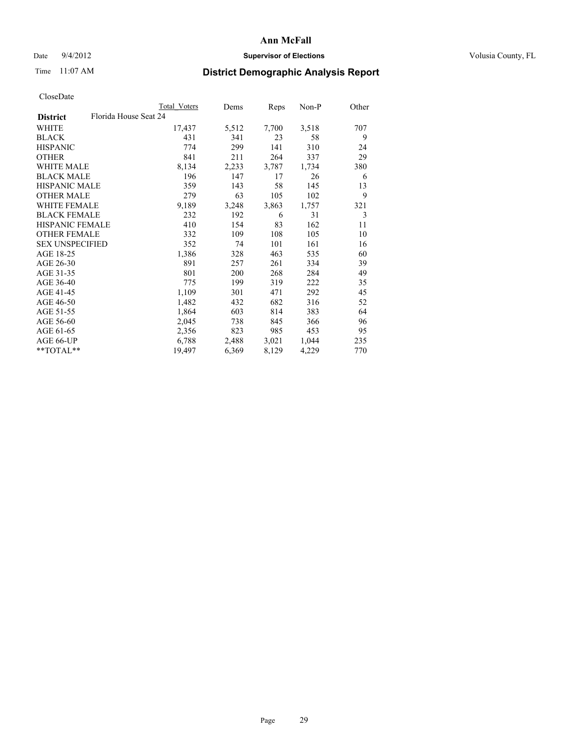## Date 9/4/2012 **Supervisor of Elections Supervisor of Elections** Volusia County, FL

# Time 11:07 AM **District Demographic Analysis Report**

| <b>Total Voters</b> | Dems                  | <b>Reps</b> | Non-P | Other |
|---------------------|-----------------------|-------------|-------|-------|
|                     |                       |             |       |       |
| 17,437              | 5,512                 | 7,700       | 3,518 | 707   |
| 431                 | 341                   | 23          | 58    | 9     |
| 774                 | 299                   | 141         | 310   | 24    |
| 841                 | 211                   | 264         | 337   | 29    |
| 8,134               | 2,233                 | 3,787       | 1,734 | 380   |
| 196                 | 147                   | 17          | 26    | 6     |
| 359                 | 143                   | 58          | 145   | 13    |
| 279                 | 63                    | 105         | 102   | 9     |
| 9,189               | 3,248                 | 3,863       | 1,757 | 321   |
| 232                 | 192                   | 6           | 31    | 3     |
| 410                 | 154                   | 83          | 162   | 11    |
| 332                 | 109                   | 108         | 105   | 10    |
| 352                 | 74                    | 101         | 161   | 16    |
| 1,386               | 328                   | 463         | 535   | 60    |
| 891                 | 257                   | 261         | 334   | 39    |
| 801                 | 200                   | 268         | 284   | 49    |
| 775                 | 199                   | 319         | 222   | 35    |
| 1,109               | 301                   | 471         | 292   | 45    |
| 1,482               | 432                   | 682         | 316   | 52    |
| 1,864               | 603                   | 814         | 383   | 64    |
| 2,045               | 738                   | 845         | 366   | 96    |
| 2,356               | 823                   | 985         | 453   | 95    |
| 6,788               | 2,488                 | 3,021       | 1,044 | 235   |
| 19,497              | 6,369                 | 8,129       | 4,229 | 770   |
|                     | Florida House Seat 24 |             |       |       |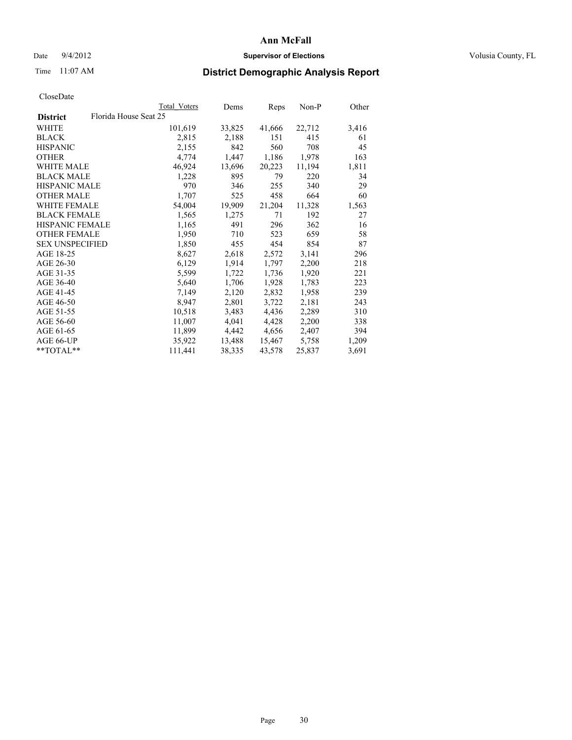## Date 9/4/2012 **Supervisor of Elections Supervisor of Elections** Volusia County, FL

# Time 11:07 AM **District Demographic Analysis Report**

|                                          | Total Voters | Dems   | <b>Reps</b> | $Non-P$ | Other |
|------------------------------------------|--------------|--------|-------------|---------|-------|
| Florida House Seat 25<br><b>District</b> |              |        |             |         |       |
| WHITE                                    | 101,619      | 33,825 | 41,666      | 22,712  | 3,416 |
| <b>BLACK</b>                             | 2,815        | 2,188  | 151         | 415     | 61    |
| <b>HISPANIC</b>                          | 2,155        | 842    | 560         | 708     | 45    |
| <b>OTHER</b>                             | 4,774        | 1,447  | 1,186       | 1,978   | 163   |
| <b>WHITE MALE</b>                        | 46,924       | 13,696 | 20,223      | 11,194  | 1,811 |
| <b>BLACK MALE</b>                        | 1,228        | 895    | 79          | 220     | 34    |
| <b>HISPANIC MALE</b>                     | 970          | 346    | 255         | 340     | 29    |
| <b>OTHER MALE</b>                        | 1,707        | 525    | 458         | 664     | 60    |
| <b>WHITE FEMALE</b>                      | 54,004       | 19,909 | 21,204      | 11,328  | 1,563 |
| <b>BLACK FEMALE</b>                      | 1,565        | 1,275  | 71          | 192     | 27    |
| <b>HISPANIC FEMALE</b>                   | 1,165        | 491    | 296         | 362     | 16    |
| <b>OTHER FEMALE</b>                      | 1,950        | 710    | 523         | 659     | 58    |
| <b>SEX UNSPECIFIED</b>                   | 1,850        | 455    | 454         | 854     | 87    |
| AGE 18-25                                | 8,627        | 2,618  | 2,572       | 3,141   | 296   |
| AGE 26-30                                | 6,129        | 1,914  | 1,797       | 2,200   | 218   |
| AGE 31-35                                | 5,599        | 1,722  | 1,736       | 1,920   | 221   |
| AGE 36-40                                | 5,640        | 1,706  | 1,928       | 1,783   | 223   |
| AGE 41-45                                | 7,149        | 2,120  | 2,832       | 1,958   | 239   |
| AGE 46-50                                | 8,947        | 2,801  | 3,722       | 2,181   | 243   |
| AGE 51-55                                | 10,518       | 3,483  | 4,436       | 2,289   | 310   |
| AGE 56-60                                | 11,007       | 4,041  | 4,428       | 2,200   | 338   |
| AGE 61-65                                | 11,899       | 4,442  | 4,656       | 2,407   | 394   |
| AGE 66-UP                                | 35,922       | 13,488 | 15,467      | 5,758   | 1,209 |
| $*$ TOTAL $*$                            | 111,441      | 38,335 | 43,578      | 25,837  | 3,691 |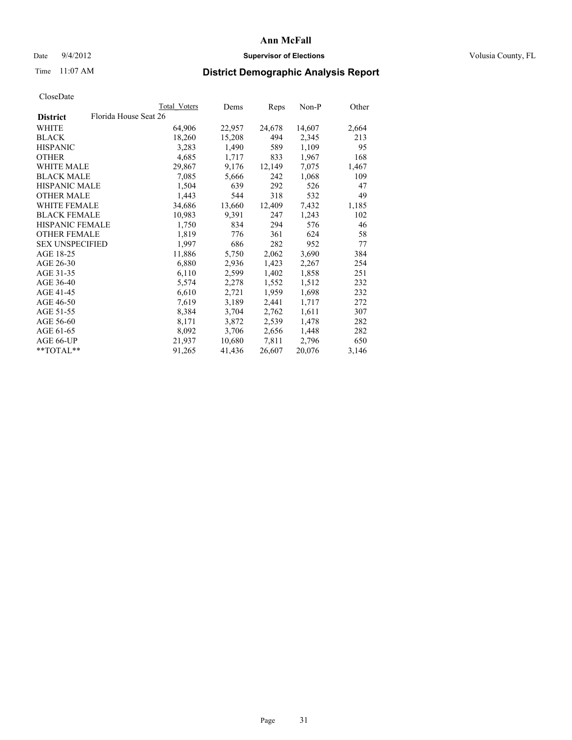### Date 9/4/2012 **Supervisor of Elections Supervisor of Elections** Volusia County, FL

# Time 11:07 AM **District Demographic Analysis Report**

|                        |                       | Total Voters | Dems   | <b>Reps</b> | Non-P  | Other |
|------------------------|-----------------------|--------------|--------|-------------|--------|-------|
| <b>District</b>        | Florida House Seat 26 |              |        |             |        |       |
| WHITE                  |                       | 64,906       | 22,957 | 24,678      | 14,607 | 2,664 |
| <b>BLACK</b>           |                       | 18,260       | 15,208 | 494         | 2,345  | 213   |
| <b>HISPANIC</b>        |                       | 3,283        | 1,490  | 589         | 1,109  | 95    |
| <b>OTHER</b>           |                       | 4,685        | 1,717  | 833         | 1,967  | 168   |
| <b>WHITE MALE</b>      |                       | 29,867       | 9,176  | 12,149      | 7,075  | 1,467 |
| <b>BLACK MALE</b>      |                       | 7,085        | 5,666  | 242         | 1,068  | 109   |
| <b>HISPANIC MALE</b>   |                       | 1,504        | 639    | 292         | 526    | 47    |
| <b>OTHER MALE</b>      |                       | 1,443        | 544    | 318         | 532    | 49    |
| <b>WHITE FEMALE</b>    |                       | 34,686       | 13,660 | 12,409      | 7.432  | 1,185 |
| <b>BLACK FEMALE</b>    |                       | 10,983       | 9.391  | 247         | 1,243  | 102   |
| <b>HISPANIC FEMALE</b> |                       | 1,750        | 834    | 294         | 576    | 46    |
| <b>OTHER FEMALE</b>    |                       | 1,819        | 776    | 361         | 624    | 58    |
| <b>SEX UNSPECIFIED</b> |                       | 1,997        | 686    | 282         | 952    | 77    |
| AGE 18-25              |                       | 11,886       | 5,750  | 2,062       | 3,690  | 384   |
| AGE 26-30              |                       | 6,880        | 2,936  | 1,423       | 2,267  | 254   |
| AGE 31-35              |                       | 6,110        | 2,599  | 1,402       | 1,858  | 251   |
| AGE 36-40              |                       | 5,574        | 2,278  | 1,552       | 1,512  | 232   |
| AGE 41-45              |                       | 6,610        | 2,721  | 1,959       | 1,698  | 232   |
| AGE 46-50              |                       | 7,619        | 3,189  | 2,441       | 1,717  | 272   |
| AGE 51-55              |                       | 8,384        | 3,704  | 2,762       | 1,611  | 307   |
| AGE 56-60              |                       | 8,171        | 3,872  | 2,539       | 1,478  | 282   |
| AGE 61-65              |                       | 8,092        | 3,706  | 2,656       | 1,448  | 282   |
| AGE 66-UP              |                       | 21,937       | 10,680 | 7,811       | 2,796  | 650   |
| $*$ $TOTAL**$          |                       | 91,265       | 41,436 | 26,607      | 20,076 | 3,146 |
|                        |                       |              |        |             |        |       |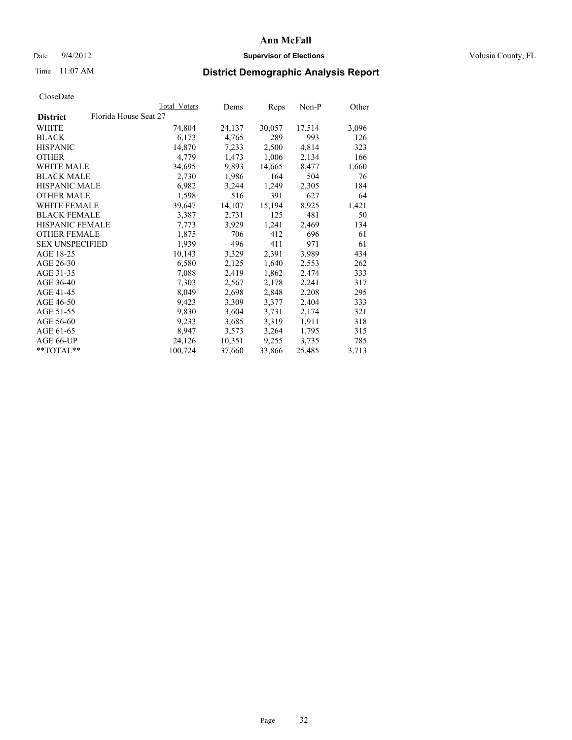## Date 9/4/2012 **Supervisor of Elections Supervisor of Elections** Volusia County, FL

# Time 11:07 AM **District Demographic Analysis Report**

|                        |                       | Total Voters | Dems   | Reps   | Non-P  | Other |
|------------------------|-----------------------|--------------|--------|--------|--------|-------|
| <b>District</b>        | Florida House Seat 27 |              |        |        |        |       |
| <b>WHITE</b>           |                       | 74,804       | 24,137 | 30,057 | 17,514 | 3,096 |
| <b>BLACK</b>           |                       | 6,173        | 4,765  | 289    | 993    | 126   |
| <b>HISPANIC</b>        |                       | 14,870       | 7,233  | 2,500  | 4,814  | 323   |
| <b>OTHER</b>           |                       | 4,779        | 1,473  | 1,006  | 2,134  | 166   |
| <b>WHITE MALE</b>      |                       | 34,695       | 9,893  | 14,665 | 8,477  | 1,660 |
| <b>BLACK MALE</b>      |                       | 2,730        | 1,986  | 164    | 504    | 76    |
| <b>HISPANIC MALE</b>   |                       | 6,982        | 3,244  | 1,249  | 2,305  | 184   |
| <b>OTHER MALE</b>      |                       | 1,598        | 516    | 391    | 627    | 64    |
| <b>WHITE FEMALE</b>    |                       | 39,647       | 14,107 | 15,194 | 8,925  | 1,421 |
| <b>BLACK FEMALE</b>    |                       | 3,387        | 2,731  | 125    | 481    | 50    |
| <b>HISPANIC FEMALE</b> |                       | 7,773        | 3,929  | 1,241  | 2,469  | 134   |
| <b>OTHER FEMALE</b>    |                       | 1,875        | 706    | 412    | 696    | 61    |
| <b>SEX UNSPECIFIED</b> |                       | 1,939        | 496    | 411    | 971    | 61    |
| AGE 18-25              |                       | 10,143       | 3,329  | 2,391  | 3,989  | 434   |
| AGE 26-30              |                       | 6,580        | 2,125  | 1,640  | 2,553  | 262   |
| AGE 31-35              |                       | 7,088        | 2,419  | 1,862  | 2,474  | 333   |
| AGE 36-40              |                       | 7,303        | 2,567  | 2,178  | 2,241  | 317   |
| AGE 41-45              |                       | 8,049        | 2,698  | 2,848  | 2,208  | 295   |
| AGE 46-50              |                       | 9,423        | 3,309  | 3,377  | 2,404  | 333   |
| AGE 51-55              |                       | 9,830        | 3,604  | 3,731  | 2,174  | 321   |
| AGE 56-60              |                       | 9,233        | 3,685  | 3,319  | 1,911  | 318   |
| AGE 61-65              |                       | 8,947        | 3,573  | 3,264  | 1,795  | 315   |
| AGE 66-UP              |                       | 24,126       | 10,351 | 9,255  | 3,735  | 785   |
| $*$ $TOTAL**$          |                       | 100,724      | 37,660 | 33,866 | 25,485 | 3,713 |
|                        |                       |              |        |        |        |       |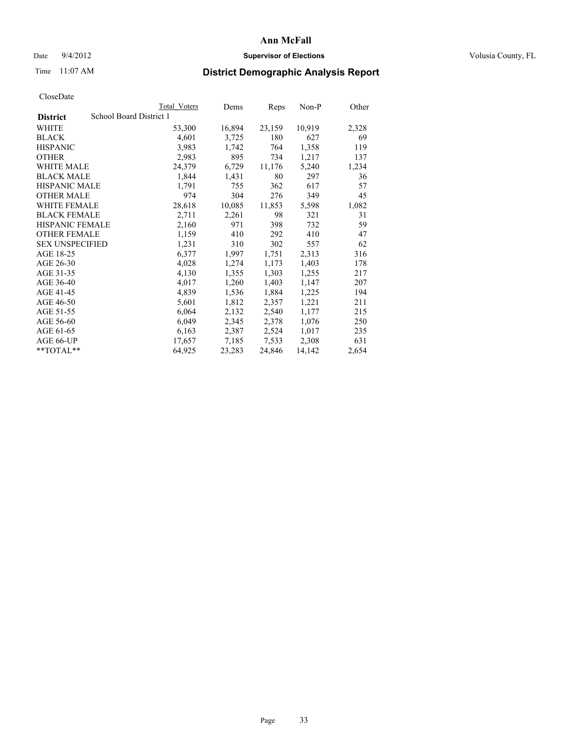### Date 9/4/2012 **Supervisor of Elections Supervisor of Elections** Volusia County, FL

## Time 11:07 AM **District Demographic Analysis Report**

|                        |                         | <b>Total Voters</b> | Dems   | Reps   | Non-P  | Other |
|------------------------|-------------------------|---------------------|--------|--------|--------|-------|
| <b>District</b>        | School Board District 1 |                     |        |        |        |       |
| <b>WHITE</b>           |                         | 53,300              | 16,894 | 23,159 | 10,919 | 2,328 |
| <b>BLACK</b>           |                         | 4,601               | 3,725  | 180    | 627    | 69    |
| <b>HISPANIC</b>        |                         | 3,983               | 1,742  | 764    | 1,358  | 119   |
| <b>OTHER</b>           |                         | 2,983               | 895    | 734    | 1,217  | 137   |
| <b>WHITE MALE</b>      |                         | 24,379              | 6,729  | 11,176 | 5,240  | 1,234 |
| <b>BLACK MALE</b>      |                         | 1,844               | 1,431  | 80     | 297    | 36    |
| <b>HISPANIC MALE</b>   |                         | 1,791               | 755    | 362    | 617    | 57    |
| <b>OTHER MALE</b>      |                         | 974                 | 304    | 276    | 349    | 45    |
| <b>WHITE FEMALE</b>    |                         | 28,618              | 10,085 | 11,853 | 5,598  | 1,082 |
| <b>BLACK FEMALE</b>    |                         | 2,711               | 2,261  | 98     | 321    | 31    |
| <b>HISPANIC FEMALE</b> |                         | 2,160               | 971    | 398    | 732    | 59    |
| <b>OTHER FEMALE</b>    |                         | 1,159               | 410    | 292    | 410    | 47    |
| <b>SEX UNSPECIFIED</b> |                         | 1,231               | 310    | 302    | 557    | 62    |
| AGE 18-25              |                         | 6,377               | 1,997  | 1,751  | 2,313  | 316   |
| AGE 26-30              |                         | 4,028               | 1,274  | 1,173  | 1,403  | 178   |
| AGE 31-35              |                         | 4,130               | 1,355  | 1,303  | 1,255  | 217   |
| AGE 36-40              |                         | 4,017               | 1,260  | 1,403  | 1,147  | 207   |
| AGE 41-45              |                         | 4,839               | 1,536  | 1,884  | 1,225  | 194   |
| AGE 46-50              |                         | 5,601               | 1,812  | 2,357  | 1,221  | 211   |
| AGE 51-55              |                         | 6,064               | 2,132  | 2,540  | 1,177  | 215   |
| AGE 56-60              |                         | 6,049               | 2,345  | 2,378  | 1,076  | 250   |
| AGE 61-65              |                         | 6,163               | 2,387  | 2,524  | 1,017  | 235   |
| AGE 66-UP              |                         | 17,657              | 7,185  | 7,533  | 2,308  | 631   |
| $*$ $TOTAL**$          |                         | 64,925              | 23,283 | 24,846 | 14,142 | 2,654 |
|                        |                         |                     |        |        |        |       |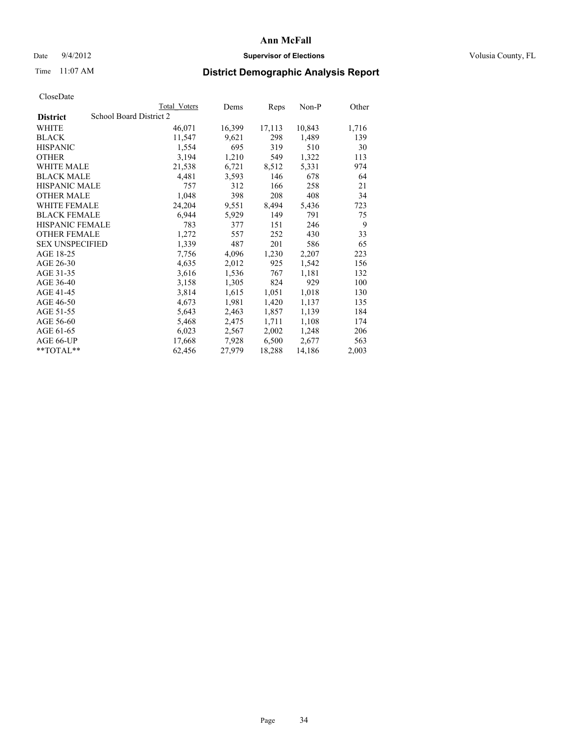## Date 9/4/2012 **Supervisor of Elections Supervisor of Elections** Volusia County, FL

# Time 11:07 AM **District Demographic Analysis Report**

|                        |                         | Total Voters | Dems   | Reps   | Non-P  | Other |
|------------------------|-------------------------|--------------|--------|--------|--------|-------|
| <b>District</b>        | School Board District 2 |              |        |        |        |       |
| <b>WHITE</b>           |                         | 46,071       | 16,399 | 17,113 | 10,843 | 1,716 |
| <b>BLACK</b>           |                         | 11,547       | 9,621  | 298    | 1,489  | 139   |
| <b>HISPANIC</b>        |                         | 1,554        | 695    | 319    | 510    | 30    |
| <b>OTHER</b>           |                         | 3,194        | 1,210  | 549    | 1,322  | 113   |
| <b>WHITE MALE</b>      |                         | 21,538       | 6,721  | 8,512  | 5,331  | 974   |
| <b>BLACK MALE</b>      |                         | 4,481        | 3,593  | 146    | 678    | 64    |
| <b>HISPANIC MALE</b>   |                         | 757          | 312    | 166    | 258    | 21    |
| <b>OTHER MALE</b>      |                         | 1,048        | 398    | 208    | 408    | 34    |
| <b>WHITE FEMALE</b>    |                         | 24,204       | 9,551  | 8,494  | 5,436  | 723   |
| <b>BLACK FEMALE</b>    |                         | 6,944        | 5,929  | 149    | 791    | 75    |
| <b>HISPANIC FEMALE</b> |                         | 783          | 377    | 151    | 246    | 9     |
| <b>OTHER FEMALE</b>    |                         | 1,272        | 557    | 252    | 430    | 33    |
| <b>SEX UNSPECIFIED</b> |                         | 1,339        | 487    | 201    | 586    | 65    |
| AGE 18-25              |                         | 7,756        | 4,096  | 1,230  | 2,207  | 223   |
| AGE 26-30              |                         | 4,635        | 2,012  | 925    | 1,542  | 156   |
| AGE 31-35              |                         | 3,616        | 1,536  | 767    | 1,181  | 132   |
| AGE 36-40              |                         | 3,158        | 1,305  | 824    | 929    | 100   |
| AGE 41-45              |                         | 3,814        | 1,615  | 1,051  | 1,018  | 130   |
| AGE 46-50              |                         | 4,673        | 1,981  | 1,420  | 1,137  | 135   |
| AGE 51-55              |                         | 5,643        | 2,463  | 1,857  | 1,139  | 184   |
| AGE 56-60              |                         | 5,468        | 2,475  | 1,711  | 1,108  | 174   |
| AGE 61-65              |                         | 6,023        | 2,567  | 2,002  | 1,248  | 206   |
| AGE 66-UP              |                         | 17,668       | 7,928  | 6,500  | 2,677  | 563   |
| $*$ $TOTAL**$          |                         | 62,456       | 27,979 | 18,288 | 14,186 | 2,003 |
|                        |                         |              |        |        |        |       |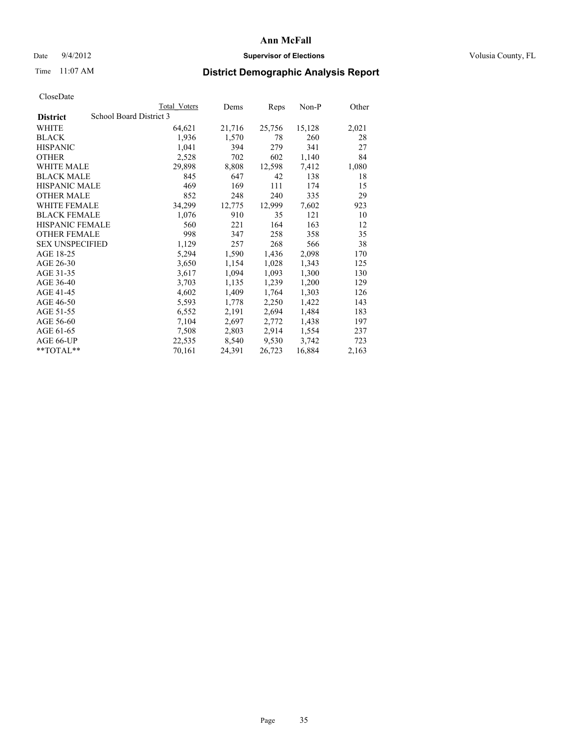## Date 9/4/2012 **Supervisor of Elections Supervisor of Elections** Volusia County, FL

# Time 11:07 AM **District Demographic Analysis Report**

|                        |                         | Total Voters | Dems   | <b>Reps</b> | Non-P  | Other |
|------------------------|-------------------------|--------------|--------|-------------|--------|-------|
| <b>District</b>        | School Board District 3 |              |        |             |        |       |
| WHITE                  |                         | 64,621       | 21,716 | 25,756      | 15,128 | 2,021 |
| <b>BLACK</b>           |                         | 1,936        | 1,570  | 78          | 260    | 28    |
| <b>HISPANIC</b>        |                         | 1,041        | 394    | 279         | 341    | 27    |
| <b>OTHER</b>           |                         | 2,528        | 702    | 602         | 1,140  | 84    |
| <b>WHITE MALE</b>      |                         | 29,898       | 8,808  | 12,598      | 7,412  | 1,080 |
| <b>BLACK MALE</b>      |                         | 845          | 647    | 42          | 138    | 18    |
| <b>HISPANIC MALE</b>   |                         | 469          | 169    | 111         | 174    | 15    |
| <b>OTHER MALE</b>      |                         | 852          | 248    | 240         | 335    | 29    |
| <b>WHITE FEMALE</b>    |                         | 34,299       | 12,775 | 12,999      | 7,602  | 923   |
| <b>BLACK FEMALE</b>    |                         | 1,076        | 910    | 35          | 121    | 10    |
| <b>HISPANIC FEMALE</b> |                         | 560          | 221    | 164         | 163    | 12    |
| <b>OTHER FEMALE</b>    |                         | 998          | 347    | 258         | 358    | 35    |
| <b>SEX UNSPECIFIED</b> |                         | 1,129        | 257    | 268         | 566    | 38    |
| AGE 18-25              |                         | 5,294        | 1,590  | 1,436       | 2,098  | 170   |
| AGE 26-30              |                         | 3,650        | 1,154  | 1,028       | 1,343  | 125   |
| AGE 31-35              |                         | 3,617        | 1,094  | 1,093       | 1,300  | 130   |
| AGE 36-40              |                         | 3,703        | 1,135  | 1,239       | 1,200  | 129   |
| AGE 41-45              |                         | 4,602        | 1,409  | 1,764       | 1,303  | 126   |
| AGE 46-50              |                         | 5,593        | 1,778  | 2,250       | 1,422  | 143   |
| AGE 51-55              |                         | 6,552        | 2,191  | 2,694       | 1,484  | 183   |
| AGE 56-60              |                         | 7,104        | 2,697  | 2,772       | 1,438  | 197   |
| AGE 61-65              |                         | 7,508        | 2,803  | 2,914       | 1,554  | 237   |
| AGE 66-UP              |                         | 22,535       | 8,540  | 9,530       | 3,742  | 723   |
| $*$ $TOTAL**$          |                         | 70,161       | 24,391 | 26,723      | 16,884 | 2,163 |
|                        |                         |              |        |             |        |       |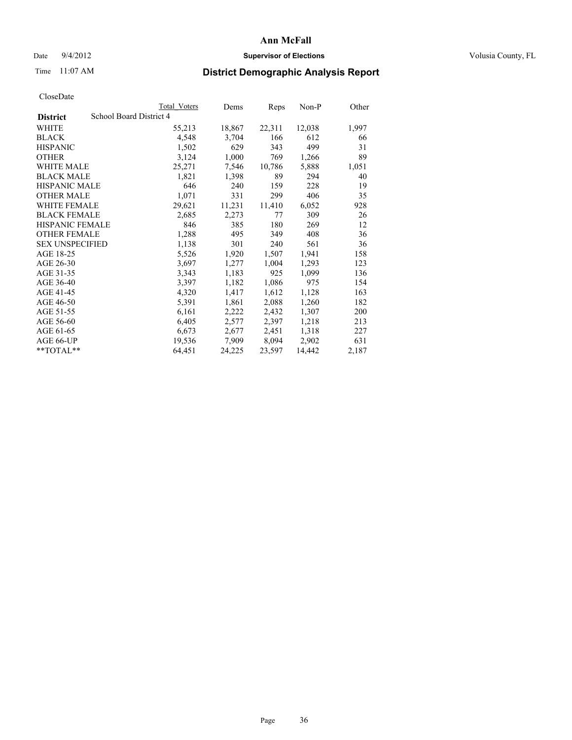## Date 9/4/2012 **Supervisor of Elections Supervisor of Elections** Volusia County, FL

## Time 11:07 AM **District Demographic Analysis Report**

|                                            | Total Voters | Dems   | Reps   | Non-P  | Other |
|--------------------------------------------|--------------|--------|--------|--------|-------|
| School Board District 4<br><b>District</b> |              |        |        |        |       |
| <b>WHITE</b>                               | 55,213       | 18,867 | 22,311 | 12,038 | 1,997 |
| <b>BLACK</b>                               | 4,548        | 3,704  | 166    | 612    | 66    |
| <b>HISPANIC</b>                            | 1,502        | 629    | 343    | 499    | 31    |
| <b>OTHER</b>                               | 3,124        | 1,000  | 769    | 1,266  | 89    |
| <b>WHITE MALE</b>                          | 25,271       | 7,546  | 10,786 | 5,888  | 1,051 |
| <b>BLACK MALE</b>                          | 1,821        | 1,398  | 89     | 294    | 40    |
| <b>HISPANIC MALE</b>                       | 646          | 240    | 159    | 228    | 19    |
| <b>OTHER MALE</b>                          | 1,071        | 331    | 299    | 406    | 35    |
| <b>WHITE FEMALE</b>                        | 29,621       | 11,231 | 11,410 | 6,052  | 928   |
| <b>BLACK FEMALE</b>                        | 2,685        | 2,273  | 77     | 309    | 26    |
| <b>HISPANIC FEMALE</b>                     | 846          | 385    | 180    | 269    | 12    |
| <b>OTHER FEMALE</b>                        | 1,288        | 495    | 349    | 408    | 36    |
| <b>SEX UNSPECIFIED</b>                     | 1,138        | 301    | 240    | 561    | 36    |
| AGE 18-25                                  | 5,526        | 1,920  | 1,507  | 1,941  | 158   |
| AGE 26-30                                  | 3,697        | 1,277  | 1,004  | 1,293  | 123   |
| AGE 31-35                                  | 3,343        | 1,183  | 925    | 1,099  | 136   |
| AGE 36-40                                  | 3,397        | 1,182  | 1,086  | 975    | 154   |
| AGE 41-45                                  | 4,320        | 1,417  | 1,612  | 1,128  | 163   |
| AGE 46-50                                  | 5,391        | 1,861  | 2,088  | 1,260  | 182   |
| AGE 51-55                                  | 6,161        | 2,222  | 2,432  | 1,307  | 200   |
| AGE 56-60                                  | 6,405        | 2,577  | 2,397  | 1,218  | 213   |
| AGE 61-65                                  | 6,673        | 2,677  | 2,451  | 1,318  | 227   |
| AGE 66-UP                                  | 19,536       | 7,909  | 8,094  | 2,902  | 631   |
| $*$ $TOTAL**$                              | 64,451       | 24,225 | 23,597 | 14,442 | 2,187 |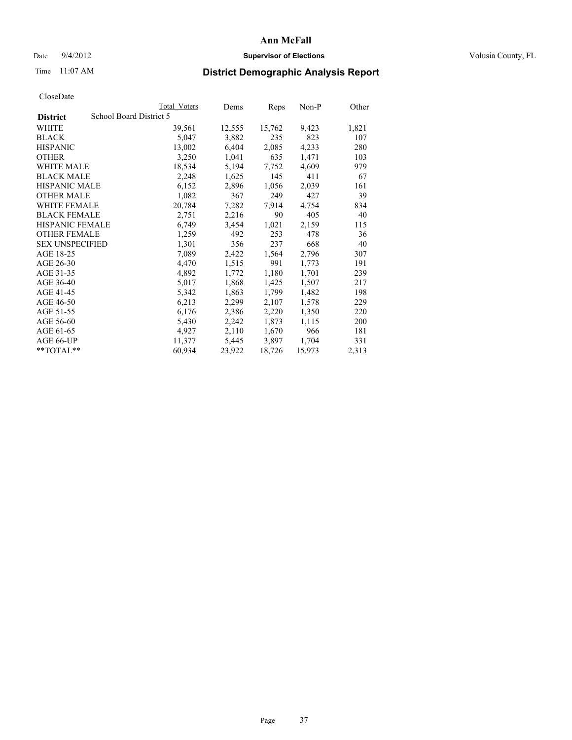### Date 9/4/2012 **Supervisor of Elections Supervisor of Elections** Volusia County, FL

# Time 11:07 AM **District Demographic Analysis Report**

|                        |                         | Total Voters | Dems   | <b>Reps</b> | Non-P  | Other |
|------------------------|-------------------------|--------------|--------|-------------|--------|-------|
| <b>District</b>        | School Board District 5 |              |        |             |        |       |
| WHITE                  |                         | 39,561       | 12,555 | 15,762      | 9,423  | 1,821 |
| <b>BLACK</b>           |                         | 5,047        | 3,882  | 235         | 823    | 107   |
| <b>HISPANIC</b>        |                         | 13,002       | 6,404  | 2,085       | 4,233  | 280   |
| <b>OTHER</b>           |                         | 3,250        | 1,041  | 635         | 1,471  | 103   |
| <b>WHITE MALE</b>      |                         | 18,534       | 5,194  | 7,752       | 4,609  | 979   |
| <b>BLACK MALE</b>      |                         | 2,248        | 1,625  | 145         | 411    | 67    |
| <b>HISPANIC MALE</b>   |                         | 6,152        | 2,896  | 1,056       | 2,039  | 161   |
| <b>OTHER MALE</b>      |                         | 1,082        | 367    | 249         | 427    | 39    |
| <b>WHITE FEMALE</b>    |                         | 20,784       | 7,282  | 7,914       | 4,754  | 834   |
| <b>BLACK FEMALE</b>    |                         | 2,751        | 2,216  | 90          | 405    | 40    |
| <b>HISPANIC FEMALE</b> |                         | 6,749        | 3,454  | 1,021       | 2,159  | 115   |
| <b>OTHER FEMALE</b>    |                         | 1,259        | 492    | 253         | 478    | 36    |
| <b>SEX UNSPECIFIED</b> |                         | 1,301        | 356    | 237         | 668    | 40    |
| AGE 18-25              |                         | 7,089        | 2,422  | 1,564       | 2,796  | 307   |
| AGE 26-30              |                         | 4,470        | 1,515  | 991         | 1,773  | 191   |
| AGE 31-35              |                         | 4,892        | 1,772  | 1,180       | 1,701  | 239   |
| AGE 36-40              |                         | 5,017        | 1,868  | 1,425       | 1,507  | 217   |
| AGE 41-45              |                         | 5,342        | 1,863  | 1,799       | 1,482  | 198   |
| AGE 46-50              |                         | 6,213        | 2,299  | 2,107       | 1,578  | 229   |
| AGE 51-55              |                         | 6,176        | 2,386  | 2,220       | 1,350  | 220   |
| AGE 56-60              |                         | 5,430        | 2,242  | 1,873       | 1,115  | 200   |
| AGE 61-65              |                         | 4,927        | 2,110  | 1,670       | 966    | 181   |
| AGE 66-UP              |                         | 11,377       | 5,445  | 3,897       | 1,704  | 331   |
| $*$ $TOTAL**$          |                         | 60,934       | 23,922 | 18,726      | 15,973 | 2,313 |
|                        |                         |              |        |             |        |       |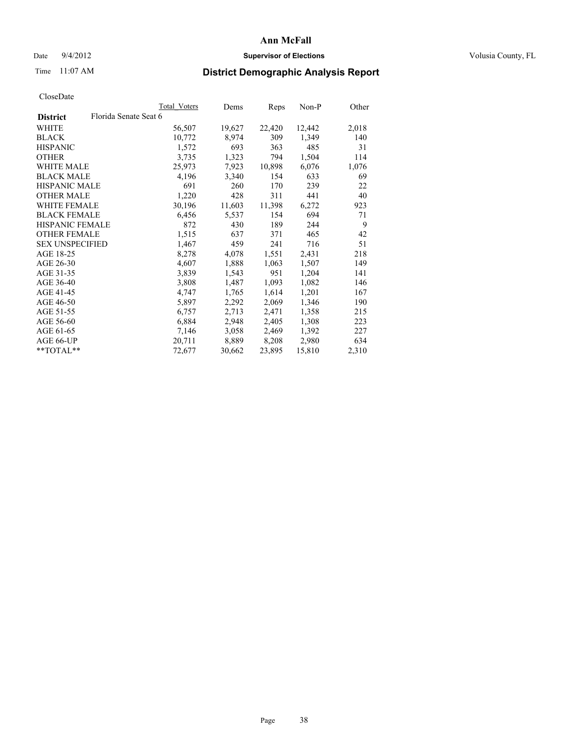### Date 9/4/2012 **Supervisor of Elections Supervisor of Elections** Volusia County, FL

## Time 11:07 AM **District Demographic Analysis Report**

|                        |                       | Total Voters | Dems   | Reps   | Non-P  | Other |
|------------------------|-----------------------|--------------|--------|--------|--------|-------|
| <b>District</b>        | Florida Senate Seat 6 |              |        |        |        |       |
| WHITE                  |                       | 56,507       | 19,627 | 22,420 | 12,442 | 2,018 |
| <b>BLACK</b>           |                       | 10,772       | 8,974  | 309    | 1,349  | 140   |
| <b>HISPANIC</b>        |                       | 1,572        | 693    | 363    | 485    | 31    |
| <b>OTHER</b>           |                       | 3,735        | 1,323  | 794    | 1,504  | 114   |
| <b>WHITE MALE</b>      |                       | 25,973       | 7,923  | 10,898 | 6,076  | 1,076 |
| <b>BLACK MALE</b>      |                       | 4,196        | 3,340  | 154    | 633    | 69    |
| <b>HISPANIC MALE</b>   |                       | 691          | 260    | 170    | 239    | 22    |
| <b>OTHER MALE</b>      |                       | 1,220        | 428    | 311    | 441    | 40    |
| <b>WHITE FEMALE</b>    |                       | 30,196       | 11,603 | 11,398 | 6,272  | 923   |
| <b>BLACK FEMALE</b>    |                       | 6,456        | 5,537  | 154    | 694    | 71    |
| <b>HISPANIC FEMALE</b> |                       | 872          | 430    | 189    | 244    | 9     |
| <b>OTHER FEMALE</b>    |                       | 1,515        | 637    | 371    | 465    | 42    |
| <b>SEX UNSPECIFIED</b> |                       | 1,467        | 459    | 241    | 716    | 51    |
| AGE 18-25              |                       | 8,278        | 4,078  | 1,551  | 2,431  | 218   |
| AGE 26-30              |                       | 4,607        | 1,888  | 1,063  | 1,507  | 149   |
| AGE 31-35              |                       | 3,839        | 1,543  | 951    | 1,204  | 141   |
| AGE 36-40              |                       | 3,808        | 1,487  | 1,093  | 1,082  | 146   |
| AGE 41-45              |                       | 4,747        | 1,765  | 1,614  | 1,201  | 167   |
| AGE 46-50              |                       | 5,897        | 2,292  | 2,069  | 1,346  | 190   |
| AGE 51-55              |                       | 6,757        | 2,713  | 2,471  | 1,358  | 215   |
| AGE 56-60              |                       | 6,884        | 2,948  | 2,405  | 1,308  | 223   |
| AGE 61-65              |                       | 7,146        | 3,058  | 2,469  | 1,392  | 227   |
| AGE 66-UP              |                       | 20,711       | 8,889  | 8,208  | 2,980  | 634   |
| $*$ $TOTAL**$          |                       | 72,677       | 30,662 | 23,895 | 15,810 | 2,310 |
|                        |                       |              |        |        |        |       |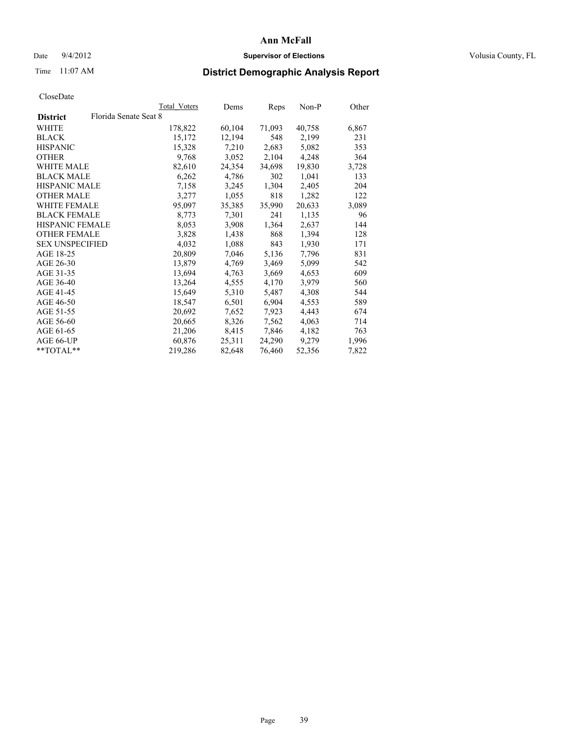### Date 9/4/2012 **Supervisor of Elections Supervisor of Elections** Volusia County, FL

# Time 11:07 AM **District Demographic Analysis Report**

|                        |                       | Total Voters | Dems   | <b>Reps</b> | Non-P  | Other |
|------------------------|-----------------------|--------------|--------|-------------|--------|-------|
| <b>District</b>        | Florida Senate Seat 8 |              |        |             |        |       |
| WHITE                  |                       | 178,822      | 60,104 | 71,093      | 40,758 | 6,867 |
| <b>BLACK</b>           |                       | 15,172       | 12,194 | 548         | 2,199  | 231   |
| <b>HISPANIC</b>        |                       | 15,328       | 7,210  | 2,683       | 5,082  | 353   |
| <b>OTHER</b>           |                       | 9,768        | 3,052  | 2,104       | 4,248  | 364   |
| <b>WHITE MALE</b>      |                       | 82,610       | 24,354 | 34,698      | 19,830 | 3,728 |
| <b>BLACK MALE</b>      |                       | 6,262        | 4,786  | 302         | 1,041  | 133   |
| <b>HISPANIC MALE</b>   |                       | 7,158        | 3,245  | 1,304       | 2,405  | 204   |
| <b>OTHER MALE</b>      |                       | 3,277        | 1,055  | 818         | 1,282  | 122   |
| <b>WHITE FEMALE</b>    |                       | 95,097       | 35,385 | 35,990      | 20,633 | 3,089 |
| <b>BLACK FEMALE</b>    |                       | 8,773        | 7,301  | 241         | 1,135  | 96    |
| <b>HISPANIC FEMALE</b> |                       | 8,053        | 3,908  | 1,364       | 2,637  | 144   |
| <b>OTHER FEMALE</b>    |                       | 3,828        | 1,438  | 868         | 1,394  | 128   |
| <b>SEX UNSPECIFIED</b> |                       | 4,032        | 1,088  | 843         | 1,930  | 171   |
| AGE 18-25              |                       | 20,809       | 7,046  | 5,136       | 7.796  | 831   |
| AGE 26-30              |                       | 13,879       | 4,769  | 3,469       | 5,099  | 542   |
| AGE 31-35              |                       | 13,694       | 4,763  | 3,669       | 4,653  | 609   |
| AGE 36-40              |                       | 13,264       | 4,555  | 4,170       | 3,979  | 560   |
| AGE 41-45              |                       | 15,649       | 5,310  | 5,487       | 4,308  | 544   |
| AGE 46-50              |                       | 18,547       | 6,501  | 6,904       | 4,553  | 589   |
| AGE 51-55              |                       | 20,692       | 7,652  | 7,923       | 4,443  | 674   |
| AGE 56-60              |                       | 20,665       | 8,326  | 7,562       | 4,063  | 714   |
| AGE 61-65              |                       | 21,206       | 8,415  | 7,846       | 4,182  | 763   |
| AGE 66-UP              |                       | 60,876       | 25,311 | 24,290      | 9,279  | 1,996 |
| $*$ $TOTAL**$          |                       | 219,286      | 82,648 | 76,460      | 52,356 | 7,822 |
|                        |                       |              |        |             |        |       |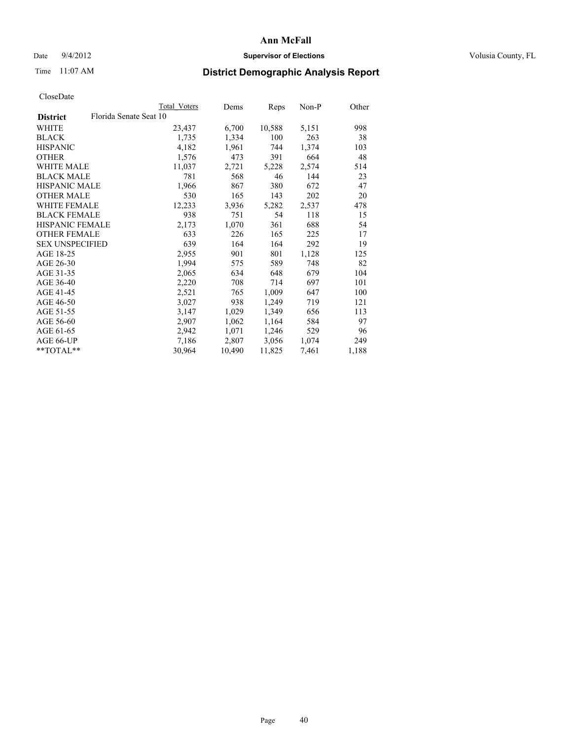### Date 9/4/2012 **Supervisor of Elections Supervisor of Elections** Volusia County, FL

# Time 11:07 AM **District Demographic Analysis Report**

| Total Voters           | Dems   | Reps   | Non-P | Other |
|------------------------|--------|--------|-------|-------|
| Florida Senate Seat 10 |        |        |       |       |
| 23,437                 | 6,700  | 10,588 | 5,151 | 998   |
| 1,735                  | 1,334  | 100    | 263   | 38    |
| 4,182                  | 1,961  | 744    | 1,374 | 103   |
| 1,576                  | 473    | 391    | 664   | 48    |
| 11,037                 | 2,721  | 5,228  | 2,574 | 514   |
| 781                    | 568    | 46     | 144   | 23    |
| 1,966                  | 867    | 380    | 672   | 47    |
| 530                    | 165    | 143    | 202   | 20    |
| 12,233                 | 3,936  | 5,282  | 2,537 | 478   |
| 938                    | 751    | 54     | 118   | 15    |
| 2,173                  | 1,070  | 361    | 688   | 54    |
| 633                    | 226    | 165    | 225   | 17    |
| 639                    | 164    | 164    | 292   | 19    |
| 2,955                  | 901    | 801    | 1,128 | 125   |
| 1,994                  | 575    | 589    | 748   | 82    |
| 2,065                  | 634    | 648    | 679   | 104   |
| 2,220                  | 708    | 714    | 697   | 101   |
| 2,521                  | 765    | 1,009  | 647   | 100   |
| 3,027                  | 938    | 1,249  | 719   | 121   |
| 3,147                  | 1,029  | 1,349  | 656   | 113   |
| 2,907                  | 1,062  | 1,164  | 584   | 97    |
| 2,942                  | 1,071  | 1,246  | 529   | 96    |
| 7,186                  | 2,807  | 3,056  | 1,074 | 249   |
| 30,964                 | 10,490 | 11,825 | 7,461 | 1,188 |
|                        |        |        |       |       |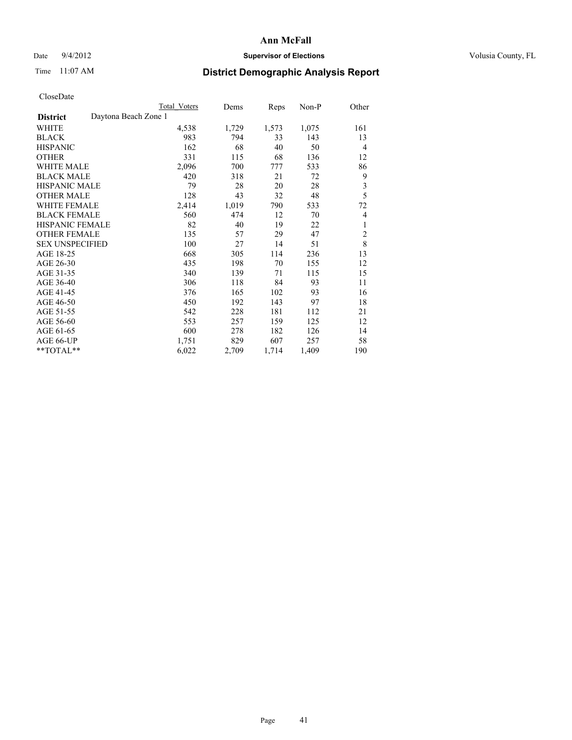## Date 9/4/2012 **Supervisor of Elections Supervisor of Elections** Volusia County, FL

# Time 11:07 AM **District Demographic Analysis Report**

|                                         | Total Voters | Dems  | Reps  | Non-P | Other          |
|-----------------------------------------|--------------|-------|-------|-------|----------------|
| Daytona Beach Zone 1<br><b>District</b> |              |       |       |       |                |
| WHITE                                   | 4,538        | 1,729 | 1,573 | 1,075 | 161            |
| <b>BLACK</b>                            | 983          | 794   | 33    | 143   | 13             |
| <b>HISPANIC</b>                         | 162          | 68    | 40    | 50    | 4              |
| <b>OTHER</b>                            | 331          | 115   | 68    | 136   | 12             |
| <b>WHITE MALE</b>                       | 2,096        | 700   | 777   | 533   | 86             |
| <b>BLACK MALE</b>                       | 420          | 318   | 21    | 72    | 9              |
| <b>HISPANIC MALE</b>                    | 79           | 28    | 20    | 28    | 3              |
| <b>OTHER MALE</b>                       | 128          | 43    | 32    | 48    | 5              |
| <b>WHITE FEMALE</b>                     | 2,414        | 1,019 | 790   | 533   | 72             |
| <b>BLACK FEMALE</b>                     | 560          | 474   | 12    | 70    | 4              |
| <b>HISPANIC FEMALE</b>                  | 82           | 40    | 19    | 22    | 1              |
| <b>OTHER FEMALE</b>                     | 135          | 57    | 29    | 47    | $\overline{2}$ |
| <b>SEX UNSPECIFIED</b>                  | 100          | 27    | 14    | 51    | 8              |
| AGE 18-25                               | 668          | 305   | 114   | 236   | 13             |
| AGE 26-30                               | 435          | 198   | 70    | 155   | 12             |
| AGE 31-35                               | 340          | 139   | 71    | 115   | 15             |
| AGE 36-40                               | 306          | 118   | 84    | 93    | 11             |
| AGE 41-45                               | 376          | 165   | 102   | 93    | 16             |
| AGE 46-50                               | 450          | 192   | 143   | 97    | 18             |
| AGE 51-55                               | 542          | 228   | 181   | 112   | 21             |
| AGE 56-60                               | 553          | 257   | 159   | 125   | 12             |
| AGE 61-65                               | 600          | 278   | 182   | 126   | 14             |
| AGE 66-UP                               | 1,751        | 829   | 607   | 257   | 58             |
| **TOTAL**                               | 6,022        | 2,709 | 1,714 | 1,409 | 190            |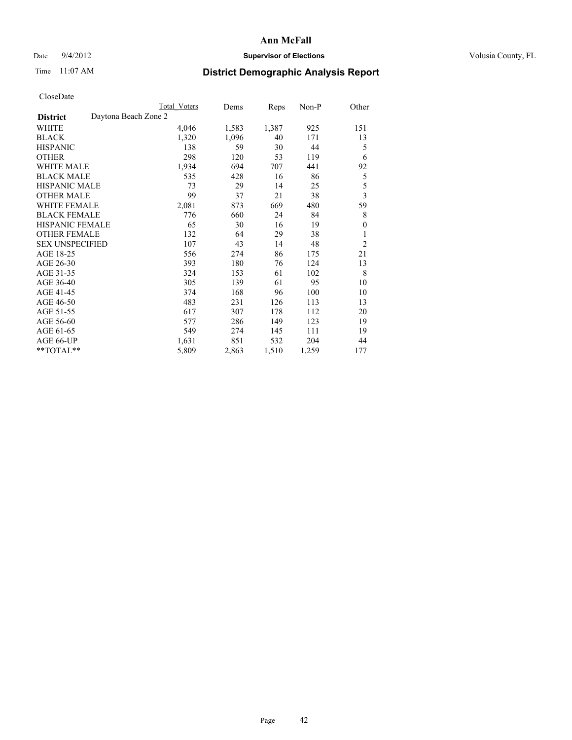## Date 9/4/2012 **Supervisor of Elections Supervisor of Elections** Volusia County, FL

# Time 11:07 AM **District Demographic Analysis Report**

|                                         | Total Voters | Dems  | Reps  | Non-P | Other                   |
|-----------------------------------------|--------------|-------|-------|-------|-------------------------|
| Daytona Beach Zone 2<br><b>District</b> |              |       |       |       |                         |
| WHITE                                   | 4,046        | 1,583 | 1,387 | 925   | 151                     |
| <b>BLACK</b>                            | 1,320        | 1,096 | 40    | 171   | 13                      |
| <b>HISPANIC</b>                         | 138          | 59    | 30    | 44    | 5                       |
| <b>OTHER</b>                            | 298          | 120   | 53    | 119   | 6                       |
| <b>WHITE MALE</b>                       | 1,934        | 694   | 707   | 441   | 92                      |
| <b>BLACK MALE</b>                       | 535          | 428   | 16    | 86    | 5                       |
| HISPANIC MALE                           | 73           | 29    | 14    | 25    | 5                       |
| <b>OTHER MALE</b>                       | 99           | 37    | 21    | 38    | $\overline{\mathbf{3}}$ |
| <b>WHITE FEMALE</b>                     | 2,081        | 873   | 669   | 480   | 59                      |
| <b>BLACK FEMALE</b>                     | 776          | 660   | 24    | 84    | 8                       |
| <b>HISPANIC FEMALE</b>                  | 65           | 30    | 16    | 19    | $\theta$                |
| <b>OTHER FEMALE</b>                     | 132          | 64    | 29    | 38    | 1                       |
| <b>SEX UNSPECIFIED</b>                  | 107          | 43    | 14    | 48    | $\overline{2}$          |
| AGE 18-25                               | 556          | 274   | 86    | 175   | 21                      |
| AGE 26-30                               | 393          | 180   | 76    | 124   | 13                      |
| AGE 31-35                               | 324          | 153   | 61    | 102   | 8                       |
| AGE 36-40                               | 305          | 139   | 61    | 95    | 10                      |
| AGE 41-45                               | 374          | 168   | 96    | 100   | 10                      |
| AGE 46-50                               | 483          | 231   | 126   | 113   | 13                      |
| AGE 51-55                               | 617          | 307   | 178   | 112   | 20                      |
| AGE 56-60                               | 577          | 286   | 149   | 123   | 19                      |
| AGE 61-65                               | 549          | 274   | 145   | 111   | 19                      |
| AGE 66-UP                               | 1,631        | 851   | 532   | 204   | 44                      |
| **TOTAL**                               | 5,809        | 2,863 | 1,510 | 1,259 | 177                     |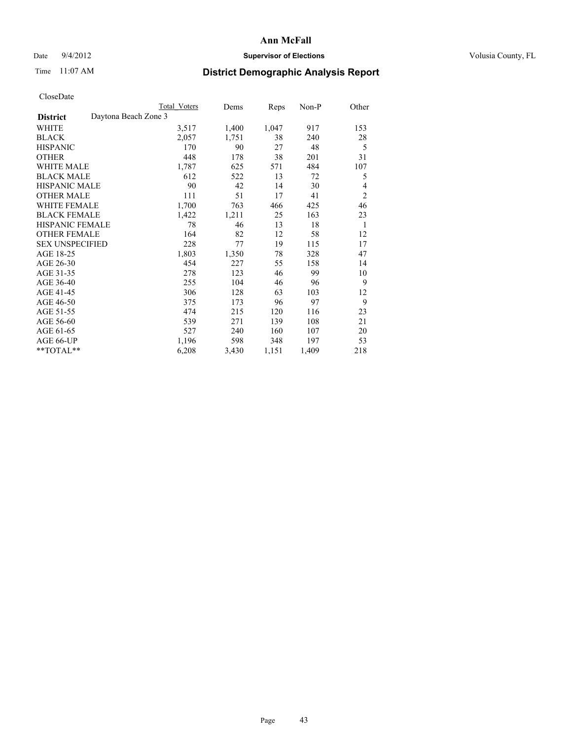## Date 9/4/2012 **Supervisor of Elections Supervisor of Elections** Volusia County, FL

# Time 11:07 AM **District Demographic Analysis Report**

|                                         | Total Voters | Dems  | Reps  | Non-P | Other          |
|-----------------------------------------|--------------|-------|-------|-------|----------------|
| Daytona Beach Zone 3<br><b>District</b> |              |       |       |       |                |
| WHITE                                   | 3,517        | 1,400 | 1,047 | 917   | 153            |
| <b>BLACK</b>                            | 2,057        | 1,751 | 38    | 240   | 28             |
| <b>HISPANIC</b>                         | 170          | 90    | 27    | 48    | 5              |
| <b>OTHER</b>                            | 448          | 178   | 38    | 201   | 31             |
| WHITE MALE                              | 1,787        | 625   | 571   | 484   | 107            |
| <b>BLACK MALE</b>                       | 612          | 522   | 13    | 72    | 5              |
| <b>HISPANIC MALE</b>                    | 90           | 42    | 14    | 30    | 4              |
| <b>OTHER MALE</b>                       | 111          | 51    | 17    | 41    | $\overline{2}$ |
| <b>WHITE FEMALE</b>                     | 1,700        | 763   | 466   | 425   | 46             |
| <b>BLACK FEMALE</b>                     | 1,422        | 1,211 | 25    | 163   | 23             |
| <b>HISPANIC FEMALE</b>                  | 78           | 46    | 13    | 18    | 1              |
| <b>OTHER FEMALE</b>                     | 164          | 82    | 12    | 58    | 12             |
| <b>SEX UNSPECIFIED</b>                  | 228          | 77    | 19    | 115   | 17             |
| AGE 18-25                               | 1,803        | 1,350 | 78    | 328   | 47             |
| AGE 26-30                               | 454          | 227   | 55    | 158   | 14             |
| AGE 31-35                               | 278          | 123   | 46    | 99    | 10             |
| AGE 36-40                               | 255          | 104   | 46    | 96    | 9              |
| AGE 41-45                               | 306          | 128   | 63    | 103   | 12             |
| AGE 46-50                               | 375          | 173   | 96    | 97    | 9              |
| AGE 51-55                               | 474          | 215   | 120   | 116   | 23             |
| AGE 56-60                               | 539          | 271   | 139   | 108   | 21             |
| AGE 61-65                               | 527          | 240   | 160   | 107   | 20             |
| AGE 66-UP                               | 1,196        | 598   | 348   | 197   | 53             |
| **TOTAL**                               | 6,208        | 3,430 | 1,151 | 1,409 | 218            |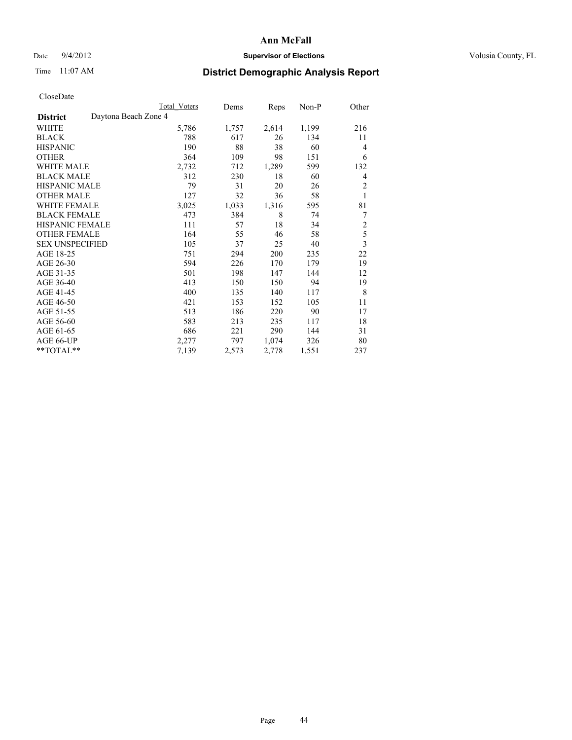### Date  $9/4/2012$  **Supervisor of Elections** Volusia County, FL

## Time 11:07 AM **District Demographic Analysis Report**

|                                         | <b>Total Voters</b> | Dems  | Reps  | Non-P | Other                   |
|-----------------------------------------|---------------------|-------|-------|-------|-------------------------|
| Daytona Beach Zone 4<br><b>District</b> |                     |       |       |       |                         |
| WHITE                                   | 5,786               | 1,757 | 2,614 | 1,199 | 216                     |
| <b>BLACK</b>                            | 788                 | 617   | 26    | 134   | 11                      |
| <b>HISPANIC</b>                         | 190                 | 88    | 38    | 60    | $\overline{4}$          |
| <b>OTHER</b>                            | 364                 | 109   | 98    | 151   | 6                       |
| <b>WHITE MALE</b>                       | 2,732               | 712   | 1,289 | 599   | 132                     |
| <b>BLACK MALE</b>                       | 312                 | 230   | 18    | 60    | 4                       |
| HISPANIC MALE                           | 79                  | 31    | 20    | 26    | $\overline{2}$          |
| <b>OTHER MALE</b>                       | 127                 | 32    | 36    | 58    | 1                       |
| <b>WHITE FEMALE</b>                     | 3,025               | 1,033 | 1,316 | 595   | 81                      |
| <b>BLACK FEMALE</b>                     | 473                 | 384   | 8     | 74    | 7                       |
| <b>HISPANIC FEMALE</b>                  | 111                 | 57    | 18    | 34    | $\overline{2}$          |
| <b>OTHER FEMALE</b>                     | 164                 | 55    | 46    | 58    | 5                       |
| <b>SEX UNSPECIFIED</b>                  | 105                 | 37    | 25    | 40    | $\overline{\mathbf{3}}$ |
| AGE 18-25                               | 751                 | 294   | 200   | 235   | 22                      |
| AGE 26-30                               | 594                 | 226   | 170   | 179   | 19                      |
| AGE 31-35                               | 501                 | 198   | 147   | 144   | 12                      |
| AGE 36-40                               | 413                 | 150   | 150   | 94    | 19                      |
| AGE 41-45                               | 400                 | 135   | 140   | 117   | 8                       |
| AGE 46-50                               | 421                 | 153   | 152   | 105   | 11                      |
| AGE 51-55                               | 513                 | 186   | 220   | 90    | 17                      |
| AGE 56-60                               | 583                 | 213   | 235   | 117   | 18                      |
| AGE 61-65                               | 686                 | 221   | 290   | 144   | 31                      |
| AGE 66-UP                               | 2,277               | 797   | 1,074 | 326   | 80                      |
| **TOTAL**                               | 7,139               | 2,573 | 2,778 | 1,551 | 237                     |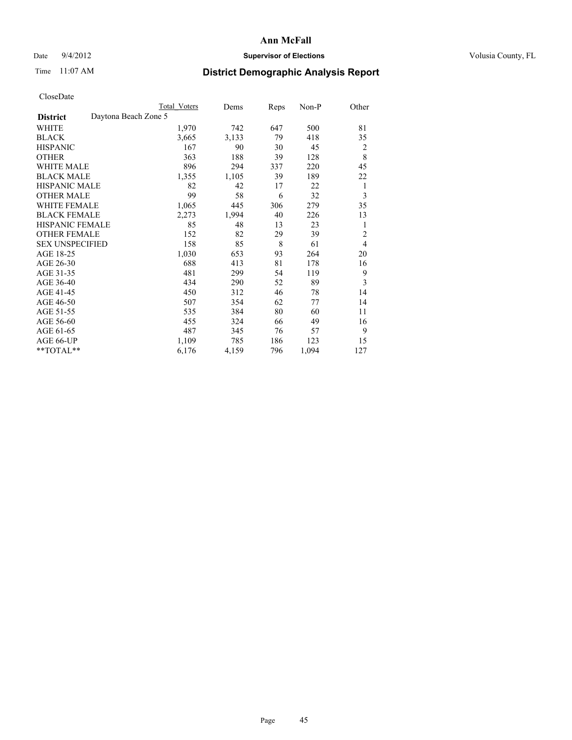## Date 9/4/2012 **Supervisor of Elections Supervisor of Elections** Volusia County, FL

# Time 11:07 AM **District Demographic Analysis Report**

|                                         | Total Voters | Dems  | Reps | Non-P | Other          |
|-----------------------------------------|--------------|-------|------|-------|----------------|
| Daytona Beach Zone 5<br><b>District</b> |              |       |      |       |                |
| WHITE                                   | 1,970        | 742   | 647  | 500   | 81             |
| <b>BLACK</b>                            | 3,665        | 3,133 | 79   | 418   | 35             |
| <b>HISPANIC</b>                         | 167          | 90    | 30   | 45    | $\overline{2}$ |
| <b>OTHER</b>                            | 363          | 188   | 39   | 128   | 8              |
| <b>WHITE MALE</b>                       | 896          | 294   | 337  | 220   | 45             |
| <b>BLACK MALE</b>                       | 1,355        | 1,105 | 39   | 189   | 22             |
| HISPANIC MALE                           | 82           | 42    | 17   | 22    | 1              |
| <b>OTHER MALE</b>                       | 99           | 58    | 6    | 32    | 3              |
| <b>WHITE FEMALE</b>                     | 1,065        | 445   | 306  | 279   | 35             |
| <b>BLACK FEMALE</b>                     | 2,273        | 1,994 | 40   | 226   | 13             |
| <b>HISPANIC FEMALE</b>                  | 85           | 48    | 13   | 23    | 1              |
| <b>OTHER FEMALE</b>                     | 152          | 82    | 29   | 39    | $\overline{2}$ |
| <b>SEX UNSPECIFIED</b>                  | 158          | 85    | 8    | 61    | $\overline{4}$ |
| AGE 18-25                               | 1,030        | 653   | 93   | 264   | 20             |
| AGE 26-30                               | 688          | 413   | 81   | 178   | 16             |
| AGE 31-35                               | 481          | 299   | 54   | 119   | 9              |
| AGE 36-40                               | 434          | 290   | 52   | 89    | 3              |
| AGE 41-45                               | 450          | 312   | 46   | 78    | 14             |
| AGE 46-50                               | 507          | 354   | 62   | 77    | 14             |
| AGE 51-55                               | 535          | 384   | 80   | 60    | 11             |
| AGE 56-60                               | 455          | 324   | 66   | 49    | 16             |
| AGE 61-65                               | 487          | 345   | 76   | 57    | 9              |
| AGE 66-UP                               | 1,109        | 785   | 186  | 123   | 15             |
| **TOTAL**                               | 6,176        | 4,159 | 796  | 1,094 | 127            |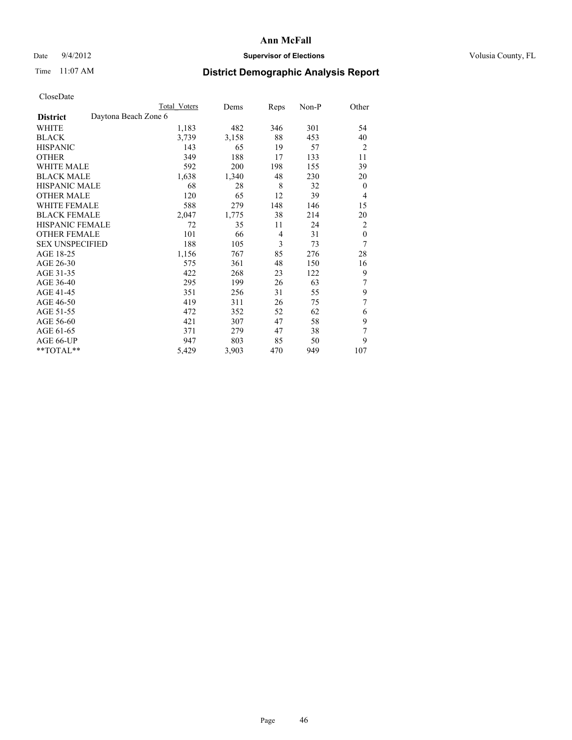## Date 9/4/2012 **Supervisor of Elections Supervisor of Elections** Volusia County, FL

# Time 11:07 AM **District Demographic Analysis Report**

|                        |                      | <b>Total Voters</b> | Dems  | Reps | Non-P | Other          |
|------------------------|----------------------|---------------------|-------|------|-------|----------------|
| <b>District</b>        | Daytona Beach Zone 6 |                     |       |      |       |                |
| WHITE                  |                      | 1,183               | 482   | 346  | 301   | 54             |
| <b>BLACK</b>           |                      | 3,739               | 3,158 | 88   | 453   | 40             |
| <b>HISPANIC</b>        |                      | 143                 | 65    | 19   | 57    | $\overline{2}$ |
| <b>OTHER</b>           |                      | 349                 | 188   | 17   | 133   | 11             |
| WHITE MALE             |                      | 592                 | 200   | 198  | 155   | 39             |
| <b>BLACK MALE</b>      |                      | 1,638               | 1,340 | 48   | 230   | 20             |
| <b>HISPANIC MALE</b>   |                      | 68                  | 28    | 8    | 32    | $\theta$       |
| <b>OTHER MALE</b>      |                      | 120                 | 65    | 12   | 39    | 4              |
| <b>WHITE FEMALE</b>    |                      | 588                 | 279   | 148  | 146   | 15             |
| <b>BLACK FEMALE</b>    |                      | 2,047               | 1,775 | 38   | 214   | 20             |
| <b>HISPANIC FEMALE</b> |                      | 72                  | 35    | 11   | 24    | $\overline{2}$ |
| <b>OTHER FEMALE</b>    |                      | 101                 | 66    | 4    | 31    | $\theta$       |
| <b>SEX UNSPECIFIED</b> |                      | 188                 | 105   | 3    | 73    | 7              |
| AGE 18-25              |                      | 1,156               | 767   | 85   | 276   | 28             |
| AGE 26-30              |                      | 575                 | 361   | 48   | 150   | 16             |
| AGE 31-35              |                      | 422                 | 268   | 23   | 122   | 9              |
| AGE 36-40              |                      | 295                 | 199   | 26   | 63    | 7              |
| AGE 41-45              |                      | 351                 | 256   | 31   | 55    | 9              |
| AGE 46-50              |                      | 419                 | 311   | 26   | 75    | 7              |
| AGE 51-55              |                      | 472                 | 352   | 52   | 62    | 6              |
| AGE 56-60              |                      | 421                 | 307   | 47   | 58    | 9              |
| AGE 61-65              |                      | 371                 | 279   | 47   | 38    | 7              |
| AGE 66-UP              |                      | 947                 | 803   | 85   | 50    | 9              |
| **TOTAL**              |                      | 5,429               | 3,903 | 470  | 949   | 107            |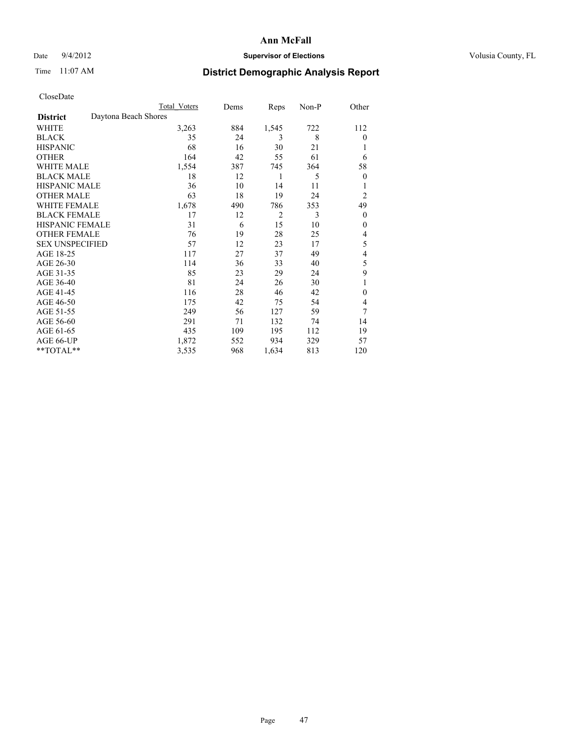## Date 9/4/2012 **Supervisor of Elections Supervisor of Elections** Volusia County, FL

# Time 11:07 AM **District Demographic Analysis Report**

|                        | <b>Total Voters</b>  | Dems | Reps           | Non-P | Other            |
|------------------------|----------------------|------|----------------|-------|------------------|
| <b>District</b>        | Daytona Beach Shores |      |                |       |                  |
| WHITE                  | 3,263                | 884  | 1,545          | 722   | 112              |
| <b>BLACK</b>           | 35                   | 24   | 3              | 8     | $\theta$         |
| <b>HISPANIC</b>        | 68                   | 16   | 30             | 21    |                  |
| <b>OTHER</b>           | 164                  | 42   | 55             | 61    | 6                |
| <b>WHITE MALE</b>      | 1,554                | 387  | 745            | 364   | 58               |
| <b>BLACK MALE</b>      | 18                   | 12   | 1              | 5     | $\boldsymbol{0}$ |
| <b>HISPANIC MALE</b>   | 36                   | 10   | 14             | 11    |                  |
| <b>OTHER MALE</b>      | 63                   | 18   | 19             | 24    | $\overline{c}$   |
| <b>WHITE FEMALE</b>    | 1,678                | 490  | 786            | 353   | 49               |
| <b>BLACK FEMALE</b>    | 17                   | 12   | $\overline{2}$ | 3     | $\overline{0}$   |
| <b>HISPANIC FEMALE</b> | 31                   | 6    | 15             | 10    | $\theta$         |
| <b>OTHER FEMALE</b>    | 76                   | 19   | 28             | 25    | 4                |
| <b>SEX UNSPECIFIED</b> | 57                   | 12   | 23             | 17    | 5                |
| AGE 18-25              | 117                  | 27   | 37             | 49    | 4                |
| AGE 26-30              | 114                  | 36   | 33             | 40    | 5                |
| AGE 31-35              | 85                   | 23   | 29             | 24    | 9                |
| AGE 36-40              | 81                   | 24   | 26             | 30    |                  |
| AGE 41-45              | 116                  | 28   | 46             | 42    | $\theta$         |
| AGE 46-50              | 175                  | 42   | 75             | 54    | 4                |
| AGE 51-55              | 249                  | 56   | 127            | 59    | 7                |
| AGE 56-60              | 291                  | 71   | 132            | 74    | 14               |
| AGE 61-65              | 435                  | 109  | 195            | 112   | 19               |
| AGE 66-UP              | 1,872                | 552  | 934            | 329   | 57               |
| $*$ TOTAL $*$          | 3,535                | 968  | 1,634          | 813   | 120              |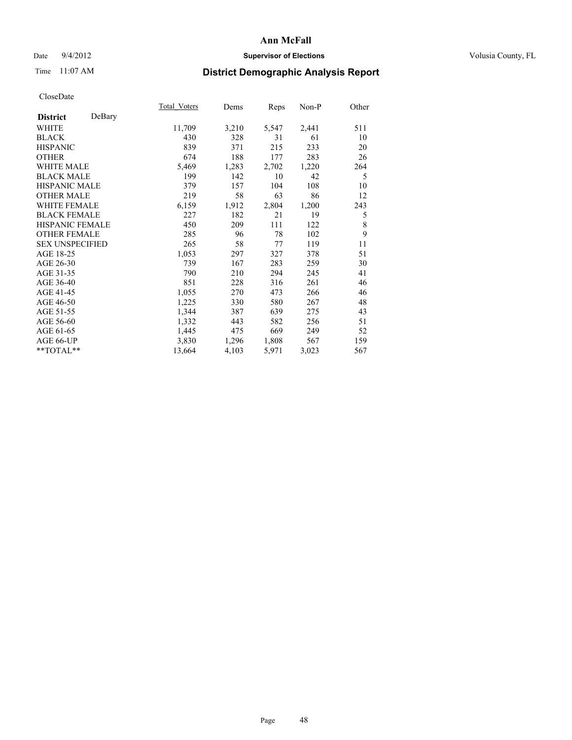### Date 9/4/2012 **Supervisor of Elections Supervisor of Elections** Volusia County, FL

# Time 11:07 AM **District Demographic Analysis Report**

| Total Voters | Dems  | <b>Reps</b> | Non-P | Other |
|--------------|-------|-------------|-------|-------|
|              |       |             |       |       |
| 11,709       | 3,210 | 5,547       | 2,441 | 511   |
| 430          | 328   | 31          | 61    | 10    |
| 839          | 371   | 215         | 233   | 20    |
| 674          | 188   | 177         | 283   | 26    |
| 5,469        | 1,283 | 2,702       | 1,220 | 264   |
| 199          | 142   | 10          | 42    | 5     |
| 379          | 157   | 104         | 108   | 10    |
| 219          | 58    | 63          | 86    | 12    |
| 6,159        | 1,912 | 2,804       | 1,200 | 243   |
| 227          | 182   | 21          | 19    | 5     |
| 450          | 209   | 111         | 122   | 8     |
| 285          | 96    | 78          | 102   | 9     |
| 265          | 58    | 77          | 119   | 11    |
| 1,053        | 297   | 327         | 378   | 51    |
| 739          | 167   | 283         | 259   | 30    |
| 790          | 210   | 294         | 245   | 41    |
| 851          | 228   | 316         | 261   | 46    |
| 1,055        | 270   | 473         | 266   | 46    |
| 1,225        | 330   | 580         | 267   | 48    |
| 1,344        | 387   | 639         | 275   | 43    |
| 1,332        | 443   | 582         | 256   | 51    |
| 1,445        | 475   | 669         | 249   | 52    |
| 3,830        | 1,296 | 1,808       | 567   | 159   |
| 13,664       | 4,103 | 5,971       | 3,023 | 567   |
|              |       |             |       |       |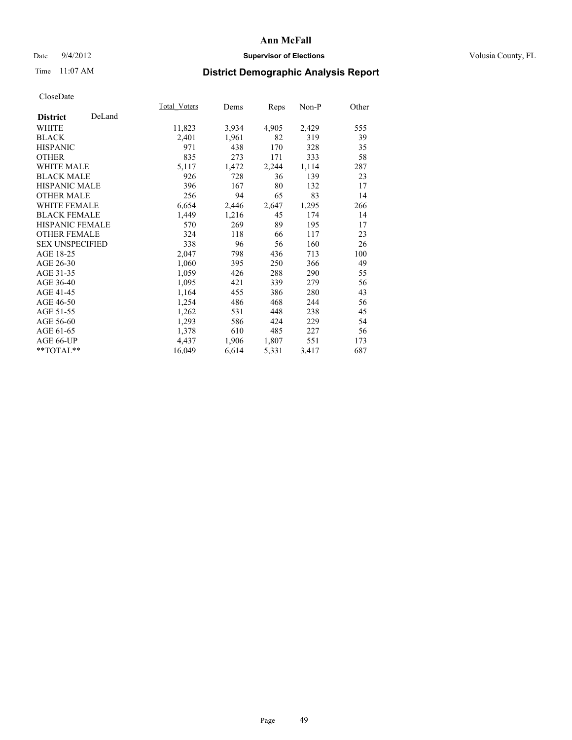### Date 9/4/2012 **Supervisor of Elections Supervisor of Elections** Volusia County, FL

# Time 11:07 AM **District Demographic Analysis Report**

|                           | Total Voters | Dems  | <b>Reps</b> | Non-P | Other |
|---------------------------|--------------|-------|-------------|-------|-------|
| DeLand<br><b>District</b> |              |       |             |       |       |
| WHITE                     | 11,823       | 3,934 | 4,905       | 2,429 | 555   |
| <b>BLACK</b>              | 2,401        | 1,961 | 82          | 319   | 39    |
| <b>HISPANIC</b>           | 971          | 438   | 170         | 328   | 35    |
| <b>OTHER</b>              | 835          | 273   | 171         | 333   | 58    |
| <b>WHITE MALE</b>         | 5,117        | 1,472 | 2,244       | 1,114 | 287   |
| <b>BLACK MALE</b>         | 926          | 728   | 36          | 139   | 23    |
| HISPANIC MALE             | 396          | 167   | 80          | 132   | 17    |
| <b>OTHER MALE</b>         | 256          | 94    | 65          | 83    | 14    |
| <b>WHITE FEMALE</b>       | 6,654        | 2,446 | 2,647       | 1,295 | 266   |
| <b>BLACK FEMALE</b>       | 1,449        | 1,216 | 45          | 174   | 14    |
| <b>HISPANIC FEMALE</b>    | 570          | 269   | 89          | 195   | 17    |
| <b>OTHER FEMALE</b>       | 324          | 118   | 66          | 117   | 23    |
| <b>SEX UNSPECIFIED</b>    | 338          | 96    | 56          | 160   | 26    |
| AGE 18-25                 | 2,047        | 798   | 436         | 713   | 100   |
| AGE 26-30                 | 1,060        | 395   | 250         | 366   | 49    |
| AGE 31-35                 | 1,059        | 426   | 288         | 290   | 55    |
| AGE 36-40                 | 1,095        | 421   | 339         | 279   | 56    |
| AGE 41-45                 | 1,164        | 455   | 386         | 280   | 43    |
| AGE 46-50                 | 1,254        | 486   | 468         | 244   | 56    |
| AGE 51-55                 | 1,262        | 531   | 448         | 238   | 45    |
| AGE 56-60                 | 1,293        | 586   | 424         | 229   | 54    |
| AGE 61-65                 | 1,378        | 610   | 485         | 227   | 56    |
| AGE 66-UP                 | 4,437        | 1,906 | 1,807       | 551   | 173   |
| **TOTAL**                 | 16,049       | 6,614 | 5,331       | 3,417 | 687   |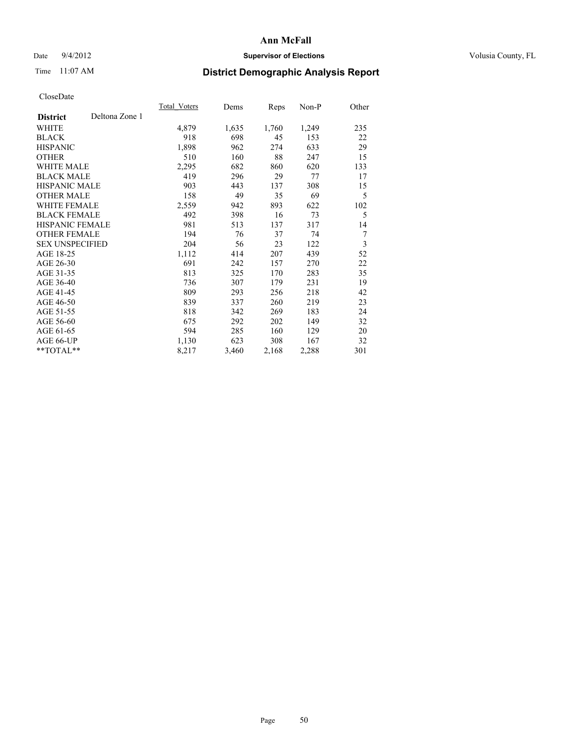## Date 9/4/2012 **Supervisor of Elections Supervisor of Elections** Volusia County, FL

# Time 11:07 AM **District Demographic Analysis Report**

|                        |                | Total Voters | Dems  | Reps  | Non-P | Other |
|------------------------|----------------|--------------|-------|-------|-------|-------|
| <b>District</b>        | Deltona Zone 1 |              |       |       |       |       |
| WHITE                  |                | 4,879        | 1,635 | 1,760 | 1,249 | 235   |
| <b>BLACK</b>           |                | 918          | 698   | 45    | 153   | 22    |
| <b>HISPANIC</b>        |                | 1,898        | 962   | 274   | 633   | 29    |
| <b>OTHER</b>           |                | 510          | 160   | 88    | 247   | 15    |
| <b>WHITE MALE</b>      |                | 2,295        | 682   | 860   | 620   | 133   |
| <b>BLACK MALE</b>      |                | 419          | 296   | 29    | 77    | 17    |
| <b>HISPANIC MALE</b>   |                | 903          | 443   | 137   | 308   | 15    |
| <b>OTHER MALE</b>      |                | 158          | 49    | 35    | 69    | 5     |
| <b>WHITE FEMALE</b>    |                | 2,559        | 942   | 893   | 622   | 102   |
| <b>BLACK FEMALE</b>    |                | 492          | 398   | 16    | 73    | 5     |
| HISPANIC FEMALE        |                | 981          | 513   | 137   | 317   | 14    |
| <b>OTHER FEMALE</b>    |                | 194          | 76    | 37    | 74    | 7     |
| <b>SEX UNSPECIFIED</b> |                | 204          | 56    | 23    | 122   | 3     |
| AGE 18-25              |                | 1,112        | 414   | 207   | 439   | 52    |
| AGE 26-30              |                | 691          | 242   | 157   | 270   | 22    |
| AGE 31-35              |                | 813          | 325   | 170   | 283   | 35    |
| AGE 36-40              |                | 736          | 307   | 179   | 231   | 19    |
| AGE 41-45              |                | 809          | 293   | 256   | 218   | 42    |
| AGE 46-50              |                | 839          | 337   | 260   | 219   | 23    |
| AGE 51-55              |                | 818          | 342   | 269   | 183   | 24    |
| AGE 56-60              |                | 675          | 292   | 202   | 149   | 32    |
| AGE 61-65              |                | 594          | 285   | 160   | 129   | 20    |
| AGE 66-UP              |                | 1,130        | 623   | 308   | 167   | 32    |
| **TOTAL**              |                | 8,217        | 3,460 | 2,168 | 2,288 | 301   |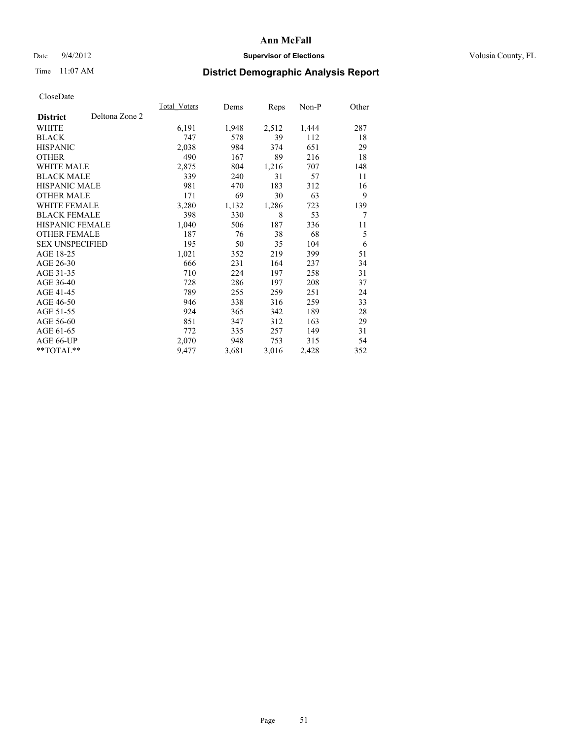## Date 9/4/2012 **Supervisor of Elections Supervisor of Elections** Volusia County, FL

# Time 11:07 AM **District Demographic Analysis Report**

|                        |                | Total Voters | Dems  | <b>Reps</b> | Non-P | Other |
|------------------------|----------------|--------------|-------|-------------|-------|-------|
| <b>District</b>        | Deltona Zone 2 |              |       |             |       |       |
| WHITE                  |                | 6,191        | 1,948 | 2,512       | 1,444 | 287   |
| <b>BLACK</b>           |                | 747          | 578   | 39          | 112   | 18    |
| <b>HISPANIC</b>        |                | 2,038        | 984   | 374         | 651   | 29    |
| <b>OTHER</b>           |                | 490          | 167   | 89          | 216   | 18    |
| <b>WHITE MALE</b>      |                | 2,875        | 804   | 1,216       | 707   | 148   |
| <b>BLACK MALE</b>      |                | 339          | 240   | 31          | 57    | 11    |
| <b>HISPANIC MALE</b>   |                | 981          | 470   | 183         | 312   | 16    |
| <b>OTHER MALE</b>      |                | 171          | 69    | 30          | 63    | 9     |
| <b>WHITE FEMALE</b>    |                | 3,280        | 1,132 | 1,286       | 723   | 139   |
| <b>BLACK FEMALE</b>    |                | 398          | 330   | 8           | 53    | 7     |
| <b>HISPANIC FEMALE</b> |                | 1,040        | 506   | 187         | 336   | 11    |
| <b>OTHER FEMALE</b>    |                | 187          | 76    | 38          | 68    | 5     |
| <b>SEX UNSPECIFIED</b> |                | 195          | 50    | 35          | 104   | 6     |
| AGE 18-25              |                | 1,021        | 352   | 219         | 399   | 51    |
| AGE 26-30              |                | 666          | 231   | 164         | 237   | 34    |
| AGE 31-35              |                | 710          | 224   | 197         | 258   | 31    |
| AGE 36-40              |                | 728          | 286   | 197         | 208   | 37    |
| AGE 41-45              |                | 789          | 255   | 259         | 251   | 24    |
| AGE 46-50              |                | 946          | 338   | 316         | 259   | 33    |
| AGE 51-55              |                | 924          | 365   | 342         | 189   | 28    |
| AGE 56-60              |                | 851          | 347   | 312         | 163   | 29    |
| AGE 61-65              |                | 772          | 335   | 257         | 149   | 31    |
| AGE 66-UP              |                | 2,070        | 948   | 753         | 315   | 54    |
| **TOTAL**              |                | 9,477        | 3,681 | 3,016       | 2,428 | 352   |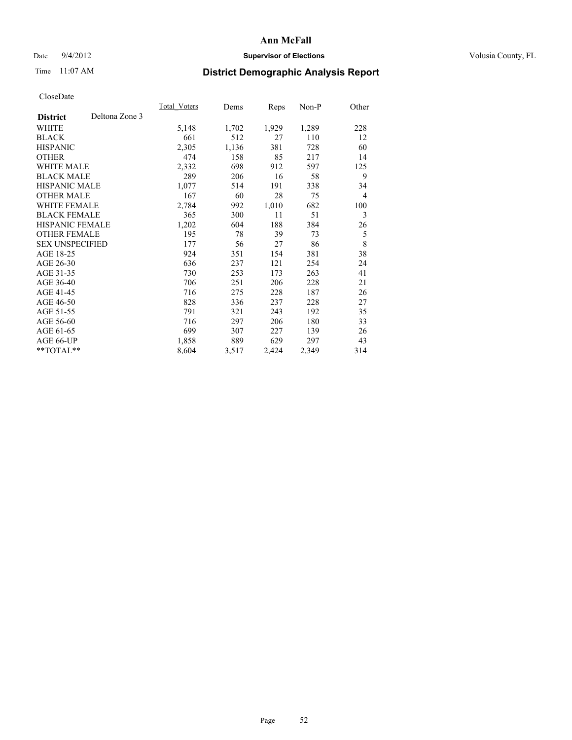## Date 9/4/2012 **Supervisor of Elections Supervisor of Elections** Volusia County, FL

# Time 11:07 AM **District Demographic Analysis Report**

|                        |                | Total Voters | Dems  | Reps  | Non-P | Other          |
|------------------------|----------------|--------------|-------|-------|-------|----------------|
| <b>District</b>        | Deltona Zone 3 |              |       |       |       |                |
| WHITE                  |                | 5,148        | 1,702 | 1,929 | 1,289 | 228            |
| <b>BLACK</b>           |                | 661          | 512   | 27    | 110   | 12             |
| <b>HISPANIC</b>        |                | 2,305        | 1,136 | 381   | 728   | 60             |
| <b>OTHER</b>           |                | 474          | 158   | 85    | 217   | 14             |
| <b>WHITE MALE</b>      |                | 2,332        | 698   | 912   | 597   | 125            |
| <b>BLACK MALE</b>      |                | 289          | 206   | 16    | 58    | 9              |
| <b>HISPANIC MALE</b>   |                | 1,077        | 514   | 191   | 338   | 34             |
| <b>OTHER MALE</b>      |                | 167          | 60    | 28    | 75    | $\overline{4}$ |
| <b>WHITE FEMALE</b>    |                | 2,784        | 992   | 1,010 | 682   | 100            |
| <b>BLACK FEMALE</b>    |                | 365          | 300   | 11    | 51    | 3              |
| HISPANIC FEMALE        |                | 1,202        | 604   | 188   | 384   | 26             |
| <b>OTHER FEMALE</b>    |                | 195          | 78    | 39    | 73    | 5              |
| <b>SEX UNSPECIFIED</b> |                | 177          | 56    | 27    | 86    | 8              |
| AGE 18-25              |                | 924          | 351   | 154   | 381   | 38             |
| AGE 26-30              |                | 636          | 237   | 121   | 254   | 24             |
| AGE 31-35              |                | 730          | 253   | 173   | 263   | 41             |
| AGE 36-40              |                | 706          | 251   | 206   | 228   | 21             |
| AGE 41-45              |                | 716          | 275   | 228   | 187   | 26             |
| AGE 46-50              |                | 828          | 336   | 237   | 228   | 27             |
| AGE 51-55              |                | 791          | 321   | 243   | 192   | 35             |
| AGE 56-60              |                | 716          | 297   | 206   | 180   | 33             |
| AGE 61-65              |                | 699          | 307   | 227   | 139   | 26             |
| AGE 66-UP              |                | 1,858        | 889   | 629   | 297   | 43             |
| **TOTAL**              |                | 8,604        | 3,517 | 2,424 | 2,349 | 314            |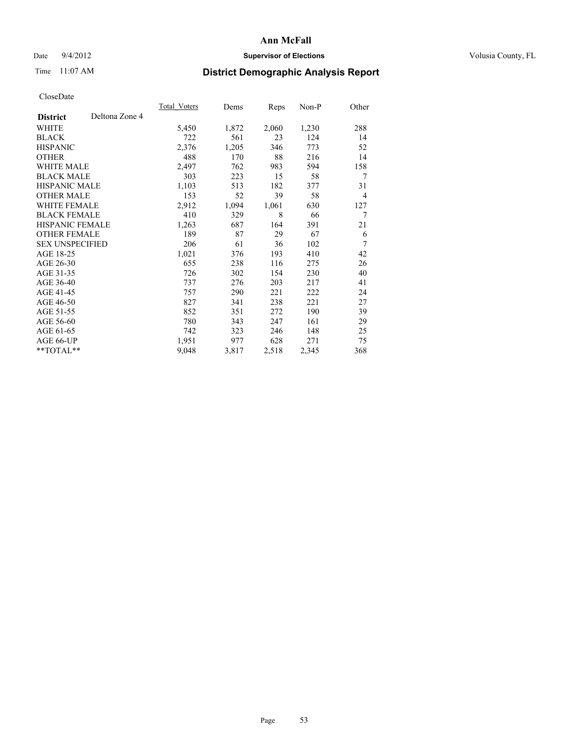### Date 9/4/2012 **Supervisor of Elections Supervisor of Elections** Volusia County, FL

# Time 11:07 AM **District Demographic Analysis Report**

|                        |                | Total Voters | Dems  | <b>Reps</b> | Non-P | Other          |
|------------------------|----------------|--------------|-------|-------------|-------|----------------|
| <b>District</b>        | Deltona Zone 4 |              |       |             |       |                |
| WHITE                  |                | 5,450        | 1,872 | 2,060       | 1,230 | 288            |
| <b>BLACK</b>           |                | 722          | 561   | 23          | 124   | 14             |
| <b>HISPANIC</b>        |                | 2,376        | 1,205 | 346         | 773   | 52             |
| <b>OTHER</b>           |                | 488          | 170   | 88          | 216   | 14             |
| <b>WHITE MALE</b>      |                | 2,497        | 762   | 983         | 594   | 158            |
| <b>BLACK MALE</b>      |                | 303          | 223   | 15          | 58    | 7              |
| <b>HISPANIC MALE</b>   |                | 1,103        | 513   | 182         | 377   | 31             |
| <b>OTHER MALE</b>      |                | 153          | 52    | 39          | 58    | $\overline{4}$ |
| <b>WHITE FEMALE</b>    |                | 2,912        | 1,094 | 1,061       | 630   | 127            |
| <b>BLACK FEMALE</b>    |                | 410          | 329   | 8           | 66    | 7              |
| <b>HISPANIC FEMALE</b> |                | 1,263        | 687   | 164         | 391   | 21             |
| <b>OTHER FEMALE</b>    |                | 189          | 87    | 29          | 67    | 6              |
| <b>SEX UNSPECIFIED</b> |                | 206          | 61    | 36          | 102   | 7              |
| AGE 18-25              |                | 1,021        | 376   | 193         | 410   | 42             |
| AGE 26-30              |                | 655          | 238   | 116         | 275   | 26             |
| AGE 31-35              |                | 726          | 302   | 154         | 230   | 40             |
| AGE 36-40              |                | 737          | 276   | 203         | 217   | 41             |
| AGE 41-45              |                | 757          | 290   | 221         | 222   | 24             |
| AGE 46-50              |                | 827          | 341   | 238         | 221   | 27             |
| AGE 51-55              |                | 852          | 351   | 272         | 190   | 39             |
| AGE 56-60              |                | 780          | 343   | 247         | 161   | 29             |
| AGE 61-65              |                | 742          | 323   | 246         | 148   | 25             |
| AGE 66-UP              |                | 1,951        | 977   | 628         | 271   | 75             |
| $*$ TOTAL $*$          |                | 9,048        | 3,817 | 2,518       | 2,345 | 368            |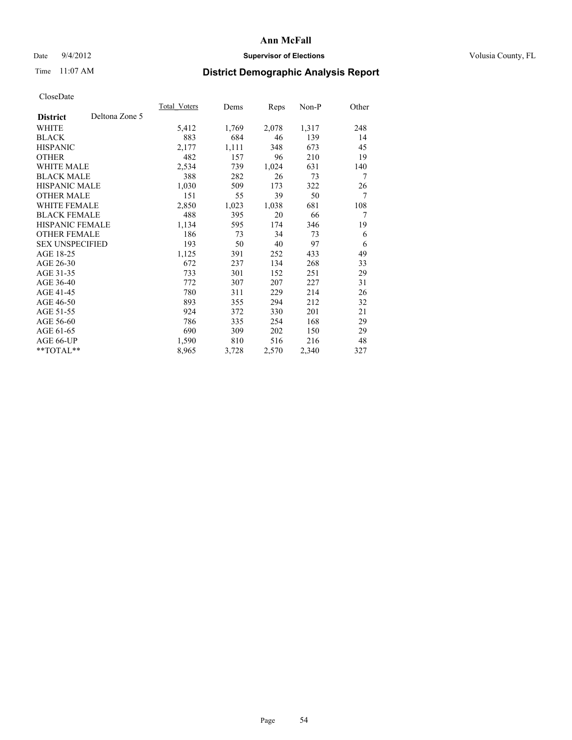## Date 9/4/2012 **Supervisor of Elections Supervisor of Elections** Volusia County, FL

# Time 11:07 AM **District Demographic Analysis Report**

|                        |                | Total Voters | Dems  | Reps  | Non-P | Other          |
|------------------------|----------------|--------------|-------|-------|-------|----------------|
| <b>District</b>        | Deltona Zone 5 |              |       |       |       |                |
| WHITE                  |                | 5,412        | 1,769 | 2,078 | 1,317 | 248            |
| <b>BLACK</b>           |                | 883          | 684   | 46    | 139   | 14             |
| <b>HISPANIC</b>        |                | 2,177        | 1,111 | 348   | 673   | 45             |
| <b>OTHER</b>           |                | 482          | 157   | 96    | 210   | 19             |
| <b>WHITE MALE</b>      |                | 2,534        | 739   | 1,024 | 631   | 140            |
| <b>BLACK MALE</b>      |                | 388          | 282   | 26    | 73    | 7              |
| <b>HISPANIC MALE</b>   |                | 1,030        | 509   | 173   | 322   | 26             |
| <b>OTHER MALE</b>      |                | 151          | 55    | 39    | 50    | $\overline{7}$ |
| <b>WHITE FEMALE</b>    |                | 2,850        | 1,023 | 1,038 | 681   | 108            |
| <b>BLACK FEMALE</b>    |                | 488          | 395   | 20    | 66    | 7              |
| HISPANIC FEMALE        |                | 1,134        | 595   | 174   | 346   | 19             |
| <b>OTHER FEMALE</b>    |                | 186          | 73    | 34    | 73    | 6              |
| <b>SEX UNSPECIFIED</b> |                | 193          | 50    | 40    | 97    | 6              |
| AGE 18-25              |                | 1,125        | 391   | 252   | 433   | 49             |
| AGE 26-30              |                | 672          | 237   | 134   | 268   | 33             |
| AGE 31-35              |                | 733          | 301   | 152   | 251   | 29             |
| AGE 36-40              |                | 772          | 307   | 207   | 227   | 31             |
| AGE 41-45              |                | 780          | 311   | 229   | 214   | 26             |
| AGE 46-50              |                | 893          | 355   | 294   | 212   | 32             |
| AGE 51-55              |                | 924          | 372   | 330   | 201   | 21             |
| AGE 56-60              |                | 786          | 335   | 254   | 168   | 29             |
| AGE 61-65              |                | 690          | 309   | 202   | 150   | 29             |
| AGE 66-UP              |                | 1,590        | 810   | 516   | 216   | 48             |
| **TOTAL**              |                | 8,965        | 3,728 | 2,570 | 2,340 | 327            |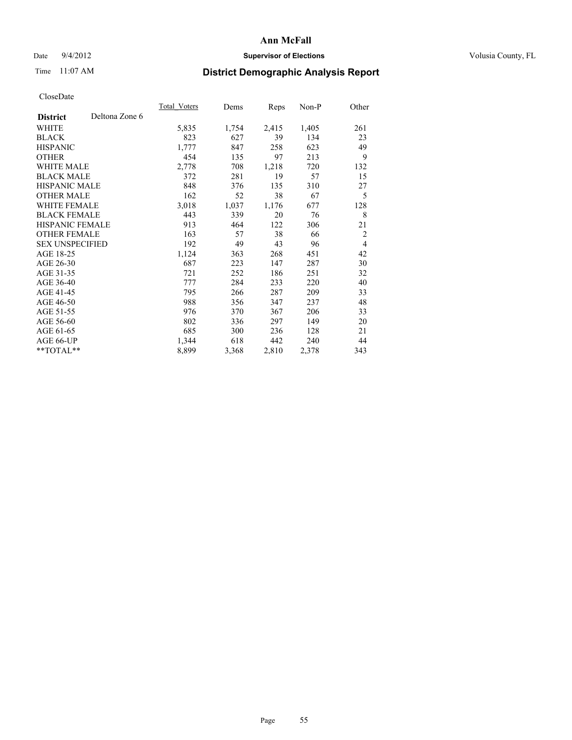## Date 9/4/2012 **Supervisor of Elections Supervisor of Elections** Volusia County, FL

# Time 11:07 AM **District Demographic Analysis Report**

|                        |                | <b>Total Voters</b> | Dems  | Reps  | $Non-P$ | Other |
|------------------------|----------------|---------------------|-------|-------|---------|-------|
| <b>District</b>        | Deltona Zone 6 |                     |       |       |         |       |
| WHITE                  |                | 5,835               | 1,754 | 2,415 | 1,405   | 261   |
| <b>BLACK</b>           |                | 823                 | 627   | 39    | 134     | 23    |
| <b>HISPANIC</b>        |                | 1,777               | 847   | 258   | 623     | 49    |
| <b>OTHER</b>           |                | 454                 | 135   | 97    | 213     | 9     |
| WHITE MALE             |                | 2,778               | 708   | 1,218 | 720     | 132   |
| <b>BLACK MALE</b>      |                | 372                 | 281   | 19    | 57      | 15    |
| <b>HISPANIC MALE</b>   |                | 848                 | 376   | 135   | 310     | 27    |
| <b>OTHER MALE</b>      |                | 162                 | 52    | 38    | 67      | 5     |
| <b>WHITE FEMALE</b>    |                | 3,018               | 1,037 | 1,176 | 677     | 128   |
| <b>BLACK FEMALE</b>    |                | 443                 | 339   | 20    | 76      | 8     |
| HISPANIC FEMALE        |                | 913                 | 464   | 122   | 306     | 21    |
| <b>OTHER FEMALE</b>    |                | 163                 | 57    | 38    | 66      | 2     |
| <b>SEX UNSPECIFIED</b> |                | 192                 | 49    | 43    | 96      | 4     |
| AGE 18-25              |                | 1,124               | 363   | 268   | 451     | 42    |
| AGE 26-30              |                | 687                 | 223   | 147   | 287     | 30    |
| AGE 31-35              |                | 721                 | 252   | 186   | 251     | 32    |
| AGE 36-40              |                | 777                 | 284   | 233   | 220     | 40    |
| AGE 41-45              |                | 795                 | 266   | 287   | 209     | 33    |
| AGE 46-50              |                | 988                 | 356   | 347   | 237     | 48    |
| AGE 51-55              |                | 976                 | 370   | 367   | 206     | 33    |
| AGE 56-60              |                | 802                 | 336   | 297   | 149     | 20    |
| AGE 61-65              |                | 685                 | 300   | 236   | 128     | 21    |
| AGE 66-UP              |                | 1,344               | 618   | 442   | 240     | 44    |
| **TOTAL**              |                | 8,899               | 3,368 | 2,810 | 2,378   | 343   |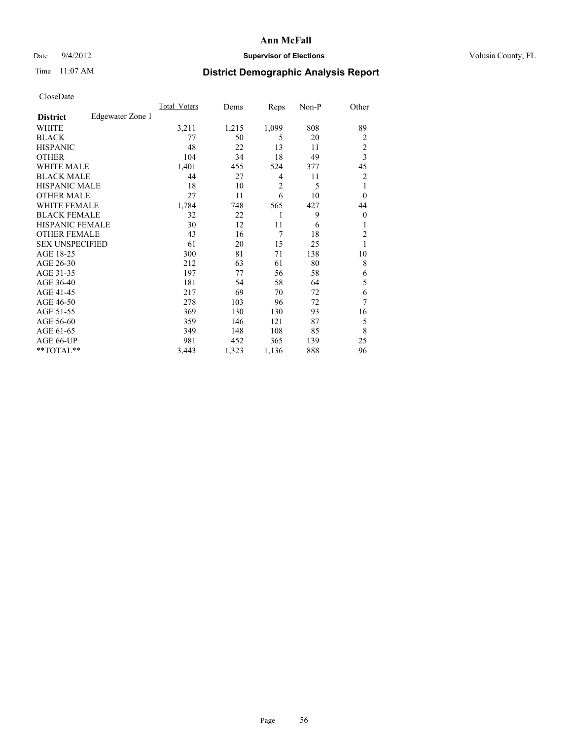## Date 9/4/2012 **Supervisor of Elections Supervisor of Elections** Volusia County, FL

## Time 11:07 AM **District Demographic Analysis Report**

|                        |                  | Total Voters | Dems  | Reps           | Non-P | Other          |
|------------------------|------------------|--------------|-------|----------------|-------|----------------|
| <b>District</b>        | Edgewater Zone 1 |              |       |                |       |                |
| WHITE                  |                  | 3,211        | 1,215 | 1,099          | 808   | 89             |
| <b>BLACK</b>           |                  | 77           | 50    | 5              | 20    | $\overline{2}$ |
| <b>HISPANIC</b>        |                  | 48           | 22    | 13             | 11    | $\overline{2}$ |
| <b>OTHER</b>           |                  | 104          | 34    | 18             | 49    | 3              |
| WHITE MALE             |                  | 1,401        | 455   | 524            | 377   | 45             |
| <b>BLACK MALE</b>      |                  | 44           | 27    | 4              | 11    | 2              |
| <b>HISPANIC MALE</b>   |                  | 18           | 10    | $\overline{2}$ | 5     | 1              |
| <b>OTHER MALE</b>      |                  | 27           | 11    | 6              | 10    | $\theta$       |
| WHITE FEMALE           |                  | 1,784        | 748   | 565            | 427   | 44             |
| <b>BLACK FEMALE</b>    |                  | 32           | 22    | 1              | 9     | $\overline{0}$ |
| <b>HISPANIC FEMALE</b> |                  | 30           | 12    | 11             | 6     | 1              |
| <b>OTHER FEMALE</b>    |                  | 43           | 16    | 7              | 18    | $\overline{2}$ |
| <b>SEX UNSPECIFIED</b> |                  | 61           | 20    | 15             | 25    | 1              |
| AGE 18-25              |                  | 300          | 81    | 71             | 138   | 10             |
| AGE 26-30              |                  | 212          | 63    | 61             | 80    | 8              |
| AGE 31-35              |                  | 197          | 77    | 56             | 58    | 6              |
| AGE 36-40              |                  | 181          | 54    | 58             | 64    | 5              |
| AGE 41-45              |                  | 217          | 69    | 70             | 72    | 6              |
| AGE 46-50              |                  | 278          | 103   | 96             | 72    | 7              |
| AGE 51-55              |                  | 369          | 130   | 130            | 93    | 16             |
| AGE 56-60              |                  | 359          | 146   | 121            | 87    | 5              |
| AGE 61-65              |                  | 349          | 148   | 108            | 85    | 8              |
| AGE 66-UP              |                  | 981          | 452   | 365            | 139   | 25             |
| **TOTAL**              |                  | 3,443        | 1,323 | 1,136          | 888   | 96             |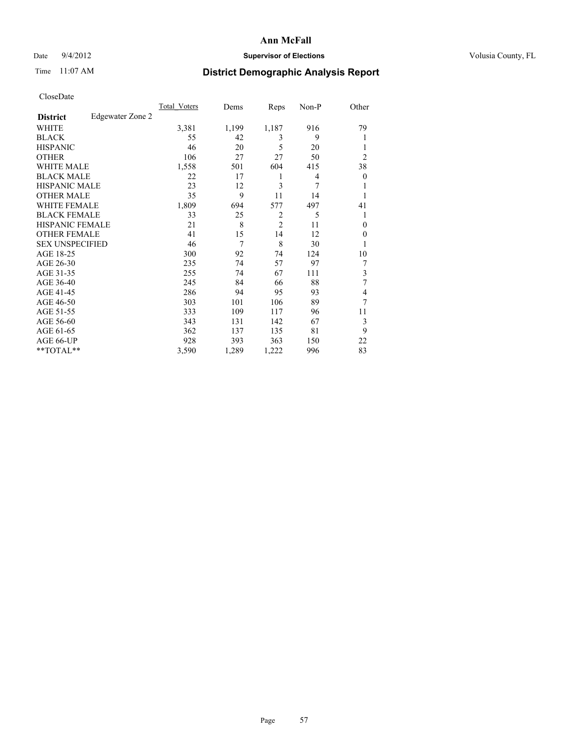## Date 9/4/2012 **Supervisor of Elections Supervisor of Elections** Volusia County, FL

# Time 11:07 AM **District Demographic Analysis Report**

|                        |                  | Total Voters | Dems  | Reps           | Non-P | Other            |
|------------------------|------------------|--------------|-------|----------------|-------|------------------|
| <b>District</b>        | Edgewater Zone 2 |              |       |                |       |                  |
| WHITE                  |                  | 3,381        | 1,199 | 1,187          | 916   | 79               |
| <b>BLACK</b>           |                  | 55           | 42    | 3              | 9     | 1                |
| <b>HISPANIC</b>        |                  | 46           | 20    | 5              | 20    |                  |
| <b>OTHER</b>           |                  | 106          | 27    | 27             | 50    | $\overline{2}$   |
| WHITE MALE             |                  | 1,558        | 501   | 604            | 415   | 38               |
| <b>BLACK MALE</b>      |                  | 22           | 17    | 1              | 4     | $\boldsymbol{0}$ |
| <b>HISPANIC MALE</b>   |                  | 23           | 12    | 3              | 7     | 1                |
| <b>OTHER MALE</b>      |                  | 35           | 9     | 11             | 14    |                  |
| <b>WHITE FEMALE</b>    |                  | 1,809        | 694   | 577            | 497   | 41               |
| <b>BLACK FEMALE</b>    |                  | 33           | 25    | $\overline{2}$ | 5     | 1                |
| <b>HISPANIC FEMALE</b> |                  | 21           | 8     | $\overline{2}$ | 11    | $\theta$         |
| <b>OTHER FEMALE</b>    |                  | 41           | 15    | 14             | 12    | $\Omega$         |
| <b>SEX UNSPECIFIED</b> |                  | 46           | 7     | 8              | 30    |                  |
| AGE 18-25              |                  | 300          | 92    | 74             | 124   | 10               |
| AGE 26-30              |                  | 235          | 74    | 57             | 97    | 7                |
| AGE 31-35              |                  | 255          | 74    | 67             | 111   | 3                |
| AGE 36-40              |                  | 245          | 84    | 66             | 88    | 7                |
| AGE 41-45              |                  | 286          | 94    | 95             | 93    | 4                |
| AGE 46-50              |                  | 303          | 101   | 106            | 89    | 7                |
| AGE 51-55              |                  | 333          | 109   | 117            | 96    | 11               |
| AGE 56-60              |                  | 343          | 131   | 142            | 67    | 3                |
| AGE 61-65              |                  | 362          | 137   | 135            | 81    | 9                |
| AGE 66-UP              |                  | 928          | 393   | 363            | 150   | 22               |
| **TOTAL**              |                  | 3,590        | 1,289 | 1,222          | 996   | 83               |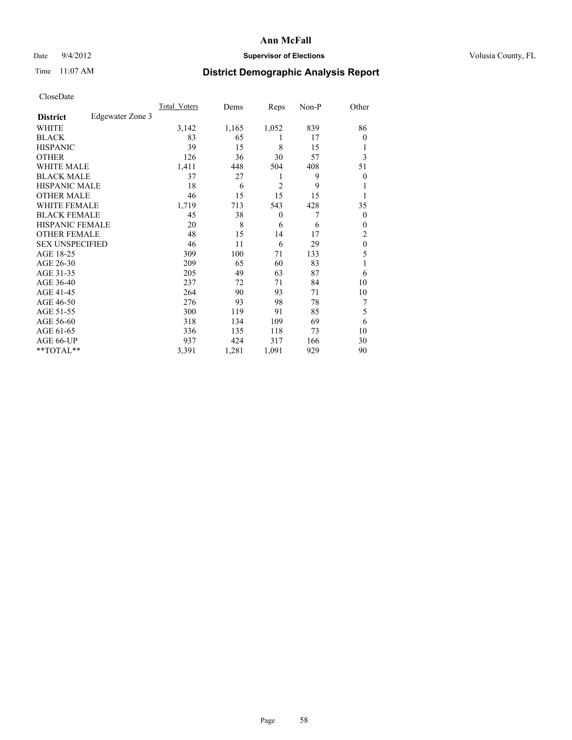## Date 9/4/2012 **Supervisor of Elections Supervisor of Elections** Volusia County, FL

## Time 11:07 AM **District Demographic Analysis Report**

|                        |                  | Total Voters | Dems  | Reps           | Non-P | Other            |
|------------------------|------------------|--------------|-------|----------------|-------|------------------|
| <b>District</b>        | Edgewater Zone 3 |              |       |                |       |                  |
| WHITE                  |                  | 3,142        | 1,165 | 1,052          | 839   | 86               |
| <b>BLACK</b>           |                  | 83           | 65    | 1              | 17    | $\theta$         |
| <b>HISPANIC</b>        |                  | 39           | 15    | 8              | 15    | 1                |
| <b>OTHER</b>           |                  | 126          | 36    | 30             | 57    | 3                |
| WHITE MALE             |                  | 1,411        | 448   | 504            | 408   | 51               |
| <b>BLACK MALE</b>      |                  | 37           | 27    | 1              | 9     | $\boldsymbol{0}$ |
| <b>HISPANIC MALE</b>   |                  | 18           | 6     | $\overline{2}$ | 9     | 1                |
| <b>OTHER MALE</b>      |                  | 46           | 15    | 15             | 15    | 1                |
| <b>WHITE FEMALE</b>    |                  | 1,719        | 713   | 543            | 428   | 35               |
| <b>BLACK FEMALE</b>    |                  | 45           | 38    | $\mathbf{0}$   | 7     | $\theta$         |
| <b>HISPANIC FEMALE</b> |                  | 20           | 8     | 6              | 6     | $\theta$         |
| <b>OTHER FEMALE</b>    |                  | 48           | 15    | 14             | 17    | 2                |
| <b>SEX UNSPECIFIED</b> |                  | 46           | 11    | 6              | 29    | $\mathbf{0}$     |
| AGE 18-25              |                  | 309          | 100   | 71             | 133   | 5                |
| AGE 26-30              |                  | 209          | 65    | 60             | 83    | 1                |
| AGE 31-35              |                  | 205          | 49    | 63             | 87    | 6                |
| AGE 36-40              |                  | 237          | 72    | 71             | 84    | 10               |
| AGE 41-45              |                  | 264          | 90    | 93             | 71    | 10               |
| AGE 46-50              |                  | 276          | 93    | 98             | 78    | 7                |
| AGE 51-55              |                  | 300          | 119   | 91             | 85    | 5                |
| AGE 56-60              |                  | 318          | 134   | 109            | 69    | 6                |
| AGE 61-65              |                  | 336          | 135   | 118            | 73    | 10               |
| AGE 66-UP              |                  | 937          | 424   | 317            | 166   | 30               |
| **TOTAL**              |                  | 3,391        | 1,281 | 1,091          | 929   | 90               |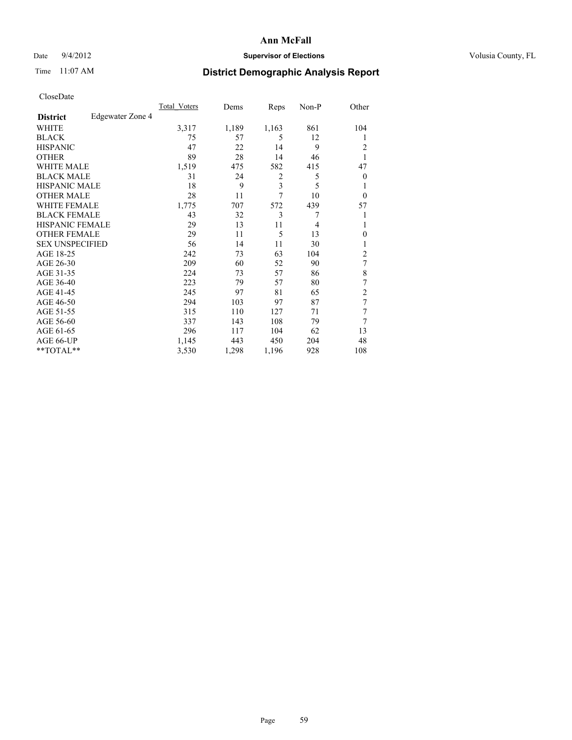## Date 9/4/2012 **Supervisor of Elections Supervisor of Elections** Volusia County, FL

## Time 11:07 AM **District Demographic Analysis Report**

|                        |                  | <b>Total Voters</b> | Dems  | Reps                    | Non-P | Other            |
|------------------------|------------------|---------------------|-------|-------------------------|-------|------------------|
| <b>District</b>        | Edgewater Zone 4 |                     |       |                         |       |                  |
| WHITE                  |                  | 3,317               | 1,189 | 1,163                   | 861   | 104              |
| <b>BLACK</b>           |                  | 75                  | 57    | 5                       | 12    | 1                |
| <b>HISPANIC</b>        |                  | 47                  | 22    | 14                      | 9     | 2                |
| <b>OTHER</b>           |                  | 89                  | 28    | 14                      | 46    |                  |
| WHITE MALE             |                  | 1,519               | 475   | 582                     | 415   | 47               |
| <b>BLACK MALE</b>      |                  | 31                  | 24    | 2                       | 5     | $\boldsymbol{0}$ |
| <b>HISPANIC MALE</b>   |                  | 18                  | 9     | $\overline{\mathbf{3}}$ | 5     | 1                |
| <b>OTHER MALE</b>      |                  | 28                  | 11    | 7                       | 10    | $\overline{0}$   |
| <b>WHITE FEMALE</b>    |                  | 1,775               | 707   | 572                     | 439   | 57               |
| <b>BLACK FEMALE</b>    |                  | 43                  | 32    | 3                       | 7     | 1                |
| <b>HISPANIC FEMALE</b> |                  | 29                  | 13    | 11                      | 4     | 1                |
| <b>OTHER FEMALE</b>    |                  | 29                  | 11    | 5                       | 13    | $\theta$         |
| <b>SEX UNSPECIFIED</b> |                  | 56                  | 14    | 11                      | 30    | 1                |
| AGE 18-25              |                  | 242                 | 73    | 63                      | 104   | $\overline{c}$   |
| AGE 26-30              |                  | 209                 | 60    | 52                      | 90    | 7                |
| AGE 31-35              |                  | 224                 | 73    | 57                      | 86    | 8                |
| AGE 36-40              |                  | 223                 | 79    | 57                      | 80    | 7                |
| AGE 41-45              |                  | 245                 | 97    | 81                      | 65    | $\overline{c}$   |
| AGE 46-50              |                  | 294                 | 103   | 97                      | 87    | 7                |
| AGE 51-55              |                  | 315                 | 110   | 127                     | 71    | 7                |
| AGE 56-60              |                  | 337                 | 143   | 108                     | 79    | 7                |
| AGE 61-65              |                  | 296                 | 117   | 104                     | 62    | 13               |
| AGE 66-UP              |                  | 1,145               | 443   | 450                     | 204   | 48               |
| **TOTAL**              |                  | 3,530               | 1,298 | 1,196                   | 928   | 108              |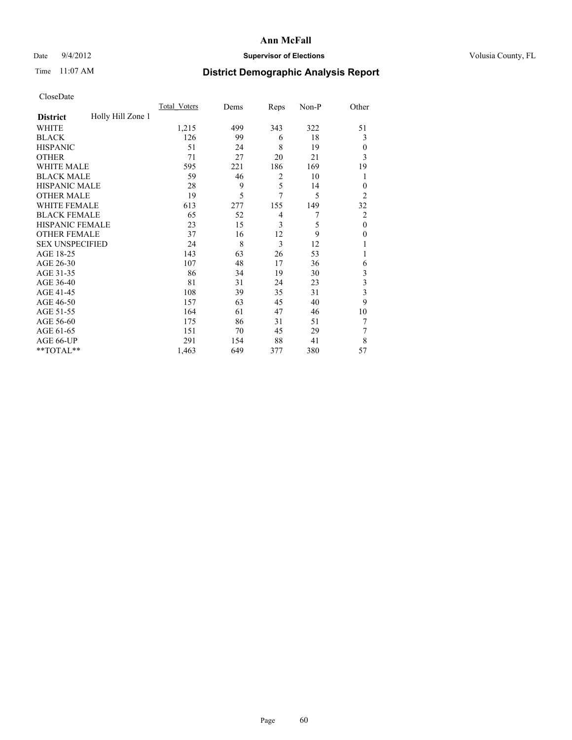## Date 9/4/2012 **Supervisor of Elections Supervisor of Elections** Volusia County, FL

# Time 11:07 AM **District Demographic Analysis Report**

|                        |                   | <b>Total Voters</b> | Dems | Reps           | Non-P | Other          |
|------------------------|-------------------|---------------------|------|----------------|-------|----------------|
| <b>District</b>        | Holly Hill Zone 1 |                     |      |                |       |                |
| WHITE                  |                   | 1,215               | 499  | 343            | 322   | 51             |
| <b>BLACK</b>           |                   | 126                 | 99   | 6              | 18    | 3              |
| <b>HISPANIC</b>        |                   | 51                  | 24   | 8              | 19    | $\Omega$       |
| <b>OTHER</b>           |                   | 71                  | 27   | 20             | 21    | 3              |
| WHITE MALE             |                   | 595                 | 221  | 186            | 169   | 19             |
| <b>BLACK MALE</b>      |                   | 59                  | 46   | $\overline{2}$ | 10    | 1              |
| <b>HISPANIC MALE</b>   |                   | 28                  | 9    | 5              | 14    | $\overline{0}$ |
| <b>OTHER MALE</b>      |                   | 19                  | 5    | 7              | 5     | $\overline{2}$ |
| WHITE FEMALE           |                   | 613                 | 277  | 155            | 149   | 32             |
| <b>BLACK FEMALE</b>    |                   | 65                  | 52   | $\overline{4}$ | 7     | $\overline{2}$ |
| <b>HISPANIC FEMALE</b> |                   | 23                  | 15   | 3              | 5     | $\theta$       |
| <b>OTHER FEMALE</b>    |                   | 37                  | 16   | 12             | 9     | $\Omega$       |
| <b>SEX UNSPECIFIED</b> |                   | 24                  | 8    | 3              | 12    |                |
| AGE 18-25              |                   | 143                 | 63   | 26             | 53    |                |
| AGE 26-30              |                   | 107                 | 48   | 17             | 36    | 6              |
| AGE 31-35              |                   | 86                  | 34   | 19             | 30    | 3              |
| AGE 36-40              |                   | 81                  | 31   | 24             | 23    | $\mathfrak{Z}$ |
| AGE 41-45              |                   | 108                 | 39   | 35             | 31    | 3              |
| AGE 46-50              |                   | 157                 | 63   | 45             | 40    | 9              |
| AGE 51-55              |                   | 164                 | 61   | 47             | 46    | 10             |
| AGE 56-60              |                   | 175                 | 86   | 31             | 51    | 7              |
| AGE 61-65              |                   | 151                 | 70   | 45             | 29    | 7              |
| AGE 66-UP              |                   | 291                 | 154  | 88             | 41    | 8              |
| **TOTAL**              |                   | 1,463               | 649  | 377            | 380   | 57             |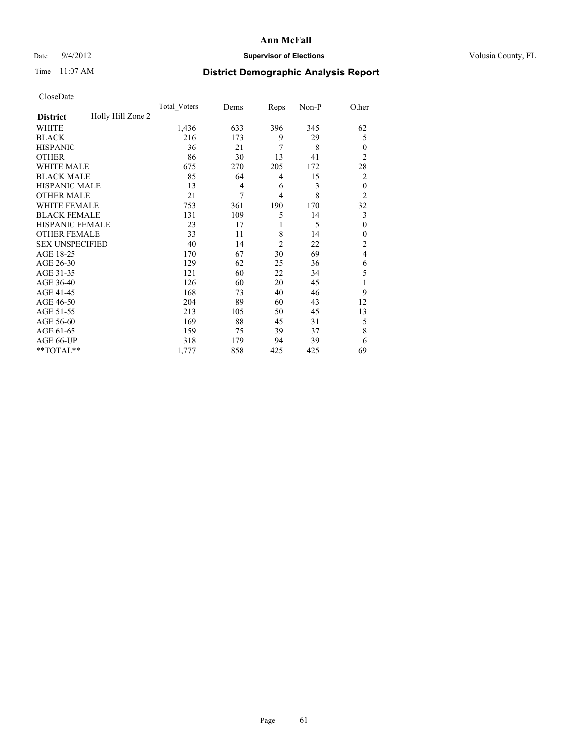## Date 9/4/2012 **Supervisor of Elections Supervisor of Elections** Volusia County, FL

# Time 11:07 AM **District Demographic Analysis Report**

|                        |                   | <b>Total Voters</b> | Dems           | Reps           | Non-P | Other          |
|------------------------|-------------------|---------------------|----------------|----------------|-------|----------------|
| <b>District</b>        | Holly Hill Zone 2 |                     |                |                |       |                |
| WHITE                  |                   | 1,436               | 633            | 396            | 345   | 62             |
| <b>BLACK</b>           |                   | 216                 | 173            | 9              | 29    | 5              |
| <b>HISPANIC</b>        |                   | 36                  | 21             | 7              | 8     | $\Omega$       |
| <b>OTHER</b>           |                   | 86                  | 30             | 13             | 41    | $\overline{2}$ |
| WHITE MALE             |                   | 675                 | 270            | 205            | 172   | 28             |
| <b>BLACK MALE</b>      |                   | 85                  | 64             | 4              | 15    | 2              |
| <b>HISPANIC MALE</b>   |                   | 13                  | $\overline{4}$ | 6              | 3     | $\theta$       |
| <b>OTHER MALE</b>      |                   | 21                  | 7              | $\overline{4}$ | 8     | $\overline{2}$ |
| WHITE FEMALE           |                   | 753                 | 361            | 190            | 170   | 32             |
| <b>BLACK FEMALE</b>    |                   | 131                 | 109            | 5              | 14    | 3              |
| <b>HISPANIC FEMALE</b> |                   | 23                  | 17             | 1              | 5     | $\Omega$       |
| <b>OTHER FEMALE</b>    |                   | 33                  | 11             | 8              | 14    | $\theta$       |
| <b>SEX UNSPECIFIED</b> |                   | 40                  | 14             | $\overline{2}$ | 22    | $\overline{c}$ |
| AGE 18-25              |                   | 170                 | 67             | 30             | 69    | $\overline{4}$ |
| AGE 26-30              |                   | 129                 | 62             | 25             | 36    | 6              |
| AGE 31-35              |                   | 121                 | 60             | 22             | 34    | 5              |
| AGE 36-40              |                   | 126                 | 60             | 20             | 45    | 1              |
| AGE 41-45              |                   | 168                 | 73             | 40             | 46    | 9              |
| AGE 46-50              |                   | 204                 | 89             | 60             | 43    | 12             |
| AGE 51-55              |                   | 213                 | 105            | 50             | 45    | 13             |
| AGE 56-60              |                   | 169                 | 88             | 45             | 31    | 5              |
| AGE 61-65              |                   | 159                 | 75             | 39             | 37    | 8              |
| AGE 66-UP              |                   | 318                 | 179            | 94             | 39    | 6              |
| **TOTAL**              |                   | 1,777               | 858            | 425            | 425   | 69             |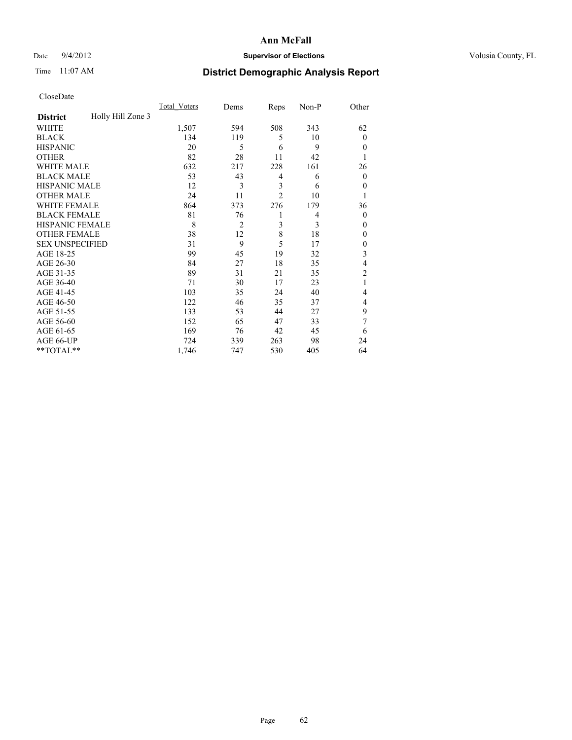## Date 9/4/2012 **Supervisor of Elections Supervisor of Elections** Volusia County, FL

# Time 11:07 AM **District Demographic Analysis Report**

|                        |                   | <b>Total Voters</b> | Dems           | Reps                    | Non-P | Other          |
|------------------------|-------------------|---------------------|----------------|-------------------------|-------|----------------|
| <b>District</b>        | Holly Hill Zone 3 |                     |                |                         |       |                |
| WHITE                  |                   | 1,507               | 594            | 508                     | 343   | 62             |
| <b>BLACK</b>           |                   | 134                 | 119            | 5                       | 10    | $\Omega$       |
| <b>HISPANIC</b>        |                   | 20                  | 5              | 6                       | 9     | $\theta$       |
| <b>OTHER</b>           |                   | 82                  | 28             | 11                      | 42    | 1              |
| WHITE MALE             |                   | 632                 | 217            | 228                     | 161   | 26             |
| <b>BLACK MALE</b>      |                   | 53                  | 43             | 4                       | 6     | $\overline{0}$ |
| <b>HISPANIC MALE</b>   |                   | 12                  | 3              | $\overline{\mathbf{3}}$ | 6     | $\theta$       |
| <b>OTHER MALE</b>      |                   | 24                  | 11             | $\overline{2}$          | 10    | 1              |
| <b>WHITE FEMALE</b>    |                   | 864                 | 373            | 276                     | 179   | 36             |
| <b>BLACK FEMALE</b>    |                   | 81                  | 76             | 1                       | 4     | $\theta$       |
| <b>HISPANIC FEMALE</b> |                   | 8                   | $\overline{2}$ | 3                       | 3     | $\theta$       |
| <b>OTHER FEMALE</b>    |                   | 38                  | 12             | 8                       | 18    | $\theta$       |
| <b>SEX UNSPECIFIED</b> |                   | 31                  | 9              | 5                       | 17    | $\mathbf{0}$   |
| AGE 18-25              |                   | 99                  | 45             | 19                      | 32    | 3              |
| AGE 26-30              |                   | 84                  | 27             | 18                      | 35    | 4              |
| AGE 31-35              |                   | 89                  | 31             | 21                      | 35    | $\overline{c}$ |
| AGE 36-40              |                   | 71                  | 30             | 17                      | 23    | 1              |
| AGE 41-45              |                   | 103                 | 35             | 24                      | 40    | 4              |
| AGE 46-50              |                   | 122                 | 46             | 35                      | 37    | 4              |
| AGE 51-55              |                   | 133                 | 53             | 44                      | 27    | 9              |
| AGE 56-60              |                   | 152                 | 65             | 47                      | 33    | 7              |
| AGE 61-65              |                   | 169                 | 76             | 42                      | 45    | 6              |
| AGE 66-UP              |                   | 724                 | 339            | 263                     | 98    | 24             |
| **TOTAL**              |                   | 1,746               | 747            | 530                     | 405   | 64             |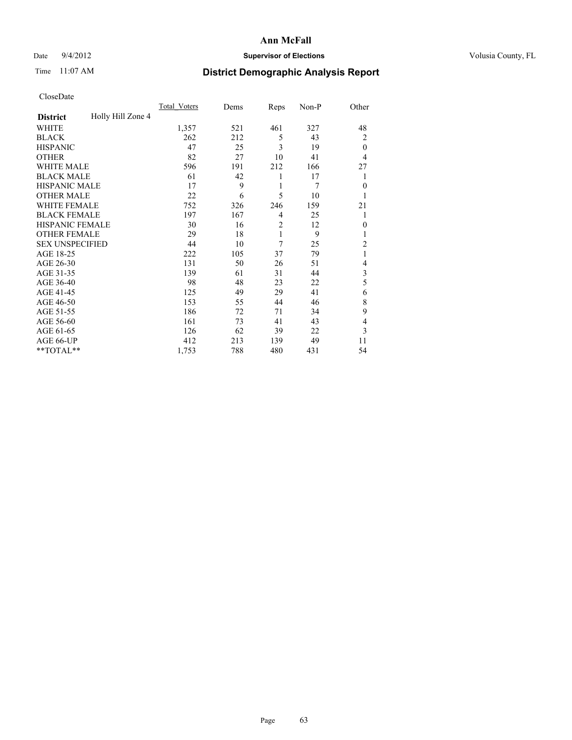## Date 9/4/2012 **Supervisor of Elections Supervisor of Elections** Volusia County, FL

# Time 11:07 AM **District Demographic Analysis Report**

|                        |                   | <b>Total Voters</b> | Dems | Reps           | Non-P          | Other          |
|------------------------|-------------------|---------------------|------|----------------|----------------|----------------|
| <b>District</b>        | Holly Hill Zone 4 |                     |      |                |                |                |
| WHITE                  |                   | 1,357               | 521  | 461            | 327            | 48             |
| <b>BLACK</b>           |                   | 262                 | 212  | 5              | 43             | $\overline{2}$ |
| <b>HISPANIC</b>        |                   | 47                  | 25   | 3              | 19             | $\theta$       |
| <b>OTHER</b>           |                   | 82                  | 27   | 10             | 41             | $\overline{4}$ |
| WHITE MALE             |                   | 596                 | 191  | 212            | 166            | 27             |
| <b>BLACK MALE</b>      |                   | 61                  | 42   | 1              | 17             | 1              |
| <b>HISPANIC MALE</b>   |                   | 17                  | 9    | 1              | $\overline{7}$ | $\theta$       |
| <b>OTHER MALE</b>      |                   | 22                  | 6    | 5              | 10             | 1              |
| <b>WHITE FEMALE</b>    |                   | 752                 | 326  | 246            | 159            | 21             |
| <b>BLACK FEMALE</b>    |                   | 197                 | 167  | 4              | 25             | 1              |
| <b>HISPANIC FEMALE</b> |                   | 30                  | 16   | $\overline{2}$ | 12             | $\Omega$       |
| <b>OTHER FEMALE</b>    |                   | 29                  | 18   | 1              | 9              |                |
| <b>SEX UNSPECIFIED</b> |                   | 44                  | 10   | 7              | 25             | $\overline{c}$ |
| AGE 18-25              |                   | 222                 | 105  | 37             | 79             | 1              |
| AGE 26-30              |                   | 131                 | 50   | 26             | 51             | 4              |
| AGE 31-35              |                   | 139                 | 61   | 31             | 44             | 3              |
| AGE 36-40              |                   | 98                  | 48   | 23             | 22             | 5              |
| AGE 41-45              |                   | 125                 | 49   | 29             | 41             | 6              |
| AGE 46-50              |                   | 153                 | 55   | 44             | 46             | 8              |
| AGE 51-55              |                   | 186                 | 72   | 71             | 34             | 9              |
| AGE 56-60              |                   | 161                 | 73   | 41             | 43             | 4              |
| AGE 61-65              |                   | 126                 | 62   | 39             | 22             | 3              |
| AGE 66-UP              |                   | 412                 | 213  | 139            | 49             | 11             |
| **TOTAL**              |                   | 1,753               | 788  | 480            | 431            | 54             |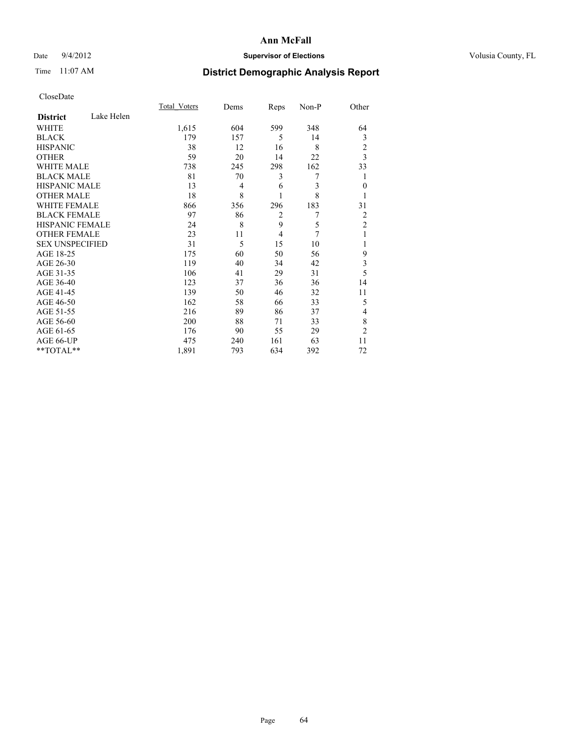## Date 9/4/2012 **Supervisor of Elections Supervisor of Elections** Volusia County, FL

# Time 11:07 AM **District Demographic Analysis Report**

|                        |            | <b>Total Voters</b> | Dems           | Reps           | Non-P | Other          |
|------------------------|------------|---------------------|----------------|----------------|-------|----------------|
| <b>District</b>        | Lake Helen |                     |                |                |       |                |
| WHITE                  |            | 1,615               | 604            | 599            | 348   | 64             |
| <b>BLACK</b>           |            | 179                 | 157            | 5              | 14    | 3              |
| <b>HISPANIC</b>        |            | 38                  | 12             | 16             | 8     | $\overline{c}$ |
| <b>OTHER</b>           |            | 59                  | 20             | 14             | 22    | 3              |
| <b>WHITE MALE</b>      |            | 738                 | 245            | 298            | 162   | 33             |
| <b>BLACK MALE</b>      |            | 81                  | 70             | 3              | 7     | 1              |
| <b>HISPANIC MALE</b>   |            | 13                  | $\overline{4}$ | 6              | 3     | $\theta$       |
| <b>OTHER MALE</b>      |            | 18                  | 8              |                | 8     | 1              |
| <b>WHITE FEMALE</b>    |            | 866                 | 356            | 296            | 183   | 31             |
| <b>BLACK FEMALE</b>    |            | 97                  | 86             | $\overline{2}$ | 7     | $\overline{2}$ |
| HISPANIC FEMALE        |            | 24                  | 8              | 9              | 5     | $\overline{c}$ |
| <b>OTHER FEMALE</b>    |            | 23                  | 11             | $\overline{4}$ | 7     | 1              |
| <b>SEX UNSPECIFIED</b> |            | 31                  | 5              | 15             | 10    |                |
| AGE 18-25              |            | 175                 | 60             | 50             | 56    | 9              |
| AGE 26-30              |            | 119                 | 40             | 34             | 42    | 3              |
| AGE 31-35              |            | 106                 | 41             | 29             | 31    | 5              |
| AGE 36-40              |            | 123                 | 37             | 36             | 36    | 14             |
| AGE 41-45              |            | 139                 | 50             | 46             | 32    | 11             |
| AGE 46-50              |            | 162                 | 58             | 66             | 33    | 5              |
| AGE 51-55              |            | 216                 | 89             | 86             | 37    | 4              |
| AGE 56-60              |            | 200                 | 88             | 71             | 33    | 8              |
| AGE 61-65              |            | 176                 | 90             | 55             | 29    | $\overline{2}$ |
| AGE 66-UP              |            | 475                 | 240            | 161            | 63    | 11             |
| **TOTAL**              |            | 1,891               | 793            | 634            | 392   | 72             |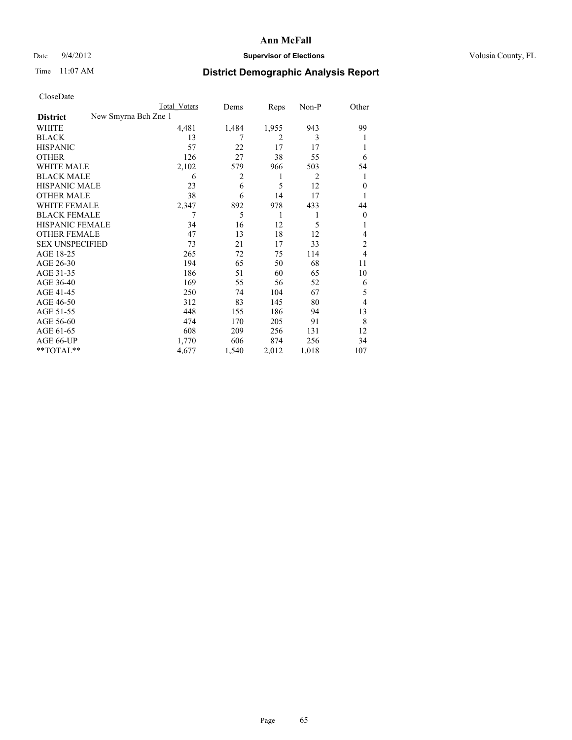## Date 9/4/2012 **Supervisor of Elections Supervisor of Elections** Volusia County, FL

# Time 11:07 AM **District Demographic Analysis Report**

|                        |                      | <b>Total Voters</b> | Dems  | Reps           | Non-P | Other          |
|------------------------|----------------------|---------------------|-------|----------------|-------|----------------|
| <b>District</b>        | New Smyrna Bch Zne 1 |                     |       |                |       |                |
| WHITE                  |                      | 4,481               | 1,484 | 1,955          | 943   | 99             |
| <b>BLACK</b>           |                      | 13                  | 7     | $\overline{2}$ | 3     |                |
| <b>HISPANIC</b>        |                      | 57                  | 22    | 17             | 17    | 1              |
| <b>OTHER</b>           |                      | 126                 | 27    | 38             | 55    | 6              |
| WHITE MALE             |                      | 2,102               | 579   | 966            | 503   | 54             |
| <b>BLACK MALE</b>      |                      | 6                   | 2     | 1              | 2     | 1              |
| <b>HISPANIC MALE</b>   |                      | 23                  | 6     | 5              | 12    | $\mathbf{0}$   |
| <b>OTHER MALE</b>      |                      | 38                  | 6     | 14             | 17    | 1              |
| <b>WHITE FEMALE</b>    |                      | 2,347               | 892   | 978            | 433   | 44             |
| <b>BLACK FEMALE</b>    |                      | 7                   | 5     | 1              | 1     | $\overline{0}$ |
| HISPANIC FEMALE        |                      | 34                  | 16    | 12             | 5     | 1              |
| <b>OTHER FEMALE</b>    |                      | 47                  | 13    | 18             | 12    | 4              |
| <b>SEX UNSPECIFIED</b> |                      | 73                  | 21    | 17             | 33    | 2              |
| AGE 18-25              |                      | 265                 | 72    | 75             | 114   | $\overline{4}$ |
| AGE 26-30              |                      | 194                 | 65    | 50             | 68    | 11             |
| AGE 31-35              |                      | 186                 | 51    | 60             | 65    | 10             |
| AGE 36-40              |                      | 169                 | 55    | 56             | 52    | 6              |
| AGE 41-45              |                      | 250                 | 74    | 104            | 67    | 5              |
| AGE 46-50              |                      | 312                 | 83    | 145            | 80    | 4              |
| AGE 51-55              |                      | 448                 | 155   | 186            | 94    | 13             |
| AGE 56-60              |                      | 474                 | 170   | 205            | 91    | 8              |
| AGE 61-65              |                      | 608                 | 209   | 256            | 131   | 12             |
| AGE 66-UP              |                      | 1,770               | 606   | 874            | 256   | 34             |
| **TOTAL**              |                      | 4,677               | 1,540 | 2,012          | 1,018 | 107            |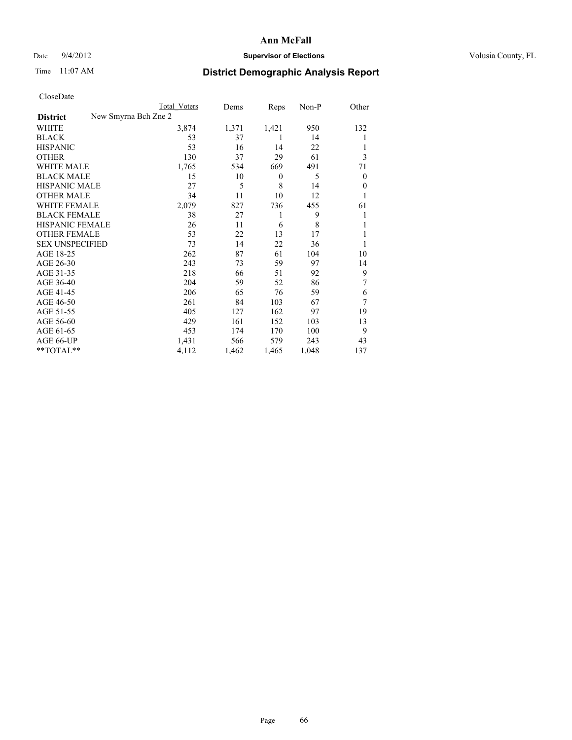## Date 9/4/2012 **Supervisor of Elections Supervisor of Elections** Volusia County, FL

# Time 11:07 AM **District Demographic Analysis Report**

|                        |                      | <b>Total Voters</b> | Dems  | Reps             | Non-P | Other            |
|------------------------|----------------------|---------------------|-------|------------------|-------|------------------|
| <b>District</b>        | New Smyrna Bch Zne 2 |                     |       |                  |       |                  |
| WHITE                  |                      | 3,874               | 1,371 | 1,421            | 950   | 132              |
| <b>BLACK</b>           |                      | 53                  | 37    | 1                | 14    |                  |
| <b>HISPANIC</b>        |                      | 53                  | 16    | 14               | 22    |                  |
| <b>OTHER</b>           |                      | 130                 | 37    | 29               | 61    | 3                |
| WHITE MALE             |                      | 1,765               | 534   | 669              | 491   | 71               |
| <b>BLACK MALE</b>      |                      | 15                  | 10    | $\boldsymbol{0}$ | 5     | $\boldsymbol{0}$ |
| <b>HISPANIC MALE</b>   |                      | 27                  | 5     | 8                | 14    | $\theta$         |
| <b>OTHER MALE</b>      |                      | 34                  | 11    | 10               | 12    | 1                |
| <b>WHITE FEMALE</b>    |                      | 2,079               | 827   | 736              | 455   | 61               |
| <b>BLACK FEMALE</b>    |                      | 38                  | 27    | 1                | 9     | 1                |
| <b>HISPANIC FEMALE</b> |                      | 26                  | 11    | 6                | 8     |                  |
| <b>OTHER FEMALE</b>    |                      | 53                  | 22    | 13               | 17    |                  |
| <b>SEX UNSPECIFIED</b> |                      | 73                  | 14    | 22               | 36    |                  |
| AGE 18-25              |                      | 262                 | 87    | 61               | 104   | 10               |
| AGE 26-30              |                      | 243                 | 73    | 59               | 97    | 14               |
| AGE 31-35              |                      | 218                 | 66    | 51               | 92    | 9                |
| AGE 36-40              |                      | 204                 | 59    | 52               | 86    | 7                |
| AGE 41-45              |                      | 206                 | 65    | 76               | 59    | 6                |
| AGE 46-50              |                      | 261                 | 84    | 103              | 67    | 7                |
| AGE 51-55              |                      | 405                 | 127   | 162              | 97    | 19               |
| AGE 56-60              |                      | 429                 | 161   | 152              | 103   | 13               |
| AGE 61-65              |                      | 453                 | 174   | 170              | 100   | 9                |
| AGE 66-UP              |                      | 1,431               | 566   | 579              | 243   | 43               |
| **TOTAL**              |                      | 4,112               | 1,462 | 1,465            | 1,048 | 137              |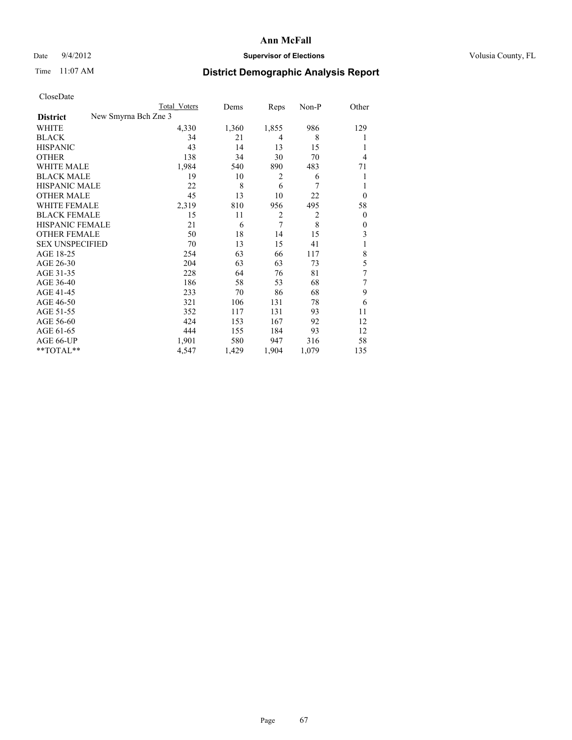## Date 9/4/2012 **Supervisor of Elections Supervisor of Elections** Volusia County, FL

## Time 11:07 AM **District Demographic Analysis Report**

|                        | <b>Total Voters</b>  | Dems  | Reps           | Non-P          | Other          |
|------------------------|----------------------|-------|----------------|----------------|----------------|
| <b>District</b>        | New Smyrna Bch Zne 3 |       |                |                |                |
| WHITE                  | 4,330                | 1,360 | 1,855          | 986            | 129            |
| <b>BLACK</b>           | 34                   | 21    | 4              | 8              | 1              |
| <b>HISPANIC</b>        | 43                   | 14    | 13             | 15             | 1              |
| <b>OTHER</b>           | 138                  | 34    | 30             | 70             | 4              |
| WHITE MALE             | 1,984                | 540   | 890            | 483            | 71             |
| <b>BLACK MALE</b>      | 19                   | 10    | 2              | 6              | 1              |
| <b>HISPANIC MALE</b>   | 22                   | 8     | 6              | 7              | 1              |
| <b>OTHER MALE</b>      | 45                   | 13    | 10             | 22             | $\overline{0}$ |
| <b>WHITE FEMALE</b>    | 2,319                | 810   | 956            | 495            | 58             |
| <b>BLACK FEMALE</b>    | 15                   | 11    | $\overline{2}$ | $\overline{c}$ | $\overline{0}$ |
| <b>HISPANIC FEMALE</b> | 21                   | 6     | 7              | 8              | $\theta$       |
| <b>OTHER FEMALE</b>    | 50                   | 18    | 14             | 15             | 3              |
| <b>SEX UNSPECIFIED</b> | 70                   | 13    | 15             | 41             | 1              |
| AGE 18-25              | 254                  | 63    | 66             | 117            | 8              |
| AGE 26-30              | 204                  | 63    | 63             | 73             | 5              |
| AGE 31-35              | 228                  | 64    | 76             | 81             | 7              |
| AGE 36-40              | 186                  | 58    | 53             | 68             | 7              |
| AGE 41-45              | 233                  | 70    | 86             | 68             | 9              |
| AGE 46-50              | 321                  | 106   | 131            | 78             | 6              |
| AGE 51-55              | 352                  | 117   | 131            | 93             | 11             |
| AGE 56-60              | 424                  | 153   | 167            | 92             | 12             |
| AGE 61-65              | 444                  | 155   | 184            | 93             | 12             |
| AGE 66-UP              | 1,901                | 580   | 947            | 316            | 58             |
| **TOTAL**              | 4,547                | 1,429 | 1,904          | 1,079          | 135            |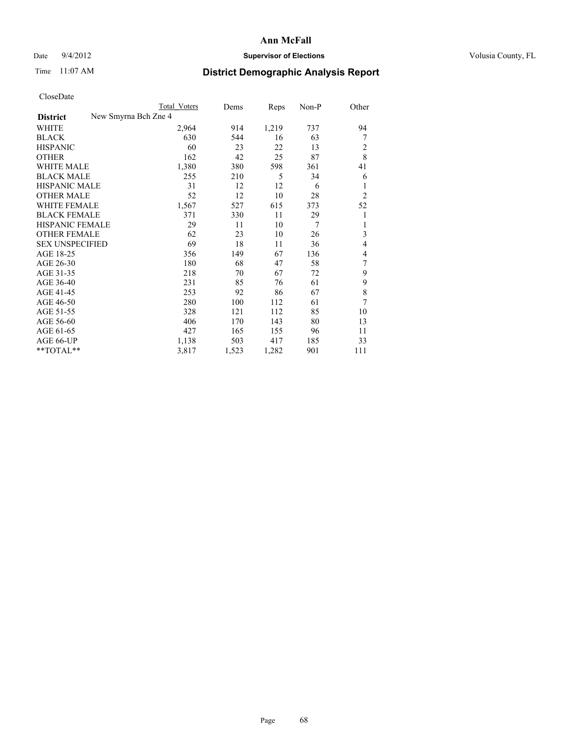## Date 9/4/2012 **Supervisor of Elections Supervisor of Elections** Volusia County, FL

# Time 11:07 AM **District Demographic Analysis Report**

| <b>Total Voters</b>  | Dems  | Reps  | Non-P          | Other          |
|----------------------|-------|-------|----------------|----------------|
| New Smyrna Bch Zne 4 |       |       |                |                |
| 2,964                | 914   | 1,219 | 737            | 94             |
| 630                  | 544   | 16    | 63             | 7              |
| 60                   | 23    | 22    | 13             | $\overline{c}$ |
| 162                  | 42    | 25    | 87             | 8              |
| 1,380                | 380   | 598   | 361            | 41             |
| 255                  | 210   | 5     | 34             | 6              |
| 31                   | 12    | 12    | 6              | 1              |
| 52                   | 12    | 10    | 28             | $\overline{2}$ |
| 1,567                | 527   | 615   | 373            | 52             |
| 371                  | 330   | 11    | 29             | 1              |
| 29                   | 11    | 10    | $\overline{7}$ | 1              |
| 62                   | 23    | 10    | 26             | 3              |
| 69                   | 18    | 11    | 36             | 4              |
| 356                  | 149   | 67    | 136            | 4              |
| 180                  | 68    | 47    | 58             | 7              |
| 218                  | 70    | 67    | 72             | 9              |
| 231                  | 85    | 76    | 61             | 9              |
| 253                  | 92    | 86    | 67             | $\,$ 8 $\,$    |
| 280                  | 100   | 112   | 61             | 7              |
| 328                  | 121   | 112   | 85             | 10             |
| 406                  | 170   | 143   | 80             | 13             |
| 427                  | 165   | 155   | 96             | 11             |
| 1,138                | 503   | 417   | 185            | 33             |
| 3,817                | 1,523 | 1,282 | 901            | 111            |
|                      |       |       |                |                |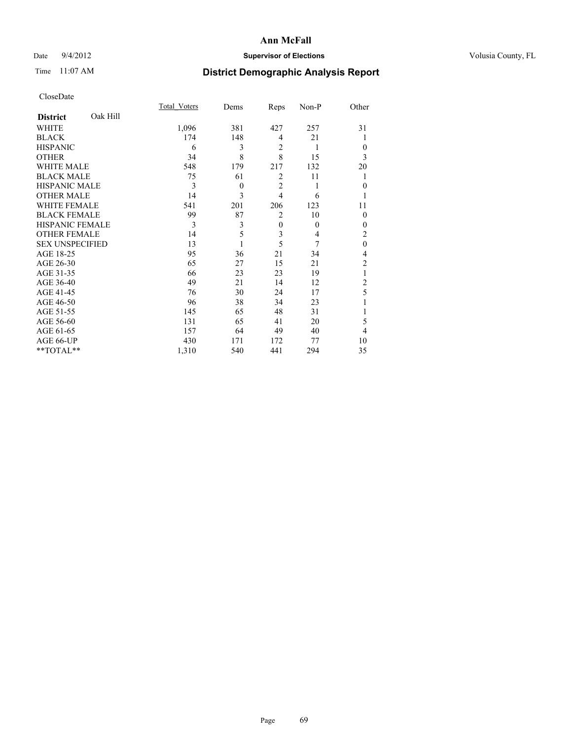## Date 9/4/2012 **Supervisor of Elections Supervisor of Elections** Volusia County, FL

# Time 11:07 AM **District Demographic Analysis Report**

|                        |          | Total Voters | Dems     | Reps           | Non-P    | Other          |
|------------------------|----------|--------------|----------|----------------|----------|----------------|
| <b>District</b>        | Oak Hill |              |          |                |          |                |
| <b>WHITE</b>           |          | 1,096        | 381      | 427            | 257      | 31             |
| <b>BLACK</b>           |          | 174          | 148      | 4              | 21       |                |
| <b>HISPANIC</b>        |          | 6            | 3        | $\overline{c}$ | 1        | $\theta$       |
| <b>OTHER</b>           |          | 34           | 8        | 8              | 15       | 3              |
| WHITE MALE             |          | 548          | 179      | 217            | 132      | 20             |
| <b>BLACK MALE</b>      |          | 75           | 61       | $\overline{2}$ | 11       |                |
| <b>HISPANIC MALE</b>   |          | 3            | $\theta$ | $\overline{2}$ | 1        | $\mathbf{0}$   |
| <b>OTHER MALE</b>      |          | 14           | 3        | $\overline{4}$ | 6        |                |
| WHITE FEMALE           |          | 541          | 201      | 206            | 123      | 11             |
| <b>BLACK FEMALE</b>    |          | 99           | 87       | $\overline{2}$ | 10       | $\theta$       |
| HISPANIC FEMALE        |          | 3            | 3        | $\mathbf{0}$   | $\theta$ | $\theta$       |
| <b>OTHER FEMALE</b>    |          | 14           | 5        | 3              | 4        | 2              |
| <b>SEX UNSPECIFIED</b> |          | 13           |          | 5              | 7        | $\mathbf{0}$   |
| AGE 18-25              |          | 95           | 36       | 21             | 34       | 4              |
| AGE 26-30              |          | 65           | 27       | 15             | 21       | $\overline{c}$ |
| AGE 31-35              |          | 66           | 23       | 23             | 19       |                |
| AGE 36-40              |          | 49           | 21       | 14             | 12       | $\overline{c}$ |
| AGE 41-45              |          | 76           | 30       | 24             | 17       | 5              |
| AGE 46-50              |          | 96           | 38       | 34             | 23       |                |
| AGE 51-55              |          | 145          | 65       | 48             | 31       |                |
| AGE 56-60              |          | 131          | 65       | 41             | 20       | 5              |
| AGE 61-65              |          | 157          | 64       | 49             | 40       | 4              |
| AGE 66-UP              |          | 430          | 171      | 172            | 77       | 10             |
| **TOTAL**              |          | 1,310        | 540      | 441            | 294      | 35             |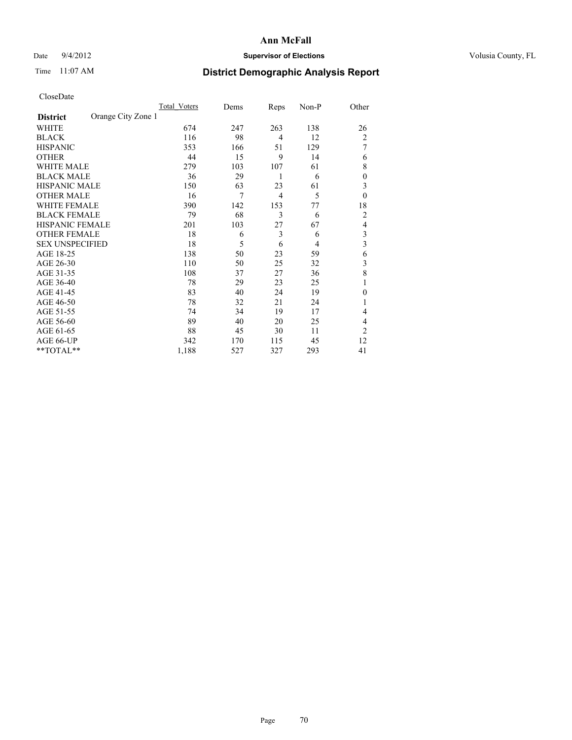## Date 9/4/2012 **Supervisor of Elections Supervisor of Elections** Volusia County, FL

# Time 11:07 AM **District Demographic Analysis Report**

|                        |                    | Total Voters | Dems | Reps           | Non-P | Other          |
|------------------------|--------------------|--------------|------|----------------|-------|----------------|
| <b>District</b>        | Orange City Zone 1 |              |      |                |       |                |
| WHITE                  |                    | 674          | 247  | 263            | 138   | 26             |
| <b>BLACK</b>           |                    | 116          | 98   | $\overline{4}$ | 12    | $\overline{2}$ |
| <b>HISPANIC</b>        |                    | 353          | 166  | 51             | 129   | 7              |
| <b>OTHER</b>           |                    | 44           | 15   | 9              | 14    | 6              |
| WHITE MALE             |                    | 279          | 103  | 107            | 61    | 8              |
| <b>BLACK MALE</b>      |                    | 36           | 29   | 1              | 6     | $\overline{0}$ |
| <b>HISPANIC MALE</b>   |                    | 150          | 63   | 23             | 61    | 3              |
| <b>OTHER MALE</b>      |                    | 16           | 7    | $\overline{4}$ | 5     | $\theta$       |
| WHITE FEMALE           |                    | 390          | 142  | 153            | 77    | 18             |
| <b>BLACK FEMALE</b>    |                    | 79           | 68   | 3              | 6     | $\overline{2}$ |
| <b>HISPANIC FEMALE</b> |                    | 201          | 103  | 27             | 67    | $\overline{4}$ |
| <b>OTHER FEMALE</b>    |                    | 18           | 6    | 3              | 6     | 3              |
| <b>SEX UNSPECIFIED</b> |                    | 18           | 5    | 6              | 4     | 3              |
| AGE 18-25              |                    | 138          | 50   | 23             | 59    | 6              |
| AGE 26-30              |                    | 110          | 50   | 25             | 32    | 3              |
| AGE 31-35              |                    | 108          | 37   | 27             | 36    | 8              |
| AGE 36-40              |                    | 78           | 29   | 23             | 25    |                |
| AGE 41-45              |                    | 83           | 40   | 24             | 19    | $\theta$       |
| AGE 46-50              |                    | 78           | 32   | 21             | 24    | 1              |
| AGE 51-55              |                    | 74           | 34   | 19             | 17    | $\overline{4}$ |
| AGE 56-60              |                    | 89           | 40   | 20             | 25    | 4              |
| AGE 61-65              |                    | 88           | 45   | 30             | 11    | $\overline{2}$ |
| AGE 66-UP              |                    | 342          | 170  | 115            | 45    | 12             |
| **TOTAL**              |                    | 1,188        | 527  | 327            | 293   | 41             |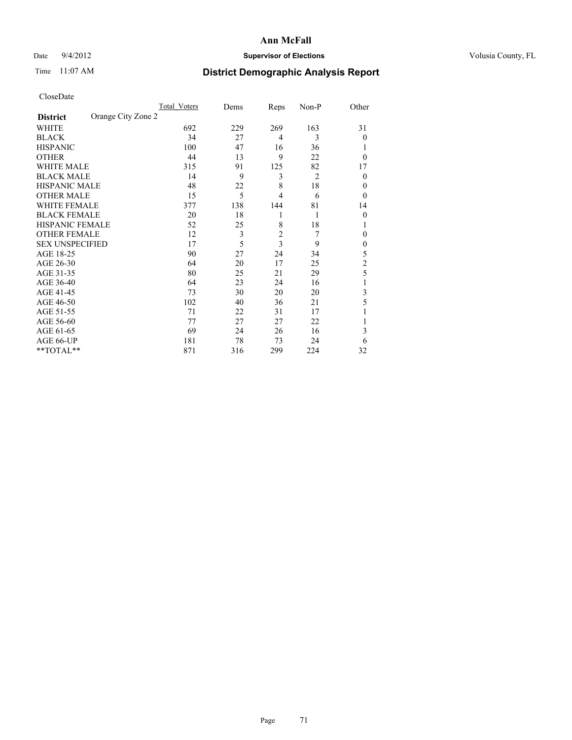## Date 9/4/2012 **Supervisor of Elections Supervisor of Elections** Volusia County, FL

# Time 11:07 AM **District Demographic Analysis Report**

|                        |                    | Total Voters | Dems | Reps                    | Non-P          | Other          |
|------------------------|--------------------|--------------|------|-------------------------|----------------|----------------|
| <b>District</b>        | Orange City Zone 2 |              |      |                         |                |                |
| WHITE                  |                    | 692          | 229  | 269                     | 163            | 31             |
| <b>BLACK</b>           |                    | 34           | 27   | $\overline{4}$          | 3              | $\theta$       |
| <b>HISPANIC</b>        |                    | 100          | 47   | 16                      | 36             |                |
| <b>OTHER</b>           |                    | 44           | 13   | 9                       | 22             | $\theta$       |
| WHITE MALE             |                    | 315          | 91   | 125                     | 82             | 17             |
| <b>BLACK MALE</b>      |                    | 14           | 9    | 3                       | $\overline{2}$ | $\overline{0}$ |
| <b>HISPANIC MALE</b>   |                    | 48           | 22   | 8                       | 18             | 0              |
| <b>OTHER MALE</b>      |                    | 15           | 5    | $\overline{4}$          | 6              | $\theta$       |
| <b>WHITE FEMALE</b>    |                    | 377          | 138  | 144                     | 81             | 14             |
| <b>BLACK FEMALE</b>    |                    | 20           | 18   | 1                       | 1              | $\theta$       |
| <b>HISPANIC FEMALE</b> |                    | 52           | 25   | 8                       | 18             |                |
| <b>OTHER FEMALE</b>    |                    | 12           | 3    | $\overline{\mathbf{c}}$ | 7              | 0              |
| <b>SEX UNSPECIFIED</b> |                    | 17           | 5    | 3                       | 9              | $\mathbf{0}$   |
| AGE 18-25              |                    | 90           | 27   | 24                      | 34             | 5              |
| AGE 26-30              |                    | 64           | 20   | 17                      | 25             | $\overline{c}$ |
| AGE 31-35              |                    | 80           | 25   | 21                      | 29             | 5              |
| AGE 36-40              |                    | 64           | 23   | 24                      | 16             |                |
| AGE 41-45              |                    | 73           | 30   | 20                      | 20             | 3              |
| AGE 46-50              |                    | 102          | 40   | 36                      | 21             | 5              |
| AGE 51-55              |                    | 71           | 22   | 31                      | 17             |                |
| AGE 56-60              |                    | 77           | 27   | 27                      | 22             |                |
| AGE 61-65              |                    | 69           | 24   | 26                      | 16             | 3              |
| AGE 66-UP              |                    | 181          | 78   | 73                      | 24             | 6              |
| **TOTAL**              |                    | 871          | 316  | 299                     | 224            | 32             |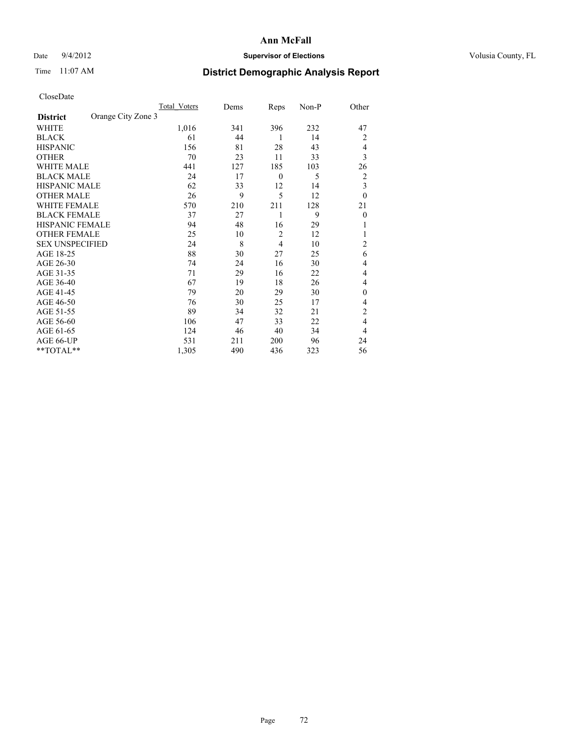## Date 9/4/2012 **Supervisor of Elections Supervisor of Elections** Volusia County, FL

## Time 11:07 AM **District Demographic Analysis Report**

|                        |                    | <b>Total Voters</b> | Dems | Reps             | Non-P | Other          |
|------------------------|--------------------|---------------------|------|------------------|-------|----------------|
| <b>District</b>        | Orange City Zone 3 |                     |      |                  |       |                |
| WHITE                  |                    | 1,016               | 341  | 396              | 232   | 47             |
| <b>BLACK</b>           |                    | 61                  | 44   | 1                | 14    | $\overline{2}$ |
| <b>HISPANIC</b>        |                    | 156                 | 81   | 28               | 43    | $\overline{4}$ |
| <b>OTHER</b>           |                    | 70                  | 23   | 11               | 33    | 3              |
| WHITE MALE             |                    | 441                 | 127  | 185              | 103   | 26             |
| <b>BLACK MALE</b>      |                    | 24                  | 17   | $\boldsymbol{0}$ | 5     | $\overline{2}$ |
| <b>HISPANIC MALE</b>   |                    | 62                  | 33   | 12               | 14    | $\overline{3}$ |
| <b>OTHER MALE</b>      |                    | 26                  | 9    | 5                | 12    | $\theta$       |
| WHITE FEMALE           |                    | 570                 | 210  | 211              | 128   | 21             |
| <b>BLACK FEMALE</b>    |                    | 37                  | 27   | 1                | 9     | $\overline{0}$ |
| <b>HISPANIC FEMALE</b> |                    | 94                  | 48   | 16               | 29    |                |
| <b>OTHER FEMALE</b>    |                    | 25                  | 10   | $\overline{c}$   | 12    |                |
| <b>SEX UNSPECIFIED</b> |                    | 24                  | 8    | 4                | 10    | $\overline{c}$ |
| AGE 18-25              |                    | 88                  | 30   | 27               | 25    | 6              |
| AGE 26-30              |                    | 74                  | 24   | 16               | 30    | 4              |
| AGE 31-35              |                    | 71                  | 29   | 16               | 22    | 4              |
| AGE 36-40              |                    | 67                  | 19   | 18               | 26    | 4              |
| AGE 41-45              |                    | 79                  | 20   | 29               | 30    | $\theta$       |
| AGE 46-50              |                    | 76                  | 30   | 25               | 17    | $\overline{4}$ |
| AGE 51-55              |                    | 89                  | 34   | 32               | 21    | $\overline{c}$ |
| AGE 56-60              |                    | 106                 | 47   | 33               | 22    | $\overline{4}$ |
| AGE 61-65              |                    | 124                 | 46   | 40               | 34    | $\overline{4}$ |
| AGE 66-UP              |                    | 531                 | 211  | 200              | 96    | 24             |
| **TOTAL**              |                    | 1,305               | 490  | 436              | 323   | 56             |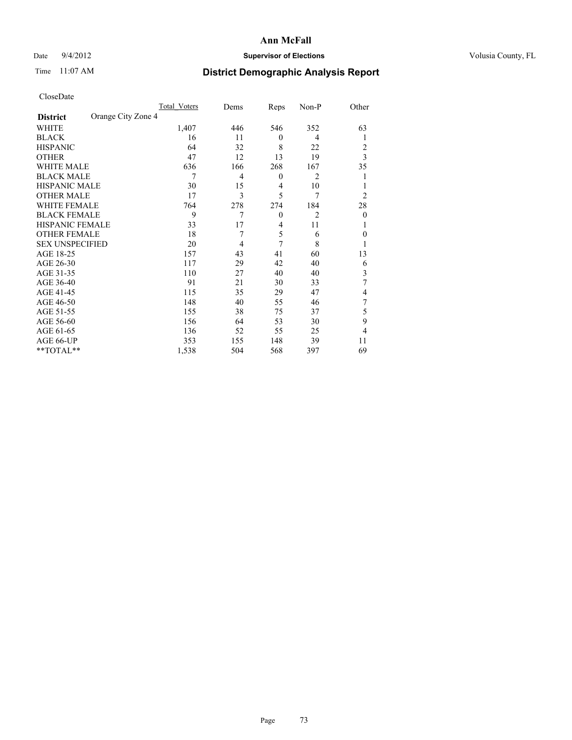# Date 9/4/2012 **Supervisor of Elections Supervisor of Elections** Volusia County, FL

# Time 11:07 AM **District Demographic Analysis Report**

|                        |                    | <b>Total Voters</b> | Dems           | Reps             | Non-P          | Other          |
|------------------------|--------------------|---------------------|----------------|------------------|----------------|----------------|
| <b>District</b>        | Orange City Zone 4 |                     |                |                  |                |                |
| WHITE                  |                    | 1,407               | 446            | 546              | 352            | 63             |
| <b>BLACK</b>           |                    | 16                  | 11             | $\theta$         | 4              | 1              |
| <b>HISPANIC</b>        |                    | 64                  | 32             | 8                | 22             | 2              |
| <b>OTHER</b>           |                    | 47                  | 12             | 13               | 19             | 3              |
| WHITE MALE             |                    | 636                 | 166            | 268              | 167            | 35             |
| <b>BLACK MALE</b>      |                    | 7                   | $\overline{4}$ | $\boldsymbol{0}$ | 2              | 1              |
| <b>HISPANIC MALE</b>   |                    | 30                  | 15             | 4                | 10             |                |
| <b>OTHER MALE</b>      |                    | 17                  | 3              | 5                | 7              | $\overline{2}$ |
| WHITE FEMALE           |                    | 764                 | 278            | 274              | 184            | 28             |
| <b>BLACK FEMALE</b>    |                    | 9                   | 7              | $\mathbf{0}$     | $\overline{2}$ | $\theta$       |
| HISPANIC FEMALE        |                    | 33                  | 17             | 4                | 11             | 1              |
| <b>OTHER FEMALE</b>    |                    | 18                  | 7              | 5                | 6              | $\theta$       |
| <b>SEX UNSPECIFIED</b> |                    | 20                  | $\overline{4}$ | 7                | 8              |                |
| AGE 18-25              |                    | 157                 | 43             | 41               | 60             | 13             |
| AGE 26-30              |                    | 117                 | 29             | 42               | 40             | 6              |
| AGE 31-35              |                    | 110                 | 27             | 40               | 40             | 3              |
| AGE 36-40              |                    | 91                  | 21             | 30               | 33             | 7              |
| AGE 41-45              |                    | 115                 | 35             | 29               | 47             | 4              |
| AGE 46-50              |                    | 148                 | 40             | 55               | 46             | 7              |
| AGE 51-55              |                    | 155                 | 38             | 75               | 37             | 5              |
| AGE 56-60              |                    | 156                 | 64             | 53               | 30             | 9              |
| AGE 61-65              |                    | 136                 | 52             | 55               | 25             | 4              |
| AGE 66-UP              |                    | 353                 | 155            | 148              | 39             | 11             |
| **TOTAL**              |                    | 1,538               | 504            | 568              | 397            | 69             |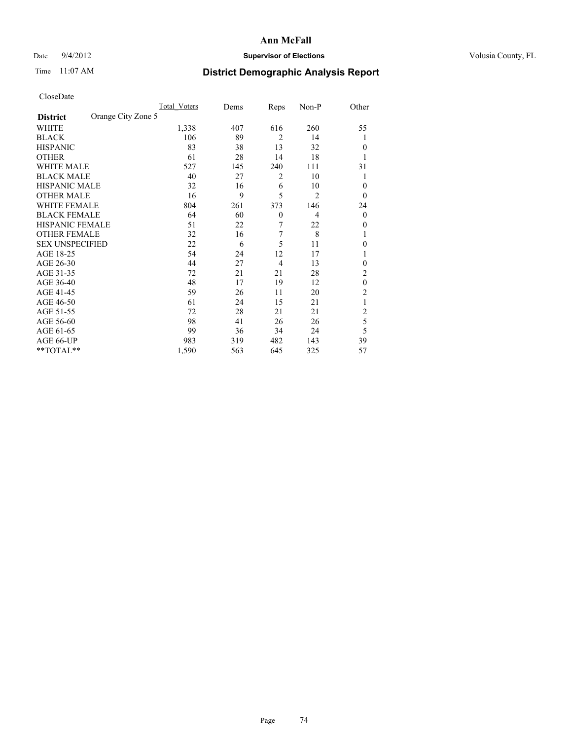# Date 9/4/2012 **Supervisor of Elections Supervisor of Elections** Volusia County, FL

# Time 11:07 AM **District Demographic Analysis Report**

|                        |                    | <b>Total Voters</b> | Dems | Reps           | Non-P          | Other          |
|------------------------|--------------------|---------------------|------|----------------|----------------|----------------|
| <b>District</b>        | Orange City Zone 5 |                     |      |                |                |                |
| WHITE                  |                    | 1,338               | 407  | 616            | 260            | 55             |
| <b>BLACK</b>           |                    | 106                 | 89   | $\overline{2}$ | 14             | 1              |
| <b>HISPANIC</b>        |                    | 83                  | 38   | 13             | 32             | $\Omega$       |
| <b>OTHER</b>           |                    | 61                  | 28   | 14             | 18             |                |
| WHITE MALE             |                    | 527                 | 145  | 240            | 111            | 31             |
| <b>BLACK MALE</b>      |                    | 40                  | 27   | 2              | 10             | 1              |
| <b>HISPANIC MALE</b>   |                    | 32                  | 16   | 6              | 10             | $\overline{0}$ |
| <b>OTHER MALE</b>      |                    | 16                  | 9    | 5              | $\overline{2}$ | $\overline{0}$ |
| WHITE FEMALE           |                    | 804                 | 261  | 373            | 146            | 24             |
| <b>BLACK FEMALE</b>    |                    | 64                  | 60   | $\mathbf{0}$   | $\overline{4}$ | $\overline{0}$ |
| <b>HISPANIC FEMALE</b> |                    | 51                  | 22   | 7              | 22             | $\Omega$       |
| <b>OTHER FEMALE</b>    |                    | 32                  | 16   | 7              | 8              |                |
| <b>SEX UNSPECIFIED</b> |                    | 22                  | 6    | 5              | 11             | $\theta$       |
| AGE 18-25              |                    | 54                  | 24   | 12             | 17             |                |
| AGE 26-30              |                    | 44                  | 27   | $\overline{4}$ | 13             | $\overline{0}$ |
| AGE 31-35              |                    | 72                  | 21   | 21             | 28             | $\overline{c}$ |
| AGE 36-40              |                    | 48                  | 17   | 19             | 12             | $\theta$       |
| AGE 41-45              |                    | 59                  | 26   | 11             | 20             | 2              |
| AGE 46-50              |                    | 61                  | 24   | 15             | 21             | 1              |
| AGE 51-55              |                    | 72                  | 28   | 21             | 21             | $\overline{c}$ |
| AGE 56-60              |                    | 98                  | 41   | 26             | 26             | 5              |
| AGE 61-65              |                    | 99                  | 36   | 34             | 24             | 5              |
| AGE 66-UP              |                    | 983                 | 319  | 482            | 143            | 39             |
| **TOTAL**              |                    | 1,590               | 563  | 645            | 325            | 57             |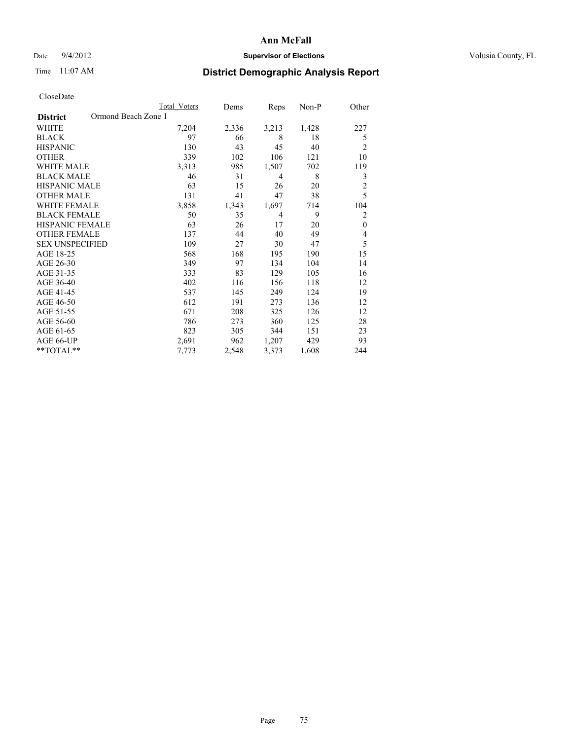# Date 9/4/2012 **Supervisor of Elections Supervisor of Elections** Volusia County, FL

# Time 11:07 AM **District Demographic Analysis Report**

|                        | <b>Total Voters</b> | Dems  | Reps  | Non-P | Other          |
|------------------------|---------------------|-------|-------|-------|----------------|
| <b>District</b>        | Ormond Beach Zone 1 |       |       |       |                |
| WHITE                  | 7,204               | 2,336 | 3,213 | 1,428 | 227            |
| <b>BLACK</b>           | 97                  | 66    | 8     | 18    | 5              |
| <b>HISPANIC</b>        | 130                 | 43    | 45    | 40    | $\overline{c}$ |
| <b>OTHER</b>           | 339                 | 102   | 106   | 121   | 10             |
| WHITE MALE             | 3,313               | 985   | 1,507 | 702   | 119            |
| <b>BLACK MALE</b>      | 46                  | 31    | 4     | 8     | 3              |
| <b>HISPANIC MALE</b>   | 63                  | 15    | 26    | 20    | $\overline{2}$ |
| <b>OTHER MALE</b>      | 131                 | 41    | 47    | 38    | 5              |
| <b>WHITE FEMALE</b>    | 3,858               | 1,343 | 1,697 | 714   | 104            |
| <b>BLACK FEMALE</b>    | 50                  | 35    | 4     | 9     | $\overline{2}$ |
| <b>HISPANIC FEMALE</b> | 63                  | 26    | 17    | 20    | $\mathbf{0}$   |
| <b>OTHER FEMALE</b>    | 137                 | 44    | 40    | 49    | 4              |
| <b>SEX UNSPECIFIED</b> | 109                 | 27    | 30    | 47    | 5              |
| AGE 18-25              | 568                 | 168   | 195   | 190   | 15             |
| AGE 26-30              | 349                 | 97    | 134   | 104   | 14             |
| AGE 31-35              | 333                 | 83    | 129   | 105   | 16             |
| AGE 36-40              | 402                 | 116   | 156   | 118   | 12             |
| AGE 41-45              | 537                 | 145   | 249   | 124   | 19             |
| AGE 46-50              | 612                 | 191   | 273   | 136   | 12             |
| AGE 51-55              | 671                 | 208   | 325   | 126   | 12             |
| AGE 56-60              | 786                 | 273   | 360   | 125   | 28             |
| AGE 61-65              | 823                 | 305   | 344   | 151   | 23             |
| AGE 66-UP              | 2,691               | 962   | 1,207 | 429   | 93             |
| **TOTAL**              | 7,773               | 2,548 | 3,373 | 1,608 | 244            |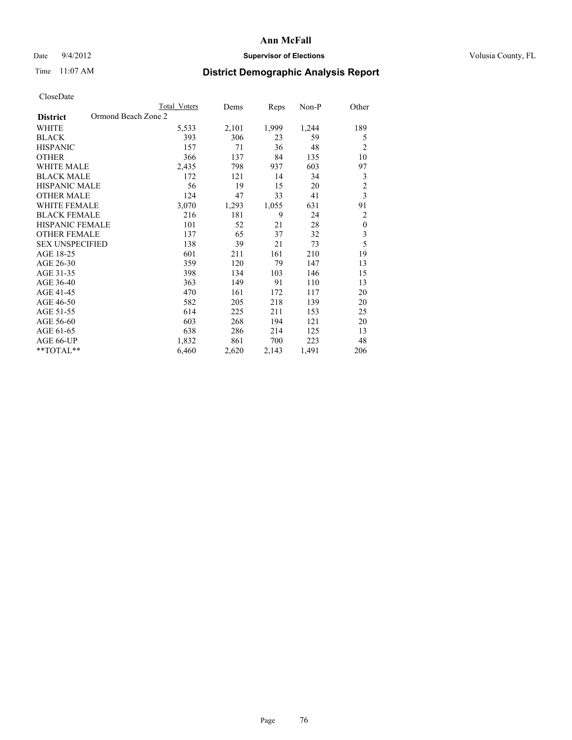# Date 9/4/2012 **Supervisor of Elections Supervisor of Elections** Volusia County, FL

# Time 11:07 AM **District Demographic Analysis Report**

|                                        | <b>Total Voters</b> | Dems  | Reps  | Non-P | Other                   |
|----------------------------------------|---------------------|-------|-------|-------|-------------------------|
| Ormond Beach Zone 2<br><b>District</b> |                     |       |       |       |                         |
| WHITE                                  | 5,533               | 2,101 | 1,999 | 1,244 | 189                     |
| <b>BLACK</b>                           | 393                 | 306   | 23    | 59    | 5                       |
| <b>HISPANIC</b>                        | 157                 | 71    | 36    | 48    | $\overline{c}$          |
| <b>OTHER</b>                           | 366                 | 137   | 84    | 135   | 10                      |
| <b>WHITE MALE</b>                      | 2,435               | 798   | 937   | 603   | 97                      |
| <b>BLACK MALE</b>                      | 172                 | 121   | 14    | 34    | 3                       |
| <b>HISPANIC MALE</b>                   | 56                  | 19    | 15    | 20    | $\overline{c}$          |
| <b>OTHER MALE</b>                      | 124                 | 47    | 33    | 41    | $\overline{\mathbf{3}}$ |
| <b>WHITE FEMALE</b>                    | 3,070               | 1,293 | 1,055 | 631   | 91                      |
| <b>BLACK FEMALE</b>                    | 216                 | 181   | 9     | 24    | $\overline{c}$          |
| <b>HISPANIC FEMALE</b>                 | 101                 | 52    | 21    | 28    | $\boldsymbol{0}$        |
| <b>OTHER FEMALE</b>                    | 137                 | 65    | 37    | 32    | 3                       |
| <b>SEX UNSPECIFIED</b>                 | 138                 | 39    | 21    | 73    | 5                       |
| AGE 18-25                              | 601                 | 211   | 161   | 210   | 19                      |
| AGE 26-30                              | 359                 | 120   | 79    | 147   | 13                      |
| AGE 31-35                              | 398                 | 134   | 103   | 146   | 15                      |
| AGE 36-40                              | 363                 | 149   | 91    | 110   | 13                      |
| AGE 41-45                              | 470                 | 161   | 172   | 117   | 20                      |
| AGE 46-50                              | 582                 | 205   | 218   | 139   | 20                      |
| AGE 51-55                              | 614                 | 225   | 211   | 153   | 25                      |
| AGE 56-60                              | 603                 | 268   | 194   | 121   | 20                      |
| AGE 61-65                              | 638                 | 286   | 214   | 125   | 13                      |
| AGE 66-UP                              | 1,832               | 861   | 700   | 223   | 48                      |
| **TOTAL**                              | 6,460               | 2,620 | 2,143 | 1,491 | 206                     |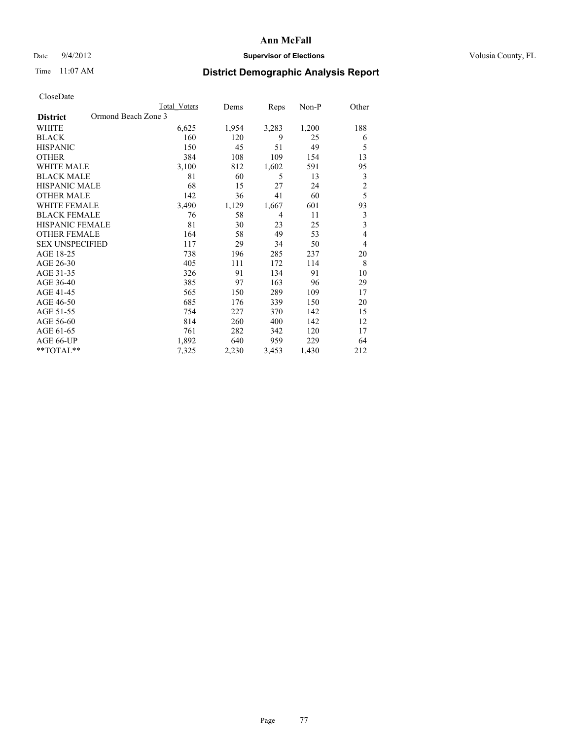# Date 9/4/2012 **Supervisor of Elections Supervisor of Elections** Volusia County, FL

# Time 11:07 AM **District Demographic Analysis Report**

|                        | Total Voters        | Dems  | Reps           | Non-P | Other          |
|------------------------|---------------------|-------|----------------|-------|----------------|
| <b>District</b>        | Ormond Beach Zone 3 |       |                |       |                |
| WHITE                  | 6,625               | 1,954 | 3,283          | 1,200 | 188            |
| <b>BLACK</b>           | 160                 | 120   | 9              | 25    | 6              |
| <b>HISPANIC</b>        | 150                 | 45    | 51             | 49    | 5              |
| <b>OTHER</b>           | 384                 | 108   | 109            | 154   | 13             |
| WHITE MALE             | 3,100               | 812   | 1,602          | 591   | 95             |
| <b>BLACK MALE</b>      | 81                  | 60    | 5              | 13    | 3              |
| <b>HISPANIC MALE</b>   | 68                  | 15    | 27             | 24    | $\overline{c}$ |
| <b>OTHER MALE</b>      | 142                 | 36    | 41             | 60    | 5              |
| WHITE FEMALE           | 3,490               | 1,129 | 1,667          | 601   | 93             |
| <b>BLACK FEMALE</b>    | 76                  | 58    | $\overline{4}$ | 11    | 3              |
| <b>HISPANIC FEMALE</b> | 81                  | 30    | 23             | 25    | 3              |
| <b>OTHER FEMALE</b>    | 164                 | 58    | 49             | 53    | 4              |
| <b>SEX UNSPECIFIED</b> | 117                 | 29    | 34             | 50    | 4              |
| AGE 18-25              | 738                 | 196   | 285            | 237   | 20             |
| AGE 26-30              | 405                 | 111   | 172            | 114   | 8              |
| AGE 31-35              | 326                 | 91    | 134            | 91    | 10             |
| AGE 36-40              | 385                 | 97    | 163            | 96    | 29             |
| AGE 41-45              | 565                 | 150   | 289            | 109   | 17             |
| AGE 46-50              | 685                 | 176   | 339            | 150   | 20             |
| AGE 51-55              | 754                 | 227   | 370            | 142   | 15             |
| AGE 56-60              | 814                 | 260   | 400            | 142   | 12             |
| AGE 61-65              | 761                 | 282   | 342            | 120   | 17             |
| AGE 66-UP              | 1,892               | 640   | 959            | 229   | 64             |
| **TOTAL**              | 7,325               | 2,230 | 3,453          | 1,430 | 212            |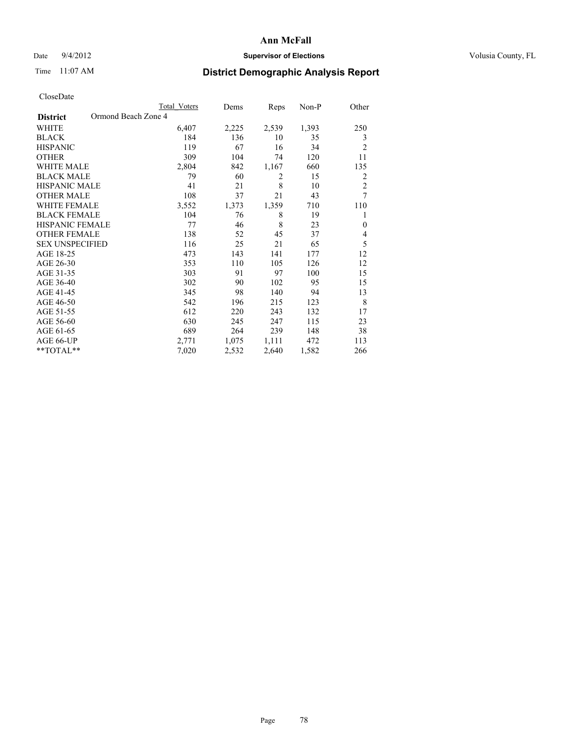# Date 9/4/2012 **Supervisor of Elections Supervisor of Elections** Volusia County, FL

# Time 11:07 AM **District Demographic Analysis Report**

|                                        | Total Voters | Dems  | Reps           | Non-P | Other          |
|----------------------------------------|--------------|-------|----------------|-------|----------------|
| Ormond Beach Zone 4<br><b>District</b> |              |       |                |       |                |
| WHITE                                  | 6,407        | 2,225 | 2,539          | 1,393 | 250            |
| <b>BLACK</b>                           | 184          | 136   | 10             | 35    | 3              |
| <b>HISPANIC</b>                        | 119          | 67    | 16             | 34    | $\overline{2}$ |
| <b>OTHER</b>                           | 309          | 104   | 74             | 120   | 11             |
| WHITE MALE                             | 2,804        | 842   | 1,167          | 660   | 135            |
| <b>BLACK MALE</b>                      | 79           | 60    | $\overline{2}$ | 15    | 2              |
| <b>HISPANIC MALE</b>                   | 41           | 21    | 8              | 10    | $\overline{2}$ |
| <b>OTHER MALE</b>                      | 108          | 37    | 21             | 43    | 7              |
| WHITE FEMALE                           | 3,552        | 1,373 | 1,359          | 710   | 110            |
| <b>BLACK FEMALE</b>                    | 104          | 76    | 8              | 19    | 1              |
| <b>HISPANIC FEMALE</b>                 | 77           | 46    | 8              | 23    | $\mathbf{0}$   |
| <b>OTHER FEMALE</b>                    | 138          | 52    | 45             | 37    | 4              |
| <b>SEX UNSPECIFIED</b>                 | 116          | 25    | 21             | 65    | 5              |
| AGE 18-25                              | 473          | 143   | 141            | 177   | 12             |
| AGE 26-30                              | 353          | 110   | 105            | 126   | 12             |
| AGE 31-35                              | 303          | 91    | 97             | 100   | 15             |
| AGE 36-40                              | 302          | 90    | 102            | 95    | 15             |
| AGE 41-45                              | 345          | 98    | 140            | 94    | 13             |
| AGE 46-50                              | 542          | 196   | 215            | 123   | 8              |
| AGE 51-55                              | 612          | 220   | 243            | 132   | 17             |
| AGE 56-60                              | 630          | 245   | 247            | 115   | 23             |
| AGE 61-65                              | 689          | 264   | 239            | 148   | 38             |
| AGE 66-UP                              | 2,771        | 1,075 | 1,111          | 472   | 113            |
| **TOTAL**                              | 7,020        | 2,532 | 2,640          | 1,582 | 266            |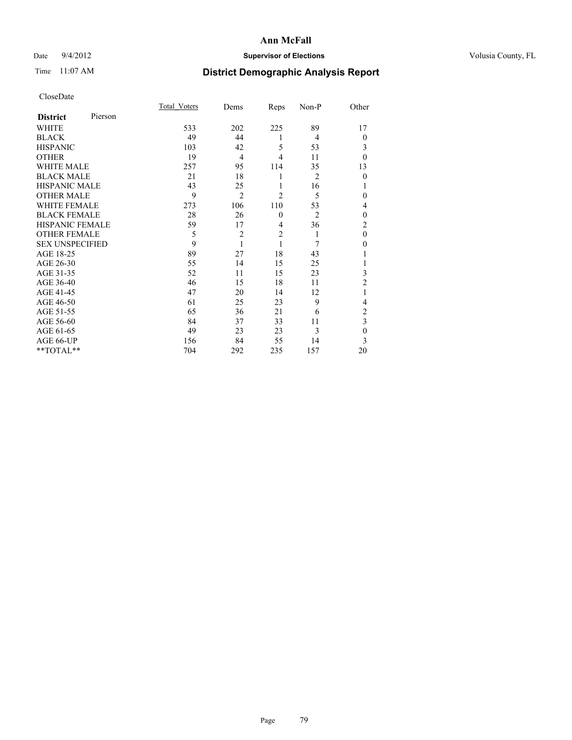# Date 9/4/2012 **Supervisor of Elections Supervisor of Elections** Volusia County, FL

# Time 11:07 AM **District Demographic Analysis Report**

|                        |         | <b>Total Voters</b> | Dems           | Reps           | Non-P          | Other          |
|------------------------|---------|---------------------|----------------|----------------|----------------|----------------|
| <b>District</b>        | Pierson |                     |                |                |                |                |
| WHITE                  |         | 533                 | 202            | 225            | 89             | 17             |
| <b>BLACK</b>           |         | 49                  | 44             | 1              | 4              | $\theta$       |
| <b>HISPANIC</b>        |         | 103                 | 42             | 5              | 53             | 3              |
| <b>OTHER</b>           |         | 19                  | $\overline{4}$ | 4              | 11             | $\theta$       |
| WHITE MALE             |         | 257                 | 95             | 114            | 35             | 13             |
| <b>BLACK MALE</b>      |         | 21                  | 18             | 1              | 2              | $\mathbf{0}$   |
| <b>HISPANIC MALE</b>   |         | 43                  | 25             | 1              | 16             |                |
| <b>OTHER MALE</b>      |         | 9                   | $\overline{2}$ | $\overline{2}$ | 5              | 0              |
| WHITE FEMALE           |         | 273                 | 106            | 110            | 53             | 4              |
| <b>BLACK FEMALE</b>    |         | 28                  | 26             | $\mathbf{0}$   | $\overline{2}$ | $\theta$       |
| <b>HISPANIC FEMALE</b> |         | 59                  | 17             | $\overline{4}$ | 36             | $\overline{c}$ |
| <b>OTHER FEMALE</b>    |         | 5                   | $\overline{c}$ | $\overline{c}$ | 1              | $\theta$       |
| <b>SEX UNSPECIFIED</b> |         | 9                   | 1              | 1              | 7              | $\theta$       |
| AGE 18-25              |         | 89                  | 27             | 18             | 43             |                |
| AGE 26-30              |         | 55                  | 14             | 15             | 25             | 1              |
| AGE 31-35              |         | 52                  | 11             | 15             | 23             | 3              |
| AGE 36-40              |         | 46                  | 15             | 18             | 11             | $\overline{2}$ |
| AGE 41-45              |         | 47                  | 20             | 14             | 12             |                |
| AGE 46-50              |         | 61                  | 25             | 23             | 9              | 4              |
| AGE 51-55              |         | 65                  | 36             | 21             | 6              | $\overline{c}$ |
| AGE 56-60              |         | 84                  | 37             | 33             | 11             | 3              |
| AGE 61-65              |         | 49                  | 23             | 23             | 3              | $\mathbf{0}$   |
| AGE 66-UP              |         | 156                 | 84             | 55             | 14             | 3              |
| **TOTAL**              |         | 704                 | 292            | 235            | 157            | 20             |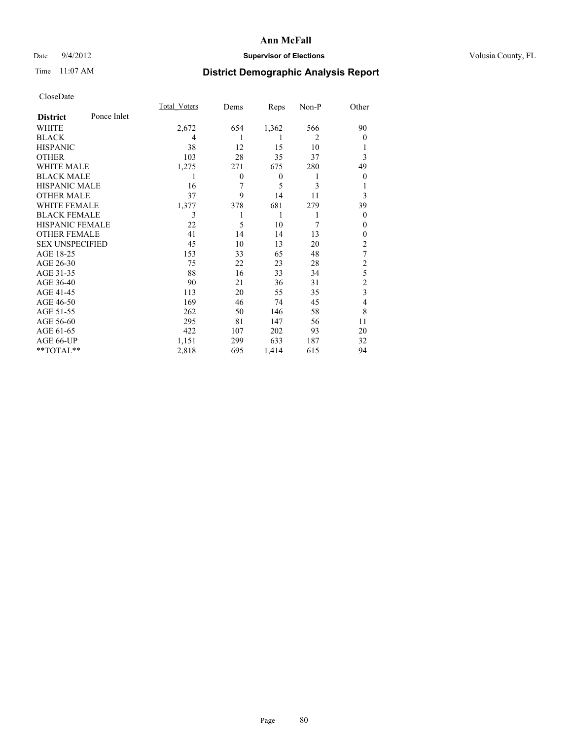# Date 9/4/2012 **Supervisor of Elections Supervisor of Elections** Volusia County, FL

# Time 11:07 AM **District Demographic Analysis Report**

|                        |             | <b>Total Voters</b> | Dems         | Reps             | Non-P          | Other                   |
|------------------------|-------------|---------------------|--------------|------------------|----------------|-------------------------|
| <b>District</b>        | Ponce Inlet |                     |              |                  |                |                         |
| WHITE                  |             | 2,672               | 654          | 1,362            | 566            | 90                      |
| <b>BLACK</b>           |             | 4                   | 1            | 1                | $\overline{2}$ | $\theta$                |
| <b>HISPANIC</b>        |             | 38                  | 12           | 15               | 10             | 1                       |
| <b>OTHER</b>           |             | 103                 | 28           | 35               | 37             | 3                       |
| WHITE MALE             |             | 1,275               | 271          | 675              | 280            | 49                      |
| <b>BLACK MALE</b>      |             | 1                   | $\mathbf{0}$ | $\boldsymbol{0}$ | 1              | $\overline{0}$          |
| <b>HISPANIC MALE</b>   |             | 16                  | 7            | 5                | 3              | 1                       |
| <b>OTHER MALE</b>      |             | 37                  | 9            | 14               | 11             | 3                       |
| WHITE FEMALE           |             | 1,377               | 378          | 681              | 279            | 39                      |
| <b>BLACK FEMALE</b>    |             | 3                   |              | 1                | 1              | $\theta$                |
| <b>HISPANIC FEMALE</b> |             | 22                  | 5            | 10               | 7              | $\theta$                |
| <b>OTHER FEMALE</b>    |             | 41                  | 14           | 14               | 13             | $\theta$                |
| <b>SEX UNSPECIFIED</b> |             | 45                  | 10           | 13               | 20             | $\overline{c}$          |
| AGE 18-25              |             | 153                 | 33           | 65               | 48             | 7                       |
| AGE 26-30              |             | 75                  | 22           | 23               | 28             | $\overline{c}$          |
| AGE 31-35              |             | 88                  | 16           | 33               | 34             | 5                       |
| AGE 36-40              |             | 90                  | 21           | 36               | 31             | $\overline{c}$          |
| AGE 41-45              |             | 113                 | 20           | 55               | 35             | $\overline{\mathbf{3}}$ |
| AGE 46-50              |             | 169                 | 46           | 74               | 45             | 4                       |
| AGE 51-55              |             | 262                 | 50           | 146              | 58             | 8                       |
| AGE 56-60              |             | 295                 | 81           | 147              | 56             | 11                      |
| AGE 61-65              |             | 422                 | 107          | 202              | 93             | 20                      |
| AGE 66-UP              |             | 1,151               | 299          | 633              | 187            | 32                      |
| **TOTAL**              |             | 2,818               | 695          | 1,414            | 615            | 94                      |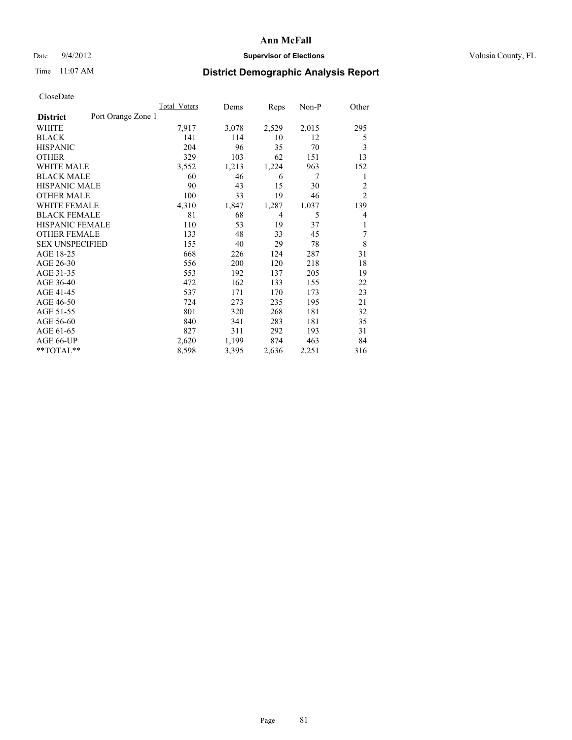# Date 9/4/2012 **Supervisor of Elections Supervisor of Elections** Volusia County, FL

# Time 11:07 AM **District Demographic Analysis Report**

|                        |                    | <b>Total Voters</b> | Dems  | Reps  | $Non-P$ | Other          |
|------------------------|--------------------|---------------------|-------|-------|---------|----------------|
| <b>District</b>        | Port Orange Zone 1 |                     |       |       |         |                |
| WHITE                  |                    | 7,917               | 3,078 | 2,529 | 2,015   | 295            |
| <b>BLACK</b>           |                    | 141                 | 114   | 10    | 12      | 5              |
| <b>HISPANIC</b>        |                    | 204                 | 96    | 35    | 70      | 3              |
| <b>OTHER</b>           |                    | 329                 | 103   | 62    | 151     | 13             |
| WHITE MALE             |                    | 3,552               | 1,213 | 1,224 | 963     | 152            |
| <b>BLACK MALE</b>      |                    | 60                  | 46    | 6     | 7       | 1              |
| <b>HISPANIC MALE</b>   |                    | 90                  | 43    | 15    | 30      | $\overline{2}$ |
| <b>OTHER MALE</b>      |                    | 100                 | 33    | 19    | 46      | $\overline{2}$ |
| WHITE FEMALE           |                    | 4,310               | 1,847 | 1,287 | 1,037   | 139            |
| <b>BLACK FEMALE</b>    |                    | 81                  | 68    | 4     | 5       | $\overline{4}$ |
| <b>HISPANIC FEMALE</b> |                    | 110                 | 53    | 19    | 37      | 1              |
| <b>OTHER FEMALE</b>    |                    | 133                 | 48    | 33    | 45      | 7              |
| <b>SEX UNSPECIFIED</b> |                    | 155                 | 40    | 29    | 78      | 8              |
| AGE 18-25              |                    | 668                 | 226   | 124   | 287     | 31             |
| AGE 26-30              |                    | 556                 | 200   | 120   | 218     | 18             |
| AGE 31-35              |                    | 553                 | 192   | 137   | 205     | 19             |
| AGE 36-40              |                    | 472                 | 162   | 133   | 155     | 22             |
| AGE 41-45              |                    | 537                 | 171   | 170   | 173     | 23             |
| AGE 46-50              |                    | 724                 | 273   | 235   | 195     | 21             |
| AGE 51-55              |                    | 801                 | 320   | 268   | 181     | 32             |
| AGE 56-60              |                    | 840                 | 341   | 283   | 181     | 35             |
| AGE 61-65              |                    | 827                 | 311   | 292   | 193     | 31             |
| AGE 66-UP              |                    | 2,620               | 1,199 | 874   | 463     | 84             |
| **TOTAL**              |                    | 8,598               | 3,395 | 2,636 | 2,251   | 316            |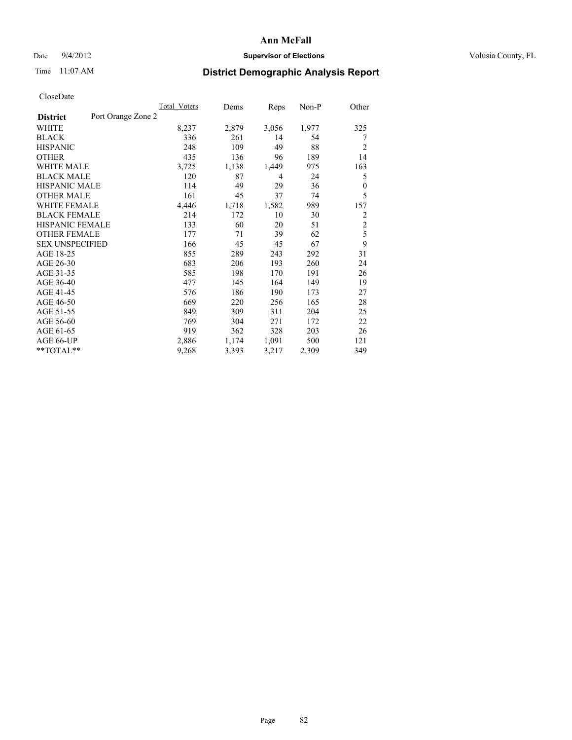## Date 9/4/2012 **Supervisor of Elections Supervisor of Elections** Volusia County, FL

# Time 11:07 AM **District Demographic Analysis Report**

|                                       | <b>Total Voters</b> | Dems  | Reps  | Non-P | Other          |
|---------------------------------------|---------------------|-------|-------|-------|----------------|
| Port Orange Zone 2<br><b>District</b> |                     |       |       |       |                |
| WHITE                                 | 8,237               | 2,879 | 3,056 | 1,977 | 325            |
| <b>BLACK</b>                          | 336                 | 261   | 14    | 54    | 7              |
| <b>HISPANIC</b>                       | 248                 | 109   | 49    | 88    | $\overline{2}$ |
| <b>OTHER</b>                          | 435                 | 136   | 96    | 189   | 14             |
| <b>WHITE MALE</b>                     | 3,725               | 1,138 | 1,449 | 975   | 163            |
| <b>BLACK MALE</b>                     | 120                 | 87    | 4     | 24    | 5              |
| <b>HISPANIC MALE</b>                  | 114                 | 49    | 29    | 36    | $\mathbf{0}$   |
| <b>OTHER MALE</b>                     | 161                 | 45    | 37    | 74    | 5              |
| <b>WHITE FEMALE</b>                   | 4,446               | 1,718 | 1,582 | 989   | 157            |
| <b>BLACK FEMALE</b>                   | 214                 | 172   | 10    | 30    | $\overline{2}$ |
| <b>HISPANIC FEMALE</b>                | 133                 | 60    | 20    | 51    | $\overline{c}$ |
| <b>OTHER FEMALE</b>                   | 177                 | 71    | 39    | 62    | 5              |
| <b>SEX UNSPECIFIED</b>                | 166                 | 45    | 45    | 67    | 9              |
| AGE 18-25                             | 855                 | 289   | 243   | 292   | 31             |
| AGE 26-30                             | 683                 | 206   | 193   | 260   | 24             |
| AGE 31-35                             | 585                 | 198   | 170   | 191   | 26             |
| AGE 36-40                             | 477                 | 145   | 164   | 149   | 19             |
| AGE 41-45                             | 576                 | 186   | 190   | 173   | 27             |
| AGE 46-50                             | 669                 | 220   | 256   | 165   | 28             |
| AGE 51-55                             | 849                 | 309   | 311   | 204   | 25             |
| AGE 56-60                             | 769                 | 304   | 271   | 172   | 22             |
| AGE 61-65                             | 919                 | 362   | 328   | 203   | 26             |
| AGE 66-UP                             | 2,886               | 1,174 | 1,091 | 500   | 121            |
| **TOTAL**                             | 9,268               | 3,393 | 3,217 | 2,309 | 349            |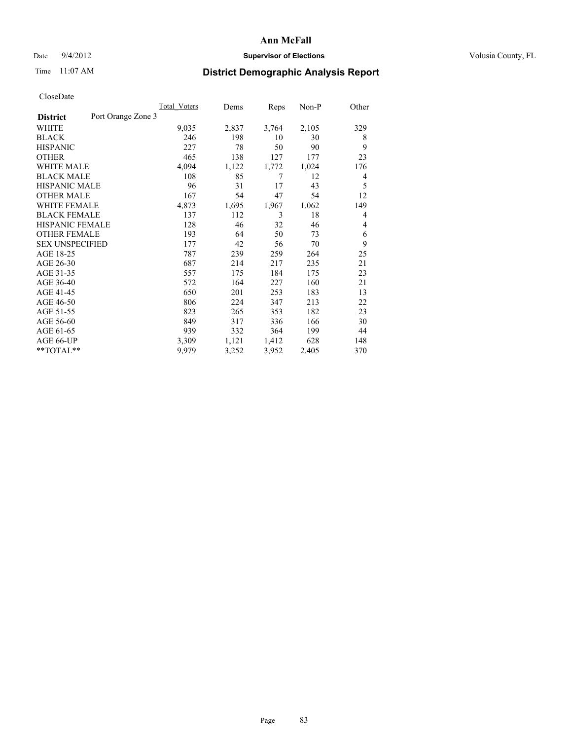# Date 9/4/2012 **Supervisor of Elections Supervisor of Elections** Volusia County, FL

# Time 11:07 AM **District Demographic Analysis Report**

|                        | <b>Total Voters</b> | Dems  | Reps  | Non-P | Other |
|------------------------|---------------------|-------|-------|-------|-------|
| <b>District</b>        | Port Orange Zone 3  |       |       |       |       |
| WHITE                  | 9,035               | 2,837 | 3,764 | 2,105 | 329   |
| <b>BLACK</b>           | 246                 | 198   | 10    | 30    | 8     |
| <b>HISPANIC</b>        | 227                 | 78    | 50    | 90    | 9     |
| <b>OTHER</b>           | 465                 | 138   | 127   | 177   | 23    |
| <b>WHITE MALE</b>      | 4,094               | 1,122 | 1,772 | 1,024 | 176   |
| <b>BLACK MALE</b>      | 108                 | 85    | 7     | 12    | 4     |
| <b>HISPANIC MALE</b>   | 96                  | 31    | 17    | 43    | 5     |
| <b>OTHER MALE</b>      | 167                 | 54    | 47    | 54    | 12    |
| <b>WHITE FEMALE</b>    | 4,873               | 1,695 | 1,967 | 1,062 | 149   |
| <b>BLACK FEMALE</b>    | 137                 | 112   | 3     | 18    | 4     |
| <b>HISPANIC FEMALE</b> | 128                 | 46    | 32    | 46    | 4     |
| <b>OTHER FEMALE</b>    | 193                 | 64    | 50    | 73    | 6     |
| <b>SEX UNSPECIFIED</b> | 177                 | 42    | 56    | 70    | 9     |
| AGE 18-25              | 787                 | 239   | 259   | 264   | 25    |
| AGE 26-30              | 687                 | 214   | 217   | 235   | 21    |
| AGE 31-35              | 557                 | 175   | 184   | 175   | 23    |
| AGE 36-40              | 572                 | 164   | 227   | 160   | 21    |
| AGE 41-45              | 650                 | 201   | 253   | 183   | 13    |
| AGE 46-50              | 806                 | 224   | 347   | 213   | 22    |
| AGE 51-55              | 823                 | 265   | 353   | 182   | 23    |
| AGE 56-60              | 849                 | 317   | 336   | 166   | 30    |
| AGE 61-65              | 939                 | 332   | 364   | 199   | 44    |
| AGE 66-UP              | 3,309               | 1,121 | 1,412 | 628   | 148   |
| **TOTAL**              | 9,979               | 3,252 | 3,952 | 2,405 | 370   |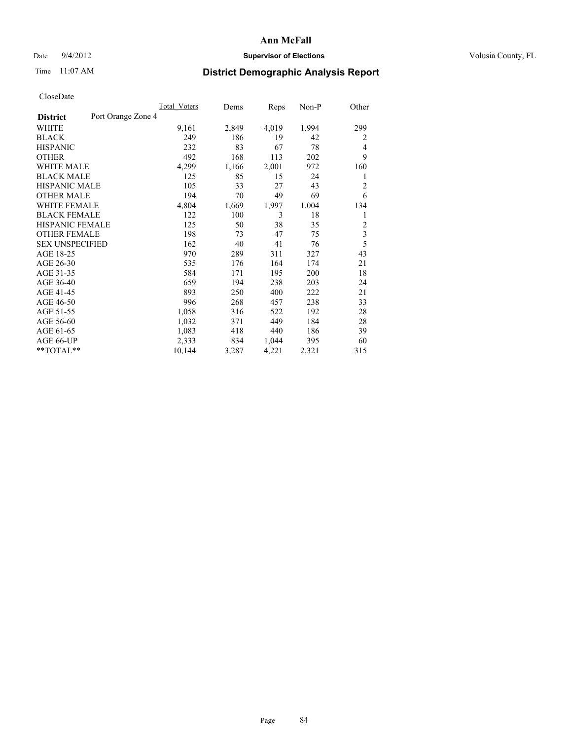## Date 9/4/2012 **Supervisor of Elections Supervisor of Elections** Volusia County, FL

# Time 11:07 AM **District Demographic Analysis Report**

|                                       | <b>Total Voters</b> | Dems  | Reps  | Non-P | Other                   |
|---------------------------------------|---------------------|-------|-------|-------|-------------------------|
| Port Orange Zone 4<br><b>District</b> |                     |       |       |       |                         |
| WHITE                                 | 9,161               | 2,849 | 4,019 | 1,994 | 299                     |
| <b>BLACK</b>                          | 249                 | 186   | 19    | 42    | 2                       |
| <b>HISPANIC</b>                       | 232                 | 83    | 67    | 78    | $\overline{4}$          |
| <b>OTHER</b>                          | 492                 | 168   | 113   | 202   | 9                       |
| <b>WHITE MALE</b>                     | 4,299               | 1,166 | 2,001 | 972   | 160                     |
| <b>BLACK MALE</b>                     | 125                 | 85    | 15    | 24    | 1                       |
| <b>HISPANIC MALE</b>                  | 105                 | 33    | 27    | 43    | $\overline{c}$          |
| <b>OTHER MALE</b>                     | 194                 | 70    | 49    | 69    | 6                       |
| <b>WHITE FEMALE</b>                   | 4,804               | 1,669 | 1,997 | 1,004 | 134                     |
| <b>BLACK FEMALE</b>                   | 122                 | 100   | 3     | 18    | 1                       |
| HISPANIC FEMALE                       | 125                 | 50    | 38    | 35    | $\overline{c}$          |
| <b>OTHER FEMALE</b>                   | 198                 | 73    | 47    | 75    | $\overline{\mathbf{3}}$ |
| <b>SEX UNSPECIFIED</b>                | 162                 | 40    | 41    | 76    | 5                       |
| AGE 18-25                             | 970                 | 289   | 311   | 327   | 43                      |
| AGE 26-30                             | 535                 | 176   | 164   | 174   | 21                      |
| AGE 31-35                             | 584                 | 171   | 195   | 200   | 18                      |
| AGE 36-40                             | 659                 | 194   | 238   | 203   | 24                      |
| AGE 41-45                             | 893                 | 250   | 400   | 222   | 21                      |
| AGE 46-50                             | 996                 | 268   | 457   | 238   | 33                      |
| AGE 51-55                             | 1,058               | 316   | 522   | 192   | 28                      |
| AGE 56-60                             | 1,032               | 371   | 449   | 184   | 28                      |
| AGE 61-65                             | 1,083               | 418   | 440   | 186   | 39                      |
| AGE 66-UP                             | 2,333               | 834   | 1,044 | 395   | 60                      |
| **TOTAL**                             | 10,144              | 3,287 | 4,221 | 2,321 | 315                     |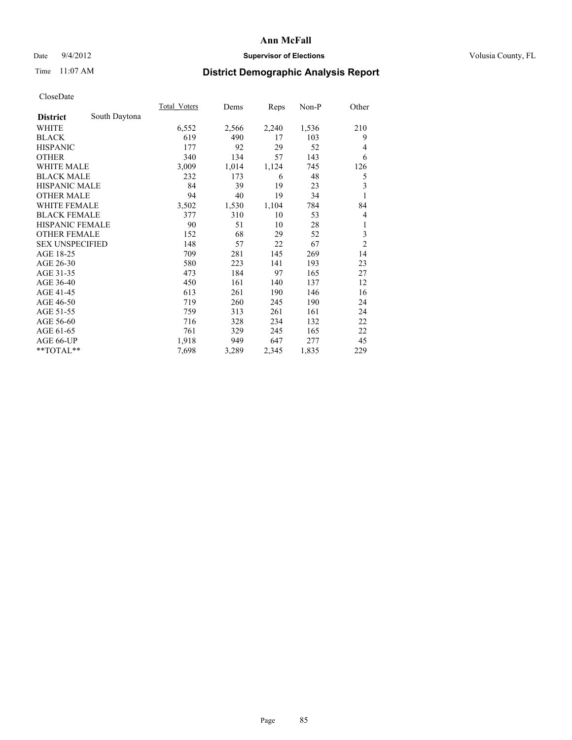## Date 9/4/2012 **Supervisor of Elections Supervisor of Elections** Volusia County, FL

# Time 11:07 AM **District Demographic Analysis Report**

|                        |               | Total Voters | Dems  | Reps  | Non-P | Other          |
|------------------------|---------------|--------------|-------|-------|-------|----------------|
| <b>District</b>        | South Daytona |              |       |       |       |                |
| <b>WHITE</b>           |               | 6,552        | 2,566 | 2,240 | 1,536 | 210            |
| <b>BLACK</b>           |               | 619          | 490   | 17    | 103   | 9              |
| <b>HISPANIC</b>        |               | 177          | 92    | 29    | 52    | 4              |
| <b>OTHER</b>           |               | 340          | 134   | 57    | 143   | 6              |
| <b>WHITE MALE</b>      |               | 3,009        | 1,014 | 1,124 | 745   | 126            |
| <b>BLACK MALE</b>      |               | 232          | 173   | 6     | 48    | 5              |
| HISPANIC MALE          |               | 84           | 39    | 19    | 23    | 3              |
| <b>OTHER MALE</b>      |               | 94           | 40    | 19    | 34    | 1              |
| <b>WHITE FEMALE</b>    |               | 3,502        | 1,530 | 1,104 | 784   | 84             |
| <b>BLACK FEMALE</b>    |               | 377          | 310   | 10    | 53    | 4              |
| <b>HISPANIC FEMALE</b> |               | 90           | 51    | 10    | 28    | 1              |
| <b>OTHER FEMALE</b>    |               | 152          | 68    | 29    | 52    | 3              |
| <b>SEX UNSPECIFIED</b> |               | 148          | 57    | 22    | 67    | $\overline{c}$ |
| AGE 18-25              |               | 709          | 281   | 145   | 269   | 14             |
| AGE 26-30              |               | 580          | 223   | 141   | 193   | 23             |
| AGE 31-35              |               | 473          | 184   | 97    | 165   | 27             |
| AGE 36-40              |               | 450          | 161   | 140   | 137   | 12             |
| AGE 41-45              |               | 613          | 261   | 190   | 146   | 16             |
| AGE 46-50              |               | 719          | 260   | 245   | 190   | 24             |
| AGE 51-55              |               | 759          | 313   | 261   | 161   | 24             |
| AGE 56-60              |               | 716          | 328   | 234   | 132   | 22             |
| AGE 61-65              |               | 761          | 329   | 245   | 165   | 22             |
| AGE 66-UP              |               | 1,918        | 949   | 647   | 277   | 45             |
| **TOTAL**              |               | 7,698        | 3,289 | 2,345 | 1,835 | 229            |